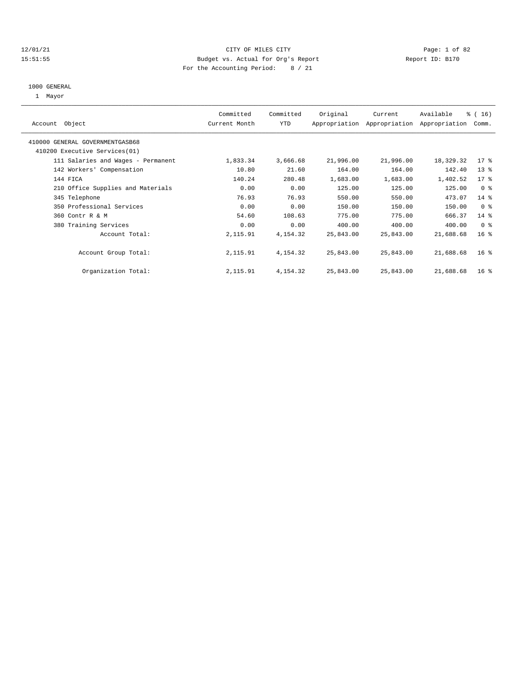#### 12/01/21 CITY OF MILES CITY Page: 1 of 82 15:51:55 Budget vs. Actual for Org's Report Report ID: B170 For the Accounting Period: 8 / 21

# 1000 GENERAL

1 Mayor

| Object<br>Account                  | Committed<br>Current Month | Committed<br><b>YTD</b> | Original  | Current<br>Appropriation Appropriation | Available<br>Appropriation | $\frac{16}{3}$ ( 16 )<br>Comm. |
|------------------------------------|----------------------------|-------------------------|-----------|----------------------------------------|----------------------------|--------------------------------|
| 410000 GENERAL GOVERNMENTGASB68    |                            |                         |           |                                        |                            |                                |
| 410200 Executive Services (01)     |                            |                         |           |                                        |                            |                                |
| 111 Salaries and Wages - Permanent | 1,833.34                   | 3,666.68                | 21,996.00 | 21,996.00                              | 18,329.32                  | $17$ %                         |
| 142 Workers' Compensation          | 10.80                      | 21.60                   | 164.00    | 164.00                                 | 142.40                     | 13 <sub>8</sub>                |
| 144 FICA                           | 140.24                     | 280.48                  | 1,683.00  | 1,683.00                               | 1,402.52                   | $17*$                          |
| 210 Office Supplies and Materials  | 0.00                       | 0.00                    | 125.00    | 125.00                                 | 125.00                     | 0 <sup>8</sup>                 |
| 345 Telephone                      | 76.93                      | 76.93                   | 550.00    | 550.00                                 | 473.07                     | $14*$                          |
| 350 Professional Services          | 0.00                       | 0.00                    | 150.00    | 150.00                                 | 150.00                     | 0 <sup>8</sup>                 |
| 360 Contr R & M                    | 54.60                      | 108.63                  | 775.00    | 775.00                                 | 666.37                     | $14$ %                         |
| 380 Training Services              | 0.00                       | 0.00                    | 400.00    | 400.00                                 | 400.00                     | 0 <sup>8</sup>                 |
| Account Total:                     | 2,115.91                   | 4,154.32                | 25,843.00 | 25,843.00                              | 21,688.68                  | $16*$                          |
| Account Group Total:               | 2,115.91                   | 4, 154. 32              | 25,843.00 | 25,843.00                              | 21,688.68                  | 16 <sup>8</sup>                |
| Organization Total:                | 2,115.91                   | 4, 154. 32              | 25,843.00 | 25,843.00                              | 21,688.68                  | 16 <sup>8</sup>                |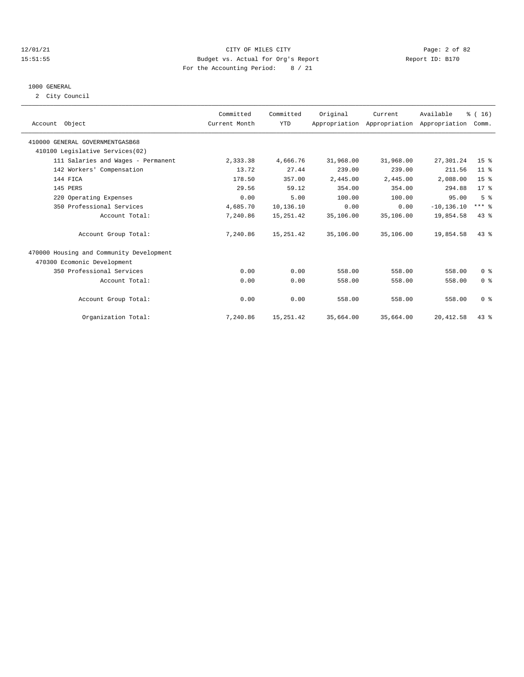#### 12/01/21 CITY OF MILES CITY Page: 2 of 82 15:51:55 Budget vs. Actual for Org's Report Report ID: B170 For the Accounting Period: 8 / 21

# 1000 GENERAL

2 City Council

| Account Object                           | Committed<br>Current Month | Committed<br><b>YTD</b> | Original  | Current   | Available<br>Appropriation Appropriation Appropriation | % (16)<br>Comm. |  |
|------------------------------------------|----------------------------|-------------------------|-----------|-----------|--------------------------------------------------------|-----------------|--|
| 410000 GENERAL GOVERNMENTGASB68          |                            |                         |           |           |                                                        |                 |  |
| 410100 Legislative Services(02)          |                            |                         |           |           |                                                        |                 |  |
| 111 Salaries and Wages - Permanent       | 2,333.38                   | 4,666.76                | 31,968.00 | 31,968.00 | 27,301.24                                              | 15 <sup>8</sup> |  |
| 142 Workers' Compensation                | 13.72                      | 27.44                   | 239.00    | 239.00    | 211.56                                                 | $11*$           |  |
| 144 FICA                                 | 178.50                     | 357.00                  | 2,445.00  | 2,445.00  | 2,088.00                                               | 15 <sup>°</sup> |  |
| 145 PERS                                 | 29.56                      | 59.12                   | 354.00    | 354.00    | 294.88                                                 | $17*$           |  |
| 220 Operating Expenses                   | 0.00                       | 5.00                    | 100.00    | 100.00    | 95.00                                                  | 5 <sup>8</sup>  |  |
| 350 Professional Services                | 4,685.70                   | 10,136.10               | 0.00      | 0.00      | $-10, 136, 10$                                         | $***$ $%$       |  |
| Account Total:                           | 7,240.86                   | 15, 251.42              | 35,106.00 | 35,106.00 | 19,854.58                                              | 43%             |  |
| Account Group Total:                     | 7,240.86                   | 15, 251.42              | 35,106.00 | 35,106.00 | 19,854.58                                              | $43*$           |  |
| 470000 Housing and Community Development |                            |                         |           |           |                                                        |                 |  |
| 470300 Ecomonic Development              |                            |                         |           |           |                                                        |                 |  |
| 350 Professional Services                | 0.00                       | 0.00                    | 558.00    | 558.00    | 558.00                                                 | 0 <sup>8</sup>  |  |
| Account Total:                           | 0.00                       | 0.00                    | 558.00    | 558.00    | 558.00                                                 | 0 <sup>8</sup>  |  |
| Account Group Total:                     | 0.00                       | 0.00                    | 558.00    | 558.00    | 558.00                                                 | 0 <sup>8</sup>  |  |
| Organization Total:                      | 7,240.86                   | 15, 251.42              | 35,664.00 | 35,664.00 | 20, 412.58                                             | 43%             |  |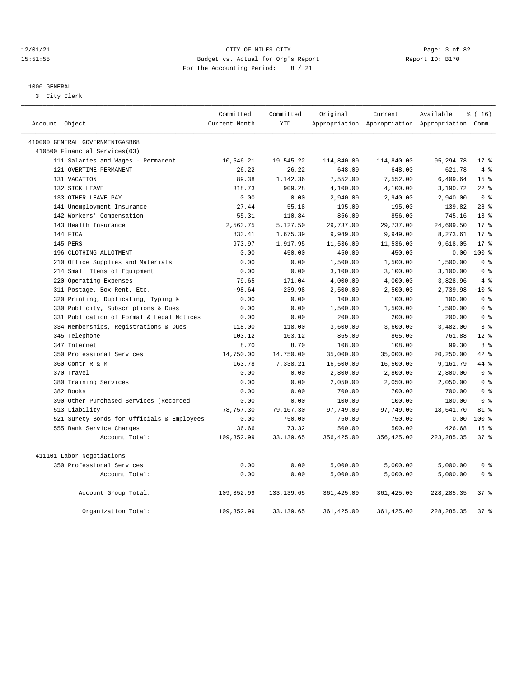#### 12/01/21 CITY OF MILES CITY Page: 3 of 82 15:51:55 Budget vs. Actual for Org's Report Report ID: B170 For the Accounting Period: 8 / 21

#### 1000 GENERAL

3 City Clerk

|                                            | Committed     | Committed   | Original    | Current     | Available                                       | $\frac{1}{6}$ ( 16 ) |
|--------------------------------------------|---------------|-------------|-------------|-------------|-------------------------------------------------|----------------------|
| Account Object                             | Current Month | <b>YTD</b>  |             |             | Appropriation Appropriation Appropriation Comm. |                      |
| 410000 GENERAL GOVERNMENTGASB68            |               |             |             |             |                                                 |                      |
| 410500 Financial Services(03)              |               |             |             |             |                                                 |                      |
| 111 Salaries and Wages - Permanent         | 10,546.21     | 19,545.22   | 114,840.00  | 114,840.00  | 95, 294.78                                      | $17*$                |
| 121 OVERTIME-PERMANENT                     | 26.22         | 26.22       | 648.00      | 648.00      | 621.78                                          | 4%                   |
| 131 VACATION                               | 89.38         | 1,142.36    | 7,552.00    | 7,552.00    | 6,409.64                                        | 15 <sup>°</sup>      |
| 132 SICK LEAVE                             | 318.73        | 909.28      | 4,100.00    | 4,100.00    | 3,190.72                                        | $22$ %               |
| 133 OTHER LEAVE PAY                        | 0.00          | 0.00        | 2,940.00    | 2,940.00    | 2,940.00                                        | 0 <sup>8</sup>       |
| 141 Unemployment Insurance                 | 27.44         | 55.18       | 195.00      | 195.00      | 139.82                                          | $28$ %               |
| 142 Workers' Compensation                  | 55.31         | 110.84      | 856.00      | 856.00      | 745.16                                          | $13*$                |
| 143 Health Insurance                       | 2,563.75      | 5,127.50    | 29,737.00   | 29,737.00   | 24,609.50                                       | $17*$                |
| 144 FICA                                   | 833.41        | 1,675.39    | 9,949.00    | 9,949.00    | 8,273.61                                        | $17*$                |
| 145 PERS                                   | 973.97        | 1,917.95    | 11,536.00   | 11,536.00   | 9,618.05                                        | $17*$                |
| 196 CLOTHING ALLOTMENT                     | 0.00          | 450.00      | 450.00      | 450.00      | 0.00                                            | $100*$               |
| 210 Office Supplies and Materials          | 0.00          | 0.00        | 1,500.00    | 1,500.00    | 1,500.00                                        | 0 <sup>8</sup>       |
| 214 Small Items of Equipment               | 0.00          | 0.00        | 3,100.00    | 3,100.00    | 3,100.00                                        | 0 <sup>8</sup>       |
| 220 Operating Expenses                     | 79.65         | 171.04      | 4,000.00    | 4,000.00    | 3,828.96                                        | 4%                   |
| 311 Postage, Box Rent, Etc.                | $-98.64$      | $-239.98$   | 2,500.00    | 2,500.00    | 2,739.98                                        | $-10$ %              |
| 320 Printing, Duplicating, Typing &        | 0.00          | 0.00        | 100.00      | 100.00      | 100.00                                          | 0 <sup>8</sup>       |
| 330 Publicity, Subscriptions & Dues        | 0.00          | 0.00        | 1,500.00    | 1,500.00    | 1,500.00                                        | 0 <sup>8</sup>       |
| 331 Publication of Formal & Legal Notices  | 0.00          | 0.00        | 200.00      | 200.00      | 200.00                                          | 0 <sup>8</sup>       |
| 334 Memberships, Registrations & Dues      | 118.00        | 118.00      | 3,600.00    | 3,600.00    | 3,482.00                                        | 38                   |
| 345 Telephone                              | 103.12        | 103.12      | 865.00      | 865.00      | 761.88                                          | $12*$                |
| 347 Internet                               | 8.70          | 8.70        | 108.00      | 108.00      | 99.30                                           | 8 %                  |
| 350 Professional Services                  | 14,750.00     | 14,750.00   | 35,000.00   | 35,000.00   | 20,250.00                                       | $42*$                |
| 360 Contr R & M                            | 163.78        | 7,338.21    | 16,500.00   | 16,500.00   | 9,161.79                                        | 44 %                 |
| 370 Travel                                 | 0.00          | 0.00        | 2,800.00    | 2,800.00    | 2,800.00                                        | 0 <sup>8</sup>       |
| 380 Training Services                      | 0.00          | 0.00        | 2,050.00    | 2,050.00    | 2,050.00                                        | 0 <sup>8</sup>       |
| 382 Books                                  | 0.00          | 0.00        | 700.00      | 700.00      | 700.00                                          | 0 <sup>8</sup>       |
| 390 Other Purchased Services (Recorded     | 0.00          | 0.00        | 100.00      | 100.00      | 100.00                                          | 0 <sup>8</sup>       |
| 513 Liability                              | 78,757.30     | 79,107.30   | 97,749.00   | 97,749.00   | 18,641.70                                       | 81 %                 |
| 521 Surety Bonds for Officials & Employees | 0.00          | 750.00      | 750.00      | 750.00      | 0.00                                            | $100*$               |
| 555 Bank Service Charges                   | 36.66         | 73.32       | 500.00      | 500.00      | 426.68                                          | 15 <sup>8</sup>      |
| Account Total:                             | 109,352.99    | 133, 139.65 | 356,425.00  | 356,425.00  | 223, 285.35                                     | 37%                  |
| 411101 Labor Negotiations                  |               |             |             |             |                                                 |                      |
| 350 Professional Services                  | 0.00          | 0.00        | 5,000.00    | 5,000.00    | 5,000.00                                        | 0 <sup>8</sup>       |
| Account Total:                             | 0.00          | 0.00        | 5,000.00    | 5,000.00    | 5,000.00                                        | 0 <sup>8</sup>       |
| Account Group Total:                       | 109,352.99    | 133, 139.65 | 361, 425.00 | 361, 425.00 | 228, 285. 35                                    | 37%                  |
| Organization Total:                        | 109, 352.99   | 133, 139.65 | 361, 425.00 | 361, 425.00 | 228, 285. 35                                    | 37 <sup>8</sup>      |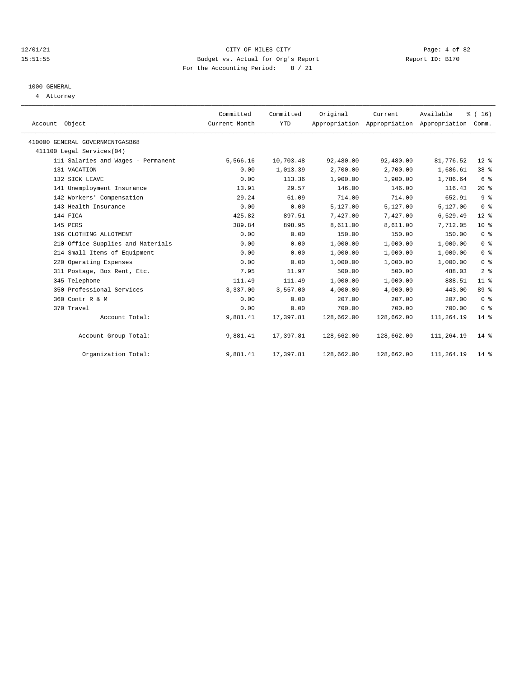#### 12/01/21 CITY OF MILES CITY Page: 4 of 82 15:51:55 Budget vs. Actual for Org's Report Report ID: B170 For the Accounting Period: 8 / 21

# 1000 GENERAL

4 Attorney

| Account Object                     | Committed<br>Current Month | Committed<br><b>YTD</b> | Original   | Current    | Available<br>Appropriation Appropriation Appropriation | % (16)<br>Comm. |
|------------------------------------|----------------------------|-------------------------|------------|------------|--------------------------------------------------------|-----------------|
| 410000 GENERAL GOVERNMENTGASB68    |                            |                         |            |            |                                                        |                 |
| 411100 Legal Services(04)          |                            |                         |            |            |                                                        |                 |
| 111 Salaries and Wages - Permanent | 5,566.16                   | 10,703.48               | 92,480.00  | 92,480.00  | 81,776.52                                              | $12*$           |
| 131 VACATION                       | 0.00                       | 1,013.39                | 2,700.00   | 2,700.00   | 1,686.61                                               | 38 %            |
| 132 SICK LEAVE                     | 0.00                       | 113.36                  | 1,900.00   | 1,900.00   | 1,786.64                                               | 6 %             |
| 141 Unemployment Insurance         | 13.91                      | 29.57                   | 146.00     | 146.00     | 116.43                                                 | $20*$           |
| 142 Workers' Compensation          | 29.24                      | 61.09                   | 714.00     | 714.00     | 652.91                                                 | 9%              |
| 143 Health Insurance               | 0.00                       | 0.00                    | 5,127.00   | 5,127.00   | 5,127.00                                               | 0 <sup>8</sup>  |
| 144 FICA                           | 425.82                     | 897.51                  | 7,427.00   | 7,427.00   | 6,529.49                                               | $12*$           |
| 145 PERS                           | 389.84                     | 898.95                  | 8,611.00   | 8,611.00   | 7.712.05                                               | $10*$           |
| 196 CLOTHING ALLOTMENT             | 0.00                       | 0.00                    | 150.00     | 150.00     | 150.00                                                 | 0 <sup>8</sup>  |
| 210 Office Supplies and Materials  | 0.00                       | 0.00                    | 1,000.00   | 1,000.00   | 1,000.00                                               | 0 <sup>8</sup>  |
| 214 Small Items of Equipment       | 0.00                       | 0.00                    | 1,000.00   | 1,000.00   | 1,000.00                                               | 0 <sup>8</sup>  |
| 220 Operating Expenses             | 0.00                       | 0.00                    | 1,000.00   | 1,000.00   | 1,000.00                                               | 0 <sup>8</sup>  |
| 311 Postage, Box Rent, Etc.        | 7.95                       | 11.97                   | 500.00     | 500.00     | 488.03                                                 | 2 <sup>8</sup>  |
| 345 Telephone                      | 111.49                     | 111.49                  | 1,000.00   | 1,000.00   | 888.51                                                 | 11 <sup>°</sup> |
| 350 Professional Services          | 3,337.00                   | 3,557.00                | 4,000.00   | 4,000.00   | 443.00                                                 | 89 %            |
| 360 Contr R & M                    | 0.00                       | 0.00                    | 207.00     | 207.00     | 207.00                                                 | 0 <sup>8</sup>  |
| 370 Travel                         | 0.00                       | 0.00                    | 700.00     | 700.00     | 700.00                                                 | 0 <sup>8</sup>  |
| Account Total:                     | 9,881.41                   | 17,397.81               | 128,662.00 | 128,662.00 | 111,264.19                                             | $14*$           |
| Account Group Total:               | 9,881.41                   | 17,397.81               | 128,662.00 | 128,662.00 | 111,264.19                                             | $14*$           |
| Organization Total:                | 9,881.41                   | 17,397.81               | 128,662.00 | 128,662.00 | 111,264.19                                             | $14*$           |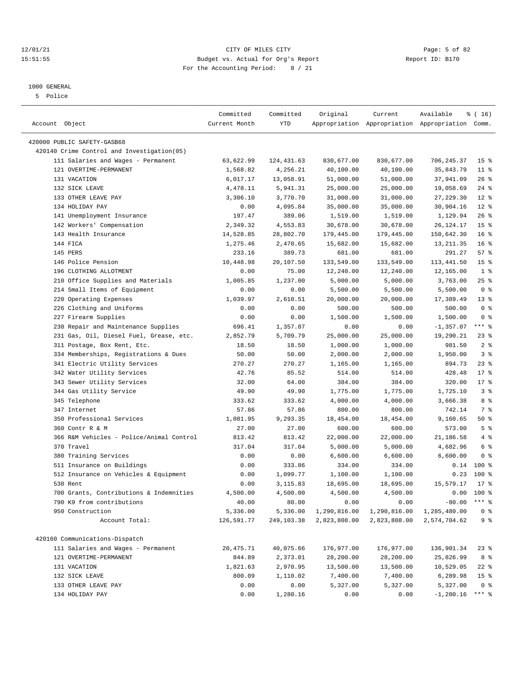#### 12/01/21 Page: 5 of 82<br>15:51:55 Budget vs. Actual for Org's Report Page: 5 of 82<br>15:51:55 Budget vs. Actual for Org's Report Physics Report ID: B170 15:51:55 Budget vs. Actual for Org's Report For the Accounting Period: 8 / 21

————————————————————————————————————————————————————————————————————————————————————————————————————————————————————————————————————

## 1000 GENERAL

5 Police

| Account Object<br>Current Month<br>YTD<br>Appropriation Appropriation Appropriation Comm.<br>420000 PUBLIC SAFETY-GASB68<br>420140 Crime Control and Investigation (05)<br>111 Salaries and Wages - Permanent<br>63,622.99<br>124,431.63<br>830,677.00<br>830,677.00<br>706,245.37<br>15 <sup>8</sup><br>121 OVERTIME-PERMANENT<br>4,256.21<br>$11$ %<br>1,568.82<br>40,100.00<br>40,100.00<br>35,843.79<br>131 VACATION<br>13,058.91<br>51,000.00<br>51,000.00<br>37,941.09<br>26%<br>6,017.17<br>132 SICK LEAVE<br>25,000.00<br>25,000.00<br>19,058.69<br>$24$ %<br>4,478.11<br>5,941.31<br>$12*$<br>133 OTHER LEAVE PAY<br>3,306.10<br>3,770.70<br>31,000.00<br>31,000.00<br>27, 229.30<br>134 HOLIDAY PAY<br>$12*$<br>0.00<br>4,095.84<br>35,000.00<br>35,000.00<br>30,904.16<br>141 Unemployment Insurance<br>197.47<br>389.06<br>1,129.94<br>26%<br>1,519.00<br>1,519.00<br>142 Workers' Compensation<br>2,349.32<br>4,553.83<br>30,678.00<br>30,678.00<br>26, 124. 17<br>15 <sup>8</sup><br>143 Health Insurance<br>28,802.70<br>150,642.30<br>16 <sup>8</sup><br>14,528.85<br>179,445.00<br>179,445.00<br>16 <sup>8</sup><br>144 FICA<br>1,275.46<br>2,470.65<br>15,682.00<br>15,682.00<br>13, 211.35<br>57%<br>145 PERS<br>233.16<br>389.73<br>681.00<br>681.00<br>291.27<br>146 Police Pension<br>10,448.98<br>15 <sup>8</sup><br>20,107.50<br>133,549.00<br>133,549.00<br>113,441.50<br>196 CLOTHING ALLOTMENT<br>12,240.00<br>1 <sup>8</sup><br>0.00<br>75.00<br>12,240.00<br>12,165.00<br>210 Office Supplies and Materials<br>5,000.00<br>$25$ %<br>1,005.85<br>1,237.00<br>5,000.00<br>3,763.00<br>214 Small Items of Equipment<br>0 <sup>8</sup><br>0.00<br>0.00<br>5,500.00<br>5,500.00<br>5,500.00<br>220 Operating Expenses<br>$13*$<br>1,039.97<br>2,610.51<br>20,000.00<br>20,000.00<br>17,389.49<br>0 <sup>8</sup><br>226 Clothing and Uniforms<br>0.00<br>0.00<br>500.00<br>500.00<br>500.00<br>227 Firearm Supplies<br>1,500.00<br>0 <sup>8</sup><br>0.00<br>0.00<br>1,500.00<br>1,500.00<br>$***$ $-$<br>230 Repair and Maintenance Supplies<br>$-1, 357.07$<br>696.41<br>1,357.07<br>0.00<br>0.00<br>$23$ %<br>231 Gas, Oil, Diesel Fuel, Grease, etc.<br>2,852.79<br>5,709.79<br>25,000.00<br>25,000.00<br>19,290.21<br>981.50<br>2 <sup>8</sup><br>311 Postage, Box Rent, Etc.<br>18.50<br>18.50<br>1,000.00<br>1,000.00<br>334 Memberships, Registrations & Dues<br>1,950.00<br>3%<br>50.00<br>50.00<br>2,000.00<br>2,000.00<br>341 Electric Utility Services<br>894.73<br>$23$ $%$<br>270.27<br>270.27<br>1,165.00<br>1,165.00<br>342 Water Utility Services<br>42.76<br>85.52<br>428.48<br>514.00<br>514.00<br>$17$ %<br>$17*$<br>343 Sewer Utility Services<br>32.00<br>64.00<br>384.00<br>384.00<br>320.00<br>3%<br>344 Gas Utility Service<br>49.90<br>49.90<br>1,775.00<br>1,775.00<br>1,725.10<br>345 Telephone<br>333.62<br>333.62<br>8 %<br>4,000.00<br>4,000.00<br>3,666.38<br>347 Internet<br>57.86<br>57.86<br>800.00<br>742.14<br>7 %<br>800.00<br>350 Professional Services<br>9,293.35<br>9,160.65<br>50%<br>1,081.95<br>18,454.00<br>18,454.00<br>5 <sup>8</sup><br>360 Contr R & M<br>27.00<br>27.00<br>600.00<br>600.00<br>573.00<br>366 R&M Vehicles - Police/Animal Control<br>4%<br>813.42<br>813.42<br>22,000.00<br>22,000.00<br>21,186.58<br>370 Travel<br>6 %<br>317.04<br>317.04<br>5,000.00<br>5,000.00<br>4,682.96<br>380 Training Services<br>0.00<br>6,600.00<br>6,600.00<br>6,600.00<br>0 <sup>8</sup><br>0.00<br>511 Insurance on Buildings<br>0.00<br>333.86<br>334.00<br>334.00<br>$0.14$ 100 %<br>0.23<br>$100*$<br>512 Insurance on Vehicles & Equipment<br>0.00<br>1,099.77<br>1,100.00<br>1,100.00<br>15,579.17<br>$17*$<br>530 Rent<br>0.00<br>3, 115.83<br>18,695.00<br>18,695.00<br>700 Grants, Contributions & Indemnities<br>4,500.00<br>4,500.00<br>4,500.00<br>4,500.00<br>$0.00$ 100 %<br>$***$ $%$<br>790 K9 from contributions<br>40.00<br>80.00<br>0.00<br>0.00<br>$-80.00$<br>950 Construction<br>5,336.00<br>5,336.00<br>1,290,816.00<br>1,290,816.00<br>0 <sup>8</sup><br>1,285,480.00<br>Account Total:<br>2,823,808.00<br>2,574,704.62<br>9%<br>126,591.77<br>249,103.38<br>2,823,808.00<br>420160 Communications-Dispatch<br>111 Salaries and Wages - Permanent<br>20, 475.71<br>40,075.66<br>176,977.00<br>136,901.34<br>176,977.00<br>$23$ %<br>121 OVERTIME-PERMANENT<br>844.89<br>8 %<br>2,373.01<br>28,200.00<br>28,200.00<br>25,826.99<br>131 VACATION<br>1,821.63<br>2,970.95<br>13,500.00<br>13,500.00<br>10,529.05<br>22 %<br>15 <sup>°</sup><br>132 SICK LEAVE<br>800.09<br>1,110.02<br>7,400.00<br>7,400.00<br>6,289.98<br>0.00<br>0.00<br>5,327.00<br>0 <sup>8</sup><br>133 OTHER LEAVE PAY<br>5,327.00<br>5,327.00<br>$-1,280.16$ |                 | Committed | Committed | Original | Current | Available | ៖ ( 16) |
|-----------------------------------------------------------------------------------------------------------------------------------------------------------------------------------------------------------------------------------------------------------------------------------------------------------------------------------------------------------------------------------------------------------------------------------------------------------------------------------------------------------------------------------------------------------------------------------------------------------------------------------------------------------------------------------------------------------------------------------------------------------------------------------------------------------------------------------------------------------------------------------------------------------------------------------------------------------------------------------------------------------------------------------------------------------------------------------------------------------------------------------------------------------------------------------------------------------------------------------------------------------------------------------------------------------------------------------------------------------------------------------------------------------------------------------------------------------------------------------------------------------------------------------------------------------------------------------------------------------------------------------------------------------------------------------------------------------------------------------------------------------------------------------------------------------------------------------------------------------------------------------------------------------------------------------------------------------------------------------------------------------------------------------------------------------------------------------------------------------------------------------------------------------------------------------------------------------------------------------------------------------------------------------------------------------------------------------------------------------------------------------------------------------------------------------------------------------------------------------------------------------------------------------------------------------------------------------------------------------------------------------------------------------------------------------------------------------------------------------------------------------------------------------------------------------------------------------------------------------------------------------------------------------------------------------------------------------------------------------------------------------------------------------------------------------------------------------------------------------------------------------------------------------------------------------------------------------------------------------------------------------------------------------------------------------------------------------------------------------------------------------------------------------------------------------------------------------------------------------------------------------------------------------------------------------------------------------------------------------------------------------------------------------------------------------------------------------------------------------------------------------------------------------------------------------------------------------------------------------------------------------------------------------------------------------------------------------------------------------------------------------------------------------------------------------------------------------------------------------------------------------------------------------------------------------------------------------------------------------------------------------------------------------------------------------------------------------------------------------------------------------------------------------------------------------------------------------------------------------------------------------------------------------------------------------------------------------------------------------------------------------------------------------------------------------------------------------------------------------|-----------------|-----------|-----------|----------|---------|-----------|---------|
|                                                                                                                                                                                                                                                                                                                                                                                                                                                                                                                                                                                                                                                                                                                                                                                                                                                                                                                                                                                                                                                                                                                                                                                                                                                                                                                                                                                                                                                                                                                                                                                                                                                                                                                                                                                                                                                                                                                                                                                                                                                                                                                                                                                                                                                                                                                                                                                                                                                                                                                                                                                                                                                                                                                                                                                                                                                                                                                                                                                                                                                                                                                                                                                                                                                                                                                                                                                                                                                                                                                                                                                                                                                                                                                                                                                                                                                                                                                                                                                                                                                                                                                                                                                                                                                                                                                                                                                                                                                                                                                                                                                                                                                                                                                                   |                 |           |           |          |         |           |         |
|                                                                                                                                                                                                                                                                                                                                                                                                                                                                                                                                                                                                                                                                                                                                                                                                                                                                                                                                                                                                                                                                                                                                                                                                                                                                                                                                                                                                                                                                                                                                                                                                                                                                                                                                                                                                                                                                                                                                                                                                                                                                                                                                                                                                                                                                                                                                                                                                                                                                                                                                                                                                                                                                                                                                                                                                                                                                                                                                                                                                                                                                                                                                                                                                                                                                                                                                                                                                                                                                                                                                                                                                                                                                                                                                                                                                                                                                                                                                                                                                                                                                                                                                                                                                                                                                                                                                                                                                                                                                                                                                                                                                                                                                                                                                   |                 |           |           |          |         |           |         |
|                                                                                                                                                                                                                                                                                                                                                                                                                                                                                                                                                                                                                                                                                                                                                                                                                                                                                                                                                                                                                                                                                                                                                                                                                                                                                                                                                                                                                                                                                                                                                                                                                                                                                                                                                                                                                                                                                                                                                                                                                                                                                                                                                                                                                                                                                                                                                                                                                                                                                                                                                                                                                                                                                                                                                                                                                                                                                                                                                                                                                                                                                                                                                                                                                                                                                                                                                                                                                                                                                                                                                                                                                                                                                                                                                                                                                                                                                                                                                                                                                                                                                                                                                                                                                                                                                                                                                                                                                                                                                                                                                                                                                                                                                                                                   |                 |           |           |          |         |           |         |
|                                                                                                                                                                                                                                                                                                                                                                                                                                                                                                                                                                                                                                                                                                                                                                                                                                                                                                                                                                                                                                                                                                                                                                                                                                                                                                                                                                                                                                                                                                                                                                                                                                                                                                                                                                                                                                                                                                                                                                                                                                                                                                                                                                                                                                                                                                                                                                                                                                                                                                                                                                                                                                                                                                                                                                                                                                                                                                                                                                                                                                                                                                                                                                                                                                                                                                                                                                                                                                                                                                                                                                                                                                                                                                                                                                                                                                                                                                                                                                                                                                                                                                                                                                                                                                                                                                                                                                                                                                                                                                                                                                                                                                                                                                                                   |                 |           |           |          |         |           |         |
|                                                                                                                                                                                                                                                                                                                                                                                                                                                                                                                                                                                                                                                                                                                                                                                                                                                                                                                                                                                                                                                                                                                                                                                                                                                                                                                                                                                                                                                                                                                                                                                                                                                                                                                                                                                                                                                                                                                                                                                                                                                                                                                                                                                                                                                                                                                                                                                                                                                                                                                                                                                                                                                                                                                                                                                                                                                                                                                                                                                                                                                                                                                                                                                                                                                                                                                                                                                                                                                                                                                                                                                                                                                                                                                                                                                                                                                                                                                                                                                                                                                                                                                                                                                                                                                                                                                                                                                                                                                                                                                                                                                                                                                                                                                                   |                 |           |           |          |         |           |         |
|                                                                                                                                                                                                                                                                                                                                                                                                                                                                                                                                                                                                                                                                                                                                                                                                                                                                                                                                                                                                                                                                                                                                                                                                                                                                                                                                                                                                                                                                                                                                                                                                                                                                                                                                                                                                                                                                                                                                                                                                                                                                                                                                                                                                                                                                                                                                                                                                                                                                                                                                                                                                                                                                                                                                                                                                                                                                                                                                                                                                                                                                                                                                                                                                                                                                                                                                                                                                                                                                                                                                                                                                                                                                                                                                                                                                                                                                                                                                                                                                                                                                                                                                                                                                                                                                                                                                                                                                                                                                                                                                                                                                                                                                                                                                   |                 |           |           |          |         |           |         |
|                                                                                                                                                                                                                                                                                                                                                                                                                                                                                                                                                                                                                                                                                                                                                                                                                                                                                                                                                                                                                                                                                                                                                                                                                                                                                                                                                                                                                                                                                                                                                                                                                                                                                                                                                                                                                                                                                                                                                                                                                                                                                                                                                                                                                                                                                                                                                                                                                                                                                                                                                                                                                                                                                                                                                                                                                                                                                                                                                                                                                                                                                                                                                                                                                                                                                                                                                                                                                                                                                                                                                                                                                                                                                                                                                                                                                                                                                                                                                                                                                                                                                                                                                                                                                                                                                                                                                                                                                                                                                                                                                                                                                                                                                                                                   |                 |           |           |          |         |           |         |
|                                                                                                                                                                                                                                                                                                                                                                                                                                                                                                                                                                                                                                                                                                                                                                                                                                                                                                                                                                                                                                                                                                                                                                                                                                                                                                                                                                                                                                                                                                                                                                                                                                                                                                                                                                                                                                                                                                                                                                                                                                                                                                                                                                                                                                                                                                                                                                                                                                                                                                                                                                                                                                                                                                                                                                                                                                                                                                                                                                                                                                                                                                                                                                                                                                                                                                                                                                                                                                                                                                                                                                                                                                                                                                                                                                                                                                                                                                                                                                                                                                                                                                                                                                                                                                                                                                                                                                                                                                                                                                                                                                                                                                                                                                                                   |                 |           |           |          |         |           |         |
|                                                                                                                                                                                                                                                                                                                                                                                                                                                                                                                                                                                                                                                                                                                                                                                                                                                                                                                                                                                                                                                                                                                                                                                                                                                                                                                                                                                                                                                                                                                                                                                                                                                                                                                                                                                                                                                                                                                                                                                                                                                                                                                                                                                                                                                                                                                                                                                                                                                                                                                                                                                                                                                                                                                                                                                                                                                                                                                                                                                                                                                                                                                                                                                                                                                                                                                                                                                                                                                                                                                                                                                                                                                                                                                                                                                                                                                                                                                                                                                                                                                                                                                                                                                                                                                                                                                                                                                                                                                                                                                                                                                                                                                                                                                                   |                 |           |           |          |         |           |         |
|                                                                                                                                                                                                                                                                                                                                                                                                                                                                                                                                                                                                                                                                                                                                                                                                                                                                                                                                                                                                                                                                                                                                                                                                                                                                                                                                                                                                                                                                                                                                                                                                                                                                                                                                                                                                                                                                                                                                                                                                                                                                                                                                                                                                                                                                                                                                                                                                                                                                                                                                                                                                                                                                                                                                                                                                                                                                                                                                                                                                                                                                                                                                                                                                                                                                                                                                                                                                                                                                                                                                                                                                                                                                                                                                                                                                                                                                                                                                                                                                                                                                                                                                                                                                                                                                                                                                                                                                                                                                                                                                                                                                                                                                                                                                   |                 |           |           |          |         |           |         |
|                                                                                                                                                                                                                                                                                                                                                                                                                                                                                                                                                                                                                                                                                                                                                                                                                                                                                                                                                                                                                                                                                                                                                                                                                                                                                                                                                                                                                                                                                                                                                                                                                                                                                                                                                                                                                                                                                                                                                                                                                                                                                                                                                                                                                                                                                                                                                                                                                                                                                                                                                                                                                                                                                                                                                                                                                                                                                                                                                                                                                                                                                                                                                                                                                                                                                                                                                                                                                                                                                                                                                                                                                                                                                                                                                                                                                                                                                                                                                                                                                                                                                                                                                                                                                                                                                                                                                                                                                                                                                                                                                                                                                                                                                                                                   |                 |           |           |          |         |           |         |
|                                                                                                                                                                                                                                                                                                                                                                                                                                                                                                                                                                                                                                                                                                                                                                                                                                                                                                                                                                                                                                                                                                                                                                                                                                                                                                                                                                                                                                                                                                                                                                                                                                                                                                                                                                                                                                                                                                                                                                                                                                                                                                                                                                                                                                                                                                                                                                                                                                                                                                                                                                                                                                                                                                                                                                                                                                                                                                                                                                                                                                                                                                                                                                                                                                                                                                                                                                                                                                                                                                                                                                                                                                                                                                                                                                                                                                                                                                                                                                                                                                                                                                                                                                                                                                                                                                                                                                                                                                                                                                                                                                                                                                                                                                                                   |                 |           |           |          |         |           |         |
|                                                                                                                                                                                                                                                                                                                                                                                                                                                                                                                                                                                                                                                                                                                                                                                                                                                                                                                                                                                                                                                                                                                                                                                                                                                                                                                                                                                                                                                                                                                                                                                                                                                                                                                                                                                                                                                                                                                                                                                                                                                                                                                                                                                                                                                                                                                                                                                                                                                                                                                                                                                                                                                                                                                                                                                                                                                                                                                                                                                                                                                                                                                                                                                                                                                                                                                                                                                                                                                                                                                                                                                                                                                                                                                                                                                                                                                                                                                                                                                                                                                                                                                                                                                                                                                                                                                                                                                                                                                                                                                                                                                                                                                                                                                                   |                 |           |           |          |         |           |         |
|                                                                                                                                                                                                                                                                                                                                                                                                                                                                                                                                                                                                                                                                                                                                                                                                                                                                                                                                                                                                                                                                                                                                                                                                                                                                                                                                                                                                                                                                                                                                                                                                                                                                                                                                                                                                                                                                                                                                                                                                                                                                                                                                                                                                                                                                                                                                                                                                                                                                                                                                                                                                                                                                                                                                                                                                                                                                                                                                                                                                                                                                                                                                                                                                                                                                                                                                                                                                                                                                                                                                                                                                                                                                                                                                                                                                                                                                                                                                                                                                                                                                                                                                                                                                                                                                                                                                                                                                                                                                                                                                                                                                                                                                                                                                   |                 |           |           |          |         |           |         |
|                                                                                                                                                                                                                                                                                                                                                                                                                                                                                                                                                                                                                                                                                                                                                                                                                                                                                                                                                                                                                                                                                                                                                                                                                                                                                                                                                                                                                                                                                                                                                                                                                                                                                                                                                                                                                                                                                                                                                                                                                                                                                                                                                                                                                                                                                                                                                                                                                                                                                                                                                                                                                                                                                                                                                                                                                                                                                                                                                                                                                                                                                                                                                                                                                                                                                                                                                                                                                                                                                                                                                                                                                                                                                                                                                                                                                                                                                                                                                                                                                                                                                                                                                                                                                                                                                                                                                                                                                                                                                                                                                                                                                                                                                                                                   |                 |           |           |          |         |           |         |
|                                                                                                                                                                                                                                                                                                                                                                                                                                                                                                                                                                                                                                                                                                                                                                                                                                                                                                                                                                                                                                                                                                                                                                                                                                                                                                                                                                                                                                                                                                                                                                                                                                                                                                                                                                                                                                                                                                                                                                                                                                                                                                                                                                                                                                                                                                                                                                                                                                                                                                                                                                                                                                                                                                                                                                                                                                                                                                                                                                                                                                                                                                                                                                                                                                                                                                                                                                                                                                                                                                                                                                                                                                                                                                                                                                                                                                                                                                                                                                                                                                                                                                                                                                                                                                                                                                                                                                                                                                                                                                                                                                                                                                                                                                                                   |                 |           |           |          |         |           |         |
|                                                                                                                                                                                                                                                                                                                                                                                                                                                                                                                                                                                                                                                                                                                                                                                                                                                                                                                                                                                                                                                                                                                                                                                                                                                                                                                                                                                                                                                                                                                                                                                                                                                                                                                                                                                                                                                                                                                                                                                                                                                                                                                                                                                                                                                                                                                                                                                                                                                                                                                                                                                                                                                                                                                                                                                                                                                                                                                                                                                                                                                                                                                                                                                                                                                                                                                                                                                                                                                                                                                                                                                                                                                                                                                                                                                                                                                                                                                                                                                                                                                                                                                                                                                                                                                                                                                                                                                                                                                                                                                                                                                                                                                                                                                                   |                 |           |           |          |         |           |         |
|                                                                                                                                                                                                                                                                                                                                                                                                                                                                                                                                                                                                                                                                                                                                                                                                                                                                                                                                                                                                                                                                                                                                                                                                                                                                                                                                                                                                                                                                                                                                                                                                                                                                                                                                                                                                                                                                                                                                                                                                                                                                                                                                                                                                                                                                                                                                                                                                                                                                                                                                                                                                                                                                                                                                                                                                                                                                                                                                                                                                                                                                                                                                                                                                                                                                                                                                                                                                                                                                                                                                                                                                                                                                                                                                                                                                                                                                                                                                                                                                                                                                                                                                                                                                                                                                                                                                                                                                                                                                                                                                                                                                                                                                                                                                   |                 |           |           |          |         |           |         |
|                                                                                                                                                                                                                                                                                                                                                                                                                                                                                                                                                                                                                                                                                                                                                                                                                                                                                                                                                                                                                                                                                                                                                                                                                                                                                                                                                                                                                                                                                                                                                                                                                                                                                                                                                                                                                                                                                                                                                                                                                                                                                                                                                                                                                                                                                                                                                                                                                                                                                                                                                                                                                                                                                                                                                                                                                                                                                                                                                                                                                                                                                                                                                                                                                                                                                                                                                                                                                                                                                                                                                                                                                                                                                                                                                                                                                                                                                                                                                                                                                                                                                                                                                                                                                                                                                                                                                                                                                                                                                                                                                                                                                                                                                                                                   |                 |           |           |          |         |           |         |
|                                                                                                                                                                                                                                                                                                                                                                                                                                                                                                                                                                                                                                                                                                                                                                                                                                                                                                                                                                                                                                                                                                                                                                                                                                                                                                                                                                                                                                                                                                                                                                                                                                                                                                                                                                                                                                                                                                                                                                                                                                                                                                                                                                                                                                                                                                                                                                                                                                                                                                                                                                                                                                                                                                                                                                                                                                                                                                                                                                                                                                                                                                                                                                                                                                                                                                                                                                                                                                                                                                                                                                                                                                                                                                                                                                                                                                                                                                                                                                                                                                                                                                                                                                                                                                                                                                                                                                                                                                                                                                                                                                                                                                                                                                                                   |                 |           |           |          |         |           |         |
|                                                                                                                                                                                                                                                                                                                                                                                                                                                                                                                                                                                                                                                                                                                                                                                                                                                                                                                                                                                                                                                                                                                                                                                                                                                                                                                                                                                                                                                                                                                                                                                                                                                                                                                                                                                                                                                                                                                                                                                                                                                                                                                                                                                                                                                                                                                                                                                                                                                                                                                                                                                                                                                                                                                                                                                                                                                                                                                                                                                                                                                                                                                                                                                                                                                                                                                                                                                                                                                                                                                                                                                                                                                                                                                                                                                                                                                                                                                                                                                                                                                                                                                                                                                                                                                                                                                                                                                                                                                                                                                                                                                                                                                                                                                                   |                 |           |           |          |         |           |         |
|                                                                                                                                                                                                                                                                                                                                                                                                                                                                                                                                                                                                                                                                                                                                                                                                                                                                                                                                                                                                                                                                                                                                                                                                                                                                                                                                                                                                                                                                                                                                                                                                                                                                                                                                                                                                                                                                                                                                                                                                                                                                                                                                                                                                                                                                                                                                                                                                                                                                                                                                                                                                                                                                                                                                                                                                                                                                                                                                                                                                                                                                                                                                                                                                                                                                                                                                                                                                                                                                                                                                                                                                                                                                                                                                                                                                                                                                                                                                                                                                                                                                                                                                                                                                                                                                                                                                                                                                                                                                                                                                                                                                                                                                                                                                   |                 |           |           |          |         |           |         |
|                                                                                                                                                                                                                                                                                                                                                                                                                                                                                                                                                                                                                                                                                                                                                                                                                                                                                                                                                                                                                                                                                                                                                                                                                                                                                                                                                                                                                                                                                                                                                                                                                                                                                                                                                                                                                                                                                                                                                                                                                                                                                                                                                                                                                                                                                                                                                                                                                                                                                                                                                                                                                                                                                                                                                                                                                                                                                                                                                                                                                                                                                                                                                                                                                                                                                                                                                                                                                                                                                                                                                                                                                                                                                                                                                                                                                                                                                                                                                                                                                                                                                                                                                                                                                                                                                                                                                                                                                                                                                                                                                                                                                                                                                                                                   |                 |           |           |          |         |           |         |
|                                                                                                                                                                                                                                                                                                                                                                                                                                                                                                                                                                                                                                                                                                                                                                                                                                                                                                                                                                                                                                                                                                                                                                                                                                                                                                                                                                                                                                                                                                                                                                                                                                                                                                                                                                                                                                                                                                                                                                                                                                                                                                                                                                                                                                                                                                                                                                                                                                                                                                                                                                                                                                                                                                                                                                                                                                                                                                                                                                                                                                                                                                                                                                                                                                                                                                                                                                                                                                                                                                                                                                                                                                                                                                                                                                                                                                                                                                                                                                                                                                                                                                                                                                                                                                                                                                                                                                                                                                                                                                                                                                                                                                                                                                                                   |                 |           |           |          |         |           |         |
|                                                                                                                                                                                                                                                                                                                                                                                                                                                                                                                                                                                                                                                                                                                                                                                                                                                                                                                                                                                                                                                                                                                                                                                                                                                                                                                                                                                                                                                                                                                                                                                                                                                                                                                                                                                                                                                                                                                                                                                                                                                                                                                                                                                                                                                                                                                                                                                                                                                                                                                                                                                                                                                                                                                                                                                                                                                                                                                                                                                                                                                                                                                                                                                                                                                                                                                                                                                                                                                                                                                                                                                                                                                                                                                                                                                                                                                                                                                                                                                                                                                                                                                                                                                                                                                                                                                                                                                                                                                                                                                                                                                                                                                                                                                                   |                 |           |           |          |         |           |         |
|                                                                                                                                                                                                                                                                                                                                                                                                                                                                                                                                                                                                                                                                                                                                                                                                                                                                                                                                                                                                                                                                                                                                                                                                                                                                                                                                                                                                                                                                                                                                                                                                                                                                                                                                                                                                                                                                                                                                                                                                                                                                                                                                                                                                                                                                                                                                                                                                                                                                                                                                                                                                                                                                                                                                                                                                                                                                                                                                                                                                                                                                                                                                                                                                                                                                                                                                                                                                                                                                                                                                                                                                                                                                                                                                                                                                                                                                                                                                                                                                                                                                                                                                                                                                                                                                                                                                                                                                                                                                                                                                                                                                                                                                                                                                   |                 |           |           |          |         |           |         |
|                                                                                                                                                                                                                                                                                                                                                                                                                                                                                                                                                                                                                                                                                                                                                                                                                                                                                                                                                                                                                                                                                                                                                                                                                                                                                                                                                                                                                                                                                                                                                                                                                                                                                                                                                                                                                                                                                                                                                                                                                                                                                                                                                                                                                                                                                                                                                                                                                                                                                                                                                                                                                                                                                                                                                                                                                                                                                                                                                                                                                                                                                                                                                                                                                                                                                                                                                                                                                                                                                                                                                                                                                                                                                                                                                                                                                                                                                                                                                                                                                                                                                                                                                                                                                                                                                                                                                                                                                                                                                                                                                                                                                                                                                                                                   |                 |           |           |          |         |           |         |
|                                                                                                                                                                                                                                                                                                                                                                                                                                                                                                                                                                                                                                                                                                                                                                                                                                                                                                                                                                                                                                                                                                                                                                                                                                                                                                                                                                                                                                                                                                                                                                                                                                                                                                                                                                                                                                                                                                                                                                                                                                                                                                                                                                                                                                                                                                                                                                                                                                                                                                                                                                                                                                                                                                                                                                                                                                                                                                                                                                                                                                                                                                                                                                                                                                                                                                                                                                                                                                                                                                                                                                                                                                                                                                                                                                                                                                                                                                                                                                                                                                                                                                                                                                                                                                                                                                                                                                                                                                                                                                                                                                                                                                                                                                                                   |                 |           |           |          |         |           |         |
|                                                                                                                                                                                                                                                                                                                                                                                                                                                                                                                                                                                                                                                                                                                                                                                                                                                                                                                                                                                                                                                                                                                                                                                                                                                                                                                                                                                                                                                                                                                                                                                                                                                                                                                                                                                                                                                                                                                                                                                                                                                                                                                                                                                                                                                                                                                                                                                                                                                                                                                                                                                                                                                                                                                                                                                                                                                                                                                                                                                                                                                                                                                                                                                                                                                                                                                                                                                                                                                                                                                                                                                                                                                                                                                                                                                                                                                                                                                                                                                                                                                                                                                                                                                                                                                                                                                                                                                                                                                                                                                                                                                                                                                                                                                                   |                 |           |           |          |         |           |         |
|                                                                                                                                                                                                                                                                                                                                                                                                                                                                                                                                                                                                                                                                                                                                                                                                                                                                                                                                                                                                                                                                                                                                                                                                                                                                                                                                                                                                                                                                                                                                                                                                                                                                                                                                                                                                                                                                                                                                                                                                                                                                                                                                                                                                                                                                                                                                                                                                                                                                                                                                                                                                                                                                                                                                                                                                                                                                                                                                                                                                                                                                                                                                                                                                                                                                                                                                                                                                                                                                                                                                                                                                                                                                                                                                                                                                                                                                                                                                                                                                                                                                                                                                                                                                                                                                                                                                                                                                                                                                                                                                                                                                                                                                                                                                   |                 |           |           |          |         |           |         |
|                                                                                                                                                                                                                                                                                                                                                                                                                                                                                                                                                                                                                                                                                                                                                                                                                                                                                                                                                                                                                                                                                                                                                                                                                                                                                                                                                                                                                                                                                                                                                                                                                                                                                                                                                                                                                                                                                                                                                                                                                                                                                                                                                                                                                                                                                                                                                                                                                                                                                                                                                                                                                                                                                                                                                                                                                                                                                                                                                                                                                                                                                                                                                                                                                                                                                                                                                                                                                                                                                                                                                                                                                                                                                                                                                                                                                                                                                                                                                                                                                                                                                                                                                                                                                                                                                                                                                                                                                                                                                                                                                                                                                                                                                                                                   |                 |           |           |          |         |           |         |
|                                                                                                                                                                                                                                                                                                                                                                                                                                                                                                                                                                                                                                                                                                                                                                                                                                                                                                                                                                                                                                                                                                                                                                                                                                                                                                                                                                                                                                                                                                                                                                                                                                                                                                                                                                                                                                                                                                                                                                                                                                                                                                                                                                                                                                                                                                                                                                                                                                                                                                                                                                                                                                                                                                                                                                                                                                                                                                                                                                                                                                                                                                                                                                                                                                                                                                                                                                                                                                                                                                                                                                                                                                                                                                                                                                                                                                                                                                                                                                                                                                                                                                                                                                                                                                                                                                                                                                                                                                                                                                                                                                                                                                                                                                                                   |                 |           |           |          |         |           |         |
|                                                                                                                                                                                                                                                                                                                                                                                                                                                                                                                                                                                                                                                                                                                                                                                                                                                                                                                                                                                                                                                                                                                                                                                                                                                                                                                                                                                                                                                                                                                                                                                                                                                                                                                                                                                                                                                                                                                                                                                                                                                                                                                                                                                                                                                                                                                                                                                                                                                                                                                                                                                                                                                                                                                                                                                                                                                                                                                                                                                                                                                                                                                                                                                                                                                                                                                                                                                                                                                                                                                                                                                                                                                                                                                                                                                                                                                                                                                                                                                                                                                                                                                                                                                                                                                                                                                                                                                                                                                                                                                                                                                                                                                                                                                                   |                 |           |           |          |         |           |         |
|                                                                                                                                                                                                                                                                                                                                                                                                                                                                                                                                                                                                                                                                                                                                                                                                                                                                                                                                                                                                                                                                                                                                                                                                                                                                                                                                                                                                                                                                                                                                                                                                                                                                                                                                                                                                                                                                                                                                                                                                                                                                                                                                                                                                                                                                                                                                                                                                                                                                                                                                                                                                                                                                                                                                                                                                                                                                                                                                                                                                                                                                                                                                                                                                                                                                                                                                                                                                                                                                                                                                                                                                                                                                                                                                                                                                                                                                                                                                                                                                                                                                                                                                                                                                                                                                                                                                                                                                                                                                                                                                                                                                                                                                                                                                   |                 |           |           |          |         |           |         |
|                                                                                                                                                                                                                                                                                                                                                                                                                                                                                                                                                                                                                                                                                                                                                                                                                                                                                                                                                                                                                                                                                                                                                                                                                                                                                                                                                                                                                                                                                                                                                                                                                                                                                                                                                                                                                                                                                                                                                                                                                                                                                                                                                                                                                                                                                                                                                                                                                                                                                                                                                                                                                                                                                                                                                                                                                                                                                                                                                                                                                                                                                                                                                                                                                                                                                                                                                                                                                                                                                                                                                                                                                                                                                                                                                                                                                                                                                                                                                                                                                                                                                                                                                                                                                                                                                                                                                                                                                                                                                                                                                                                                                                                                                                                                   |                 |           |           |          |         |           |         |
|                                                                                                                                                                                                                                                                                                                                                                                                                                                                                                                                                                                                                                                                                                                                                                                                                                                                                                                                                                                                                                                                                                                                                                                                                                                                                                                                                                                                                                                                                                                                                                                                                                                                                                                                                                                                                                                                                                                                                                                                                                                                                                                                                                                                                                                                                                                                                                                                                                                                                                                                                                                                                                                                                                                                                                                                                                                                                                                                                                                                                                                                                                                                                                                                                                                                                                                                                                                                                                                                                                                                                                                                                                                                                                                                                                                                                                                                                                                                                                                                                                                                                                                                                                                                                                                                                                                                                                                                                                                                                                                                                                                                                                                                                                                                   |                 |           |           |          |         |           |         |
|                                                                                                                                                                                                                                                                                                                                                                                                                                                                                                                                                                                                                                                                                                                                                                                                                                                                                                                                                                                                                                                                                                                                                                                                                                                                                                                                                                                                                                                                                                                                                                                                                                                                                                                                                                                                                                                                                                                                                                                                                                                                                                                                                                                                                                                                                                                                                                                                                                                                                                                                                                                                                                                                                                                                                                                                                                                                                                                                                                                                                                                                                                                                                                                                                                                                                                                                                                                                                                                                                                                                                                                                                                                                                                                                                                                                                                                                                                                                                                                                                                                                                                                                                                                                                                                                                                                                                                                                                                                                                                                                                                                                                                                                                                                                   |                 |           |           |          |         |           |         |
|                                                                                                                                                                                                                                                                                                                                                                                                                                                                                                                                                                                                                                                                                                                                                                                                                                                                                                                                                                                                                                                                                                                                                                                                                                                                                                                                                                                                                                                                                                                                                                                                                                                                                                                                                                                                                                                                                                                                                                                                                                                                                                                                                                                                                                                                                                                                                                                                                                                                                                                                                                                                                                                                                                                                                                                                                                                                                                                                                                                                                                                                                                                                                                                                                                                                                                                                                                                                                                                                                                                                                                                                                                                                                                                                                                                                                                                                                                                                                                                                                                                                                                                                                                                                                                                                                                                                                                                                                                                                                                                                                                                                                                                                                                                                   |                 |           |           |          |         |           |         |
|                                                                                                                                                                                                                                                                                                                                                                                                                                                                                                                                                                                                                                                                                                                                                                                                                                                                                                                                                                                                                                                                                                                                                                                                                                                                                                                                                                                                                                                                                                                                                                                                                                                                                                                                                                                                                                                                                                                                                                                                                                                                                                                                                                                                                                                                                                                                                                                                                                                                                                                                                                                                                                                                                                                                                                                                                                                                                                                                                                                                                                                                                                                                                                                                                                                                                                                                                                                                                                                                                                                                                                                                                                                                                                                                                                                                                                                                                                                                                                                                                                                                                                                                                                                                                                                                                                                                                                                                                                                                                                                                                                                                                                                                                                                                   |                 |           |           |          |         |           |         |
|                                                                                                                                                                                                                                                                                                                                                                                                                                                                                                                                                                                                                                                                                                                                                                                                                                                                                                                                                                                                                                                                                                                                                                                                                                                                                                                                                                                                                                                                                                                                                                                                                                                                                                                                                                                                                                                                                                                                                                                                                                                                                                                                                                                                                                                                                                                                                                                                                                                                                                                                                                                                                                                                                                                                                                                                                                                                                                                                                                                                                                                                                                                                                                                                                                                                                                                                                                                                                                                                                                                                                                                                                                                                                                                                                                                                                                                                                                                                                                                                                                                                                                                                                                                                                                                                                                                                                                                                                                                                                                                                                                                                                                                                                                                                   |                 |           |           |          |         |           |         |
|                                                                                                                                                                                                                                                                                                                                                                                                                                                                                                                                                                                                                                                                                                                                                                                                                                                                                                                                                                                                                                                                                                                                                                                                                                                                                                                                                                                                                                                                                                                                                                                                                                                                                                                                                                                                                                                                                                                                                                                                                                                                                                                                                                                                                                                                                                                                                                                                                                                                                                                                                                                                                                                                                                                                                                                                                                                                                                                                                                                                                                                                                                                                                                                                                                                                                                                                                                                                                                                                                                                                                                                                                                                                                                                                                                                                                                                                                                                                                                                                                                                                                                                                                                                                                                                                                                                                                                                                                                                                                                                                                                                                                                                                                                                                   |                 |           |           |          |         |           |         |
|                                                                                                                                                                                                                                                                                                                                                                                                                                                                                                                                                                                                                                                                                                                                                                                                                                                                                                                                                                                                                                                                                                                                                                                                                                                                                                                                                                                                                                                                                                                                                                                                                                                                                                                                                                                                                                                                                                                                                                                                                                                                                                                                                                                                                                                                                                                                                                                                                                                                                                                                                                                                                                                                                                                                                                                                                                                                                                                                                                                                                                                                                                                                                                                                                                                                                                                                                                                                                                                                                                                                                                                                                                                                                                                                                                                                                                                                                                                                                                                                                                                                                                                                                                                                                                                                                                                                                                                                                                                                                                                                                                                                                                                                                                                                   |                 |           |           |          |         |           |         |
|                                                                                                                                                                                                                                                                                                                                                                                                                                                                                                                                                                                                                                                                                                                                                                                                                                                                                                                                                                                                                                                                                                                                                                                                                                                                                                                                                                                                                                                                                                                                                                                                                                                                                                                                                                                                                                                                                                                                                                                                                                                                                                                                                                                                                                                                                                                                                                                                                                                                                                                                                                                                                                                                                                                                                                                                                                                                                                                                                                                                                                                                                                                                                                                                                                                                                                                                                                                                                                                                                                                                                                                                                                                                                                                                                                                                                                                                                                                                                                                                                                                                                                                                                                                                                                                                                                                                                                                                                                                                                                                                                                                                                                                                                                                                   |                 |           |           |          |         |           |         |
|                                                                                                                                                                                                                                                                                                                                                                                                                                                                                                                                                                                                                                                                                                                                                                                                                                                                                                                                                                                                                                                                                                                                                                                                                                                                                                                                                                                                                                                                                                                                                                                                                                                                                                                                                                                                                                                                                                                                                                                                                                                                                                                                                                                                                                                                                                                                                                                                                                                                                                                                                                                                                                                                                                                                                                                                                                                                                                                                                                                                                                                                                                                                                                                                                                                                                                                                                                                                                                                                                                                                                                                                                                                                                                                                                                                                                                                                                                                                                                                                                                                                                                                                                                                                                                                                                                                                                                                                                                                                                                                                                                                                                                                                                                                                   |                 |           |           |          |         |           |         |
|                                                                                                                                                                                                                                                                                                                                                                                                                                                                                                                                                                                                                                                                                                                                                                                                                                                                                                                                                                                                                                                                                                                                                                                                                                                                                                                                                                                                                                                                                                                                                                                                                                                                                                                                                                                                                                                                                                                                                                                                                                                                                                                                                                                                                                                                                                                                                                                                                                                                                                                                                                                                                                                                                                                                                                                                                                                                                                                                                                                                                                                                                                                                                                                                                                                                                                                                                                                                                                                                                                                                                                                                                                                                                                                                                                                                                                                                                                                                                                                                                                                                                                                                                                                                                                                                                                                                                                                                                                                                                                                                                                                                                                                                                                                                   |                 |           |           |          |         |           |         |
|                                                                                                                                                                                                                                                                                                                                                                                                                                                                                                                                                                                                                                                                                                                                                                                                                                                                                                                                                                                                                                                                                                                                                                                                                                                                                                                                                                                                                                                                                                                                                                                                                                                                                                                                                                                                                                                                                                                                                                                                                                                                                                                                                                                                                                                                                                                                                                                                                                                                                                                                                                                                                                                                                                                                                                                                                                                                                                                                                                                                                                                                                                                                                                                                                                                                                                                                                                                                                                                                                                                                                                                                                                                                                                                                                                                                                                                                                                                                                                                                                                                                                                                                                                                                                                                                                                                                                                                                                                                                                                                                                                                                                                                                                                                                   |                 |           |           |          |         |           |         |
|                                                                                                                                                                                                                                                                                                                                                                                                                                                                                                                                                                                                                                                                                                                                                                                                                                                                                                                                                                                                                                                                                                                                                                                                                                                                                                                                                                                                                                                                                                                                                                                                                                                                                                                                                                                                                                                                                                                                                                                                                                                                                                                                                                                                                                                                                                                                                                                                                                                                                                                                                                                                                                                                                                                                                                                                                                                                                                                                                                                                                                                                                                                                                                                                                                                                                                                                                                                                                                                                                                                                                                                                                                                                                                                                                                                                                                                                                                                                                                                                                                                                                                                                                                                                                                                                                                                                                                                                                                                                                                                                                                                                                                                                                                                                   |                 |           |           |          |         |           |         |
|                                                                                                                                                                                                                                                                                                                                                                                                                                                                                                                                                                                                                                                                                                                                                                                                                                                                                                                                                                                                                                                                                                                                                                                                                                                                                                                                                                                                                                                                                                                                                                                                                                                                                                                                                                                                                                                                                                                                                                                                                                                                                                                                                                                                                                                                                                                                                                                                                                                                                                                                                                                                                                                                                                                                                                                                                                                                                                                                                                                                                                                                                                                                                                                                                                                                                                                                                                                                                                                                                                                                                                                                                                                                                                                                                                                                                                                                                                                                                                                                                                                                                                                                                                                                                                                                                                                                                                                                                                                                                                                                                                                                                                                                                                                                   |                 |           |           |          |         |           |         |
|                                                                                                                                                                                                                                                                                                                                                                                                                                                                                                                                                                                                                                                                                                                                                                                                                                                                                                                                                                                                                                                                                                                                                                                                                                                                                                                                                                                                                                                                                                                                                                                                                                                                                                                                                                                                                                                                                                                                                                                                                                                                                                                                                                                                                                                                                                                                                                                                                                                                                                                                                                                                                                                                                                                                                                                                                                                                                                                                                                                                                                                                                                                                                                                                                                                                                                                                                                                                                                                                                                                                                                                                                                                                                                                                                                                                                                                                                                                                                                                                                                                                                                                                                                                                                                                                                                                                                                                                                                                                                                                                                                                                                                                                                                                                   |                 |           |           |          |         |           |         |
|                                                                                                                                                                                                                                                                                                                                                                                                                                                                                                                                                                                                                                                                                                                                                                                                                                                                                                                                                                                                                                                                                                                                                                                                                                                                                                                                                                                                                                                                                                                                                                                                                                                                                                                                                                                                                                                                                                                                                                                                                                                                                                                                                                                                                                                                                                                                                                                                                                                                                                                                                                                                                                                                                                                                                                                                                                                                                                                                                                                                                                                                                                                                                                                                                                                                                                                                                                                                                                                                                                                                                                                                                                                                                                                                                                                                                                                                                                                                                                                                                                                                                                                                                                                                                                                                                                                                                                                                                                                                                                                                                                                                                                                                                                                                   |                 |           |           |          |         |           |         |
|                                                                                                                                                                                                                                                                                                                                                                                                                                                                                                                                                                                                                                                                                                                                                                                                                                                                                                                                                                                                                                                                                                                                                                                                                                                                                                                                                                                                                                                                                                                                                                                                                                                                                                                                                                                                                                                                                                                                                                                                                                                                                                                                                                                                                                                                                                                                                                                                                                                                                                                                                                                                                                                                                                                                                                                                                                                                                                                                                                                                                                                                                                                                                                                                                                                                                                                                                                                                                                                                                                                                                                                                                                                                                                                                                                                                                                                                                                                                                                                                                                                                                                                                                                                                                                                                                                                                                                                                                                                                                                                                                                                                                                                                                                                                   | 134 HOLIDAY PAY | 0.00      | 1,280.16  | 0.00     | 0.00    |           | *** 응   |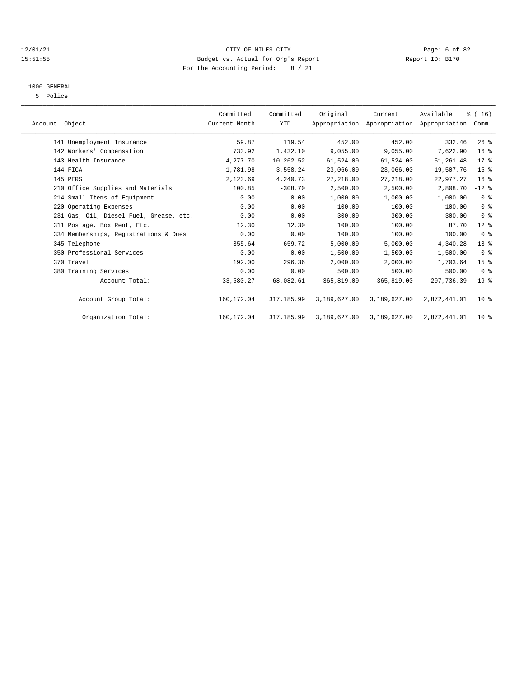#### 12/01/21 CITY OF MILES CITY Page: 6 of 82 15:51:55 Budget vs. Actual for Org's Report Report ID: B170 For the Accounting Period: 8 / 21

### 1000 GENERAL

5 Police

| Account Object                          | Committed<br>Current Month | Committed<br><b>YTD</b> | Original     | Current<br>Appropriation Appropriation Appropriation Comm. | Available    | % (16)          |  |
|-----------------------------------------|----------------------------|-------------------------|--------------|------------------------------------------------------------|--------------|-----------------|--|
| 141 Unemployment Insurance              | 59.87                      | 119.54                  | 452.00       | 452.00                                                     | 332.46       | 26%             |  |
| 142 Workers' Compensation               | 733.92                     | 1,432.10                | 9,055.00     | 9,055.00                                                   | 7,622.90     | 16 <sup>°</sup> |  |
| 143 Health Insurance                    | 4,277.70                   | 10,262.52               | 61,524.00    | 61,524.00                                                  | 51,261.48    | $17*$           |  |
| 144 FICA                                | 1,781.98                   | 3,558.24                | 23,066.00    | 23,066.00                                                  | 19,507.76    | 15 <sup>8</sup> |  |
| 145 PERS                                | 2,123.69                   | 4,240.73                | 27, 218.00   | 27, 218.00                                                 | 22,977.27    | 16 <sup>°</sup> |  |
| 210 Office Supplies and Materials       | 100.85                     | $-308.70$               | 2,500.00     | 2,500.00                                                   | 2,808.70     | $-12$ %         |  |
| 214 Small Items of Equipment            | 0.00                       | 0.00                    | 1,000.00     | 1,000.00                                                   | 1,000.00     | 0 <sup>8</sup>  |  |
| 220 Operating Expenses                  | 0.00                       | 0.00                    | 100.00       | 100.00                                                     | 100.00       | 0 <sup>8</sup>  |  |
| 231 Gas, Oil, Diesel Fuel, Grease, etc. | 0.00                       | 0.00                    | 300.00       | 300.00                                                     | 300.00       | 0 <sup>8</sup>  |  |
| 311 Postage, Box Rent, Etc.             | 12.30                      | 12.30                   | 100.00       | 100.00                                                     | 87.70        | $12*$           |  |
| 334 Memberships, Registrations & Dues   | 0.00                       | 0.00                    | 100.00       | 100.00                                                     | 100.00       | 0 <sup>8</sup>  |  |
| 345 Telephone                           | 355.64                     | 659.72                  | 5,000.00     | 5,000.00                                                   | 4,340.28     | $13*$           |  |
| 350 Professional Services               | 0.00                       | 0.00                    | 1,500.00     | 1,500.00                                                   | 1,500.00     | 0 <sup>8</sup>  |  |
| 370 Travel                              | 192.00                     | 296.36                  | 2,000.00     | 2,000.00                                                   | 1,703.64     | 15 <sup>°</sup> |  |
| 380 Training Services                   | 0.00                       | 0.00                    | 500.00       | 500.00                                                     | 500.00       | 0 <sup>8</sup>  |  |
| Account Total:                          | 33,580.27                  | 68,082.61               | 365,819.00   | 365,819.00                                                 | 297,736.39   | 19 <sup>8</sup> |  |
| Account Group Total:                    | 160,172.04                 | 317, 185.99             | 3,189,627.00 | 3,189,627.00                                               | 2,872,441.01 | 10 <sup>8</sup> |  |
| Organization Total:                     | 160, 172.04                | 317, 185.99             | 3,189,627.00 | 3,189,627.00                                               | 2,872,441.01 | 10 <sup>8</sup> |  |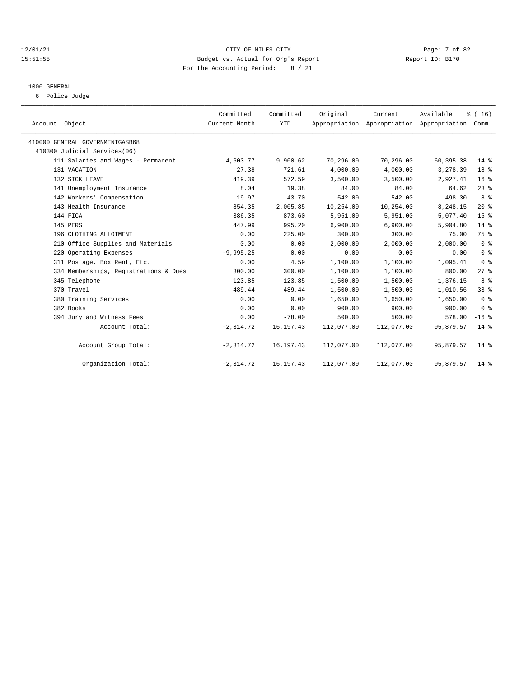#### 12/01/21 CITY OF MILES CITY Page: 7 of 82 15:51:55 Budget vs. Actual for Org's Report Report ID: B170 For the Accounting Period: 8 / 21

# 1000 GENERAL

6 Police Judge

| Account Object                        | Committed<br>Current Month | Committed<br><b>YTD</b> | Original   | Current    | Available<br>Appropriation Appropriation Appropriation Comm. | % (16)          |
|---------------------------------------|----------------------------|-------------------------|------------|------------|--------------------------------------------------------------|-----------------|
| 410000 GENERAL GOVERNMENTGASB68       |                            |                         |            |            |                                                              |                 |
| 410300 Judicial Services(06)          |                            |                         |            |            |                                                              |                 |
| 111 Salaries and Wages - Permanent    | 4,603.77                   | 9,900.62                | 70,296.00  | 70,296.00  | 60, 395. 38                                                  | $14*$           |
| 131 VACATION                          | 27.38                      | 721.61                  | 4,000.00   | 4,000.00   | 3,278.39                                                     | 18 <sup>8</sup> |
| 132 SICK LEAVE                        | 419.39                     | 572.59                  | 3,500.00   | 3,500.00   | 2,927.41                                                     | 16 <sup>8</sup> |
| 141 Unemployment Insurance            | 8.04                       | 19.38                   | 84.00      | 84.00      | 64.62                                                        | $23$ $%$        |
| 142 Workers' Compensation             | 19.97                      | 43.70                   | 542.00     | 542.00     | 498.30                                                       | 8 %             |
| 143 Health Insurance                  | 854.35                     | 2,005.85                | 10,254.00  | 10,254.00  | 8,248.15                                                     | $20*$           |
| 144 FICA                              | 386.35                     | 873.60                  | 5,951.00   | 5,951.00   | 5,077.40                                                     | 15 <sup>8</sup> |
| 145 PERS                              | 447.99                     | 995.20                  | 6.900.00   | 6.900.00   | 5,904.80                                                     | $14*$           |
| 196 CLOTHING ALLOTMENT                | 0.00                       | 225.00                  | 300.00     | 300.00     | 75.00                                                        | 75 %            |
| 210 Office Supplies and Materials     | 0.00                       | 0.00                    | 2,000.00   | 2,000.00   | 2,000.00                                                     | 0 <sup>8</sup>  |
| 220 Operating Expenses                | $-9,995.25$                | 0.00                    | 0.00       | 0.00       | 0.00                                                         | 0 <sup>8</sup>  |
| 311 Postage, Box Rent, Etc.           | 0.00                       | 4.59                    | 1,100.00   | 1,100.00   | 1,095.41                                                     | 0 <sup>8</sup>  |
| 334 Memberships, Registrations & Dues | 300.00                     | 300.00                  | 1,100.00   | 1,100.00   | 800.00                                                       | $27$ %          |
| 345 Telephone                         | 123.85                     | 123.85                  | 1,500.00   | 1,500.00   | 1,376.15                                                     | 8 %             |
| 370 Travel                            | 489.44                     | 489.44                  | 1,500.00   | 1,500.00   | 1,010.56                                                     | 33%             |
| 380 Training Services                 | 0.00                       | 0.00                    | 1,650.00   | 1,650.00   | 1,650.00                                                     | 0 <sup>8</sup>  |
| 382 Books                             | 0.00                       | 0.00                    | 900.00     | 900.00     | 900.00                                                       | 0 <sup>8</sup>  |
| 394 Jury and Witness Fees             | 0.00                       | $-78.00$                | 500.00     | 500.00     | 578.00                                                       | $-16$ %         |
| Account Total:                        | $-2, 314.72$               | 16, 197. 43             | 112,077.00 | 112,077.00 | 95,879.57                                                    | $14*$           |
| Account Group Total:                  | $-2, 314.72$               | 16, 197. 43             | 112,077.00 | 112,077.00 | 95,879.57                                                    | $14*$           |
| Organization Total:                   | $-2, 314.72$               | 16,197.43               | 112,077.00 | 112,077.00 | 95,879.57                                                    | $14*$           |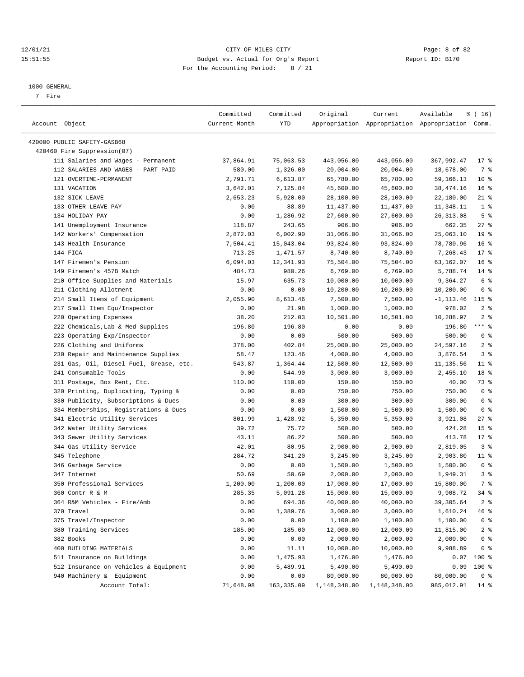#### 12/01/21 Page: 8 of 82<br>15:51:55 Budget vs. Actual for Org's Report Page: 8 of 82<br>15:51:55 Budget vs. Actual for Org's Report Physics Report ID: B170 15:51:55 Budget vs. Actual for Org's Report For the Accounting Period: 8 / 21

————————————————————————————————————————————————————————————————————————————————————————————————————————————————————————————————————

#### 1000 GENERAL

7 Fire

|                                         | Committed     | Committed  | Original     | Current      | Available                                       | % (16)          |
|-----------------------------------------|---------------|------------|--------------|--------------|-------------------------------------------------|-----------------|
| Account Object                          | Current Month | YTD        |              |              | Appropriation Appropriation Appropriation Comm. |                 |
|                                         |               |            |              |              |                                                 |                 |
| 420000 PUBLIC SAFETY-GASB68             |               |            |              |              |                                                 |                 |
| 420460 Fire Suppression(07)             |               |            |              |              |                                                 |                 |
| 111 Salaries and Wages - Permanent      | 37,864.91     | 75,063.53  | 443,056.00   | 443,056.00   | 367,992.47                                      | $17$ %          |
| 112 SALARIES AND WAGES - PART PAID      | 580.00        | 1,326.00   | 20,004.00    | 20,004.00    | 18,678.00                                       | 7 %             |
| 121 OVERTIME-PERMANENT                  | 2,791.71      | 6,613.87   | 65,780.00    | 65,780.00    | 59,166.13                                       | 10 <sup>°</sup> |
| 131 VACATION                            | 3,642.01      | 7,125.84   | 45,600.00    | 45,600.00    | 38, 474. 16                                     | 16 <sup>8</sup> |
| 132 SICK LEAVE                          | 2,653.23      | 5,920.00   | 28,100.00    | 28,100.00    | 22,180.00                                       | $21$ %          |
| 133 OTHER LEAVE PAY                     | 0.00          | 88.89      | 11,437.00    | 11,437.00    | 11,348.11                                       | 1 <sup>8</sup>  |
| 134 HOLIDAY PAY                         | 0.00          | 1,286.92   | 27,600.00    | 27,600.00    | 26, 313.08                                      | 5 <sup>8</sup>  |
| 141 Unemployment Insurance              | 118.87        | 243.65     | 906.00       | 906.00       | 662.35                                          | $27$ %          |
| 142 Workers' Compensation               | 2,872.03      | 6,002.90   | 31,066.00    | 31,066.00    | 25,063.10                                       | 19 <sup>°</sup> |
| 143 Health Insurance                    | 7,504.41      | 15,043.04  | 93,824.00    | 93,824.00    | 78,780.96                                       | 16 <sup>8</sup> |
| 144 FICA                                | 713.25        | 1,471.57   | 8,740.00     | 8,740.00     | 7,268.43                                        | $17$ %          |
| 147 Firemen's Pension                   | 6,094.03      | 12,341.93  | 75,504.00    | 75,504.00    | 63,162.07                                       | 16 <sup>8</sup> |
| 149 Firemen's 457B Match                | 484.73        | 980.26     | 6,769.00     | 6,769.00     | 5,788.74                                        | $14*$           |
| 210 Office Supplies and Materials       | 15.97         | 635.73     | 10,000.00    | 10,000.00    | 9,364.27                                        | 6 %             |
| 211 Clothing Allotment                  | 0.00          | 0.00       | 10,200.00    | 10,200.00    | 10,200.00                                       | 0 <sup>8</sup>  |
| 214 Small Items of Equipment            | 2,055.90      | 8,613.46   | 7,500.00     | 7,500.00     | -1,113.46                                       | $115$ %         |
| 217 Small Item Equ/Inspector            | 0.00          | 21.98      | 1,000.00     | 1,000.00     | 978.02                                          | 2 <sup>8</sup>  |
| 220 Operating Expenses                  | 38.20         | 212.03     | 10,501.00    | 10,501.00    | 10,288.97                                       | 2 <sup>8</sup>  |
| 222 Chemicals, Lab & Med Supplies       | 196.80        | 196.80     | 0.00         | 0.00         | $-196.80$                                       | $***$ $-$       |
| 223 Operating Exp/Inspector             | 0.00          | 0.00       | 500.00       | 500.00       | 500.00                                          | 0 <sup>8</sup>  |
| 226 Clothing and Uniforms               | 378.00        | 402.84     | 25,000.00    | 25,000.00    | 24,597.16                                       | 2 <sup>8</sup>  |
| 230 Repair and Maintenance Supplies     | 58.47         | 123.46     | 4,000.00     | 4,000.00     | 3,876.54                                        | 3%              |
| 231 Gas, Oil, Diesel Fuel, Grease, etc. | 543.87        | 1,364.44   | 12,500.00    | 12,500.00    | 11,135.56                                       | $11$ %          |
| 241 Consumable Tools                    | 0.00          | 544.90     | 3,000.00     | 3,000.00     | 2,455.10                                        | 18 <sup>8</sup> |
| 311 Postage, Box Rent, Etc.             | 110.00        | 110.00     | 150.00       | 150.00       | 40.00                                           | 73 %            |
| 320 Printing, Duplicating, Typing &     | 0.00          | 0.00       | 750.00       | 750.00       | 750.00                                          | 0 <sup>8</sup>  |
| 330 Publicity, Subscriptions & Dues     | 0.00          | 0.00       | 300.00       | 300.00       | 300.00                                          | 0 <sup>8</sup>  |
| 334 Memberships, Registrations & Dues   | 0.00          | 0.00       | 1,500.00     | 1,500.00     | 1,500.00                                        | 0 <sup>8</sup>  |
| 341 Electric Utility Services           | 801.99        | 1,428.92   | 5,350.00     | 5,350.00     | 3,921.08                                        | $27$ %          |
| 342 Water Utility Services              | 39.72         | 75.72      | 500.00       | 500.00       | 424.28                                          | 15 <sup>8</sup> |
| 343 Sewer Utility Services              | 43.11         | 86.22      | 500.00       | 500.00       | 413.78                                          | $17*$           |
| 344 Gas Utility Service                 | 42.01         | 80.95      | 2,900.00     | 2,900.00     | 2,819.05                                        | 3%              |
| 345 Telephone                           | 284.72        | 341.20     | 3,245.00     | 3,245.00     | 2,903.80                                        | $11$ %          |
| 346 Garbage Service                     | 0.00          | 0.00       | 1,500.00     | 1,500.00     | 1,500.00                                        | 0 <sup>8</sup>  |
| 347 Internet                            | 50.69         | 50.69      | 2,000.00     | 2,000.00     | 1,949.31                                        | 3%              |
| 350 Professional Services               | 1,200.00      | 1,200.00   | 17,000.00    | 17,000.00    | 15,800.00                                       | 7 %             |
| 360 Contr R & M                         | 285.35        | 5,091.28   | 15,000.00    | 15,000.00    | 9,908.72                                        | 34 %            |
| 364 R&M Vehicles - Fire/Amb             | 0.00          | 694.36     | 40,000.00    | 40,000.00    | 39, 305.64                                      | 2 <sup>8</sup>  |
| 370 Travel                              | 0.00          | 1,389.76   | 3,000.00     | 3,000.00     | 1,610.24                                        | 46 %            |
| 375 Travel/Inspector                    | 0.00          | 0.00       | 1,100.00     | 1,100.00     | 1,100.00                                        | 0 <sup>8</sup>  |
| 380 Training Services                   | 185.00        | 185.00     | 12,000.00    | 12,000.00    | 11,815.00                                       | 2 <sub>8</sub>  |
| 382 Books                               | 0.00          | 0.00       | 2,000.00     | 2,000.00     | 2,000.00                                        | 0 <sup>8</sup>  |
| 400 BUILDING MATERIALS                  | 0.00          | 11.11      | 10,000.00    | 10,000.00    | 9,988.89                                        | 0 <sup>8</sup>  |
| 511 Insurance on Buildings              | 0.00          | 1,475.93   | 1,476.00     | 1,476.00     | 0.07                                            | $100*$          |
| 512 Insurance on Vehicles & Equipment   | 0.00          | 5,489.91   | 5,490.00     | 5,490.00     | 0.09                                            | 100 %           |
| 940 Machinery & Equipment               | 0.00          | 0.00       | 80,000.00    | 80,000.00    | 80,000.00                                       | 0 <sup>8</sup>  |
| Account Total:                          | 71,648.98     | 163,335.09 | 1,148,348.00 | 1,148,348.00 | 985,012.91                                      | $14*$           |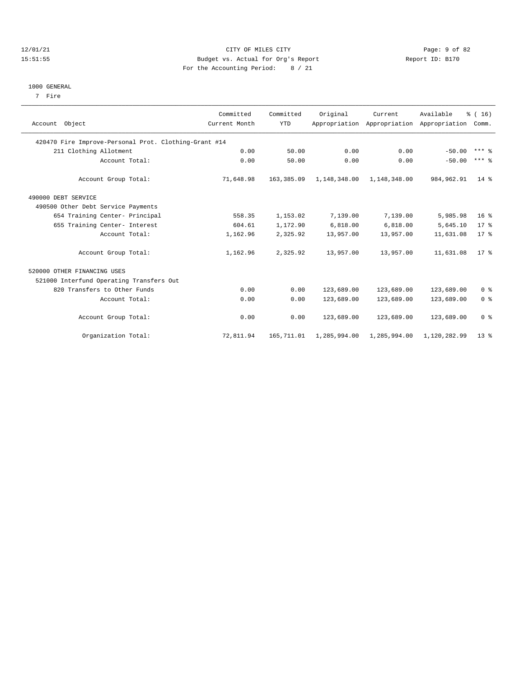#### 12/01/21 Page: 9 of 82<br>15:51:55 Budget vs. Actual for Org's Report Page: 9 of 82<br>15:51:55 Budget vs. Actual for Org's Report Physics Report ID: B170 15:51:55 Budget vs. Actual for Org's Report For the Accounting Period: 8 / 21

#### 1000 GENERAL

7 Fire

| Account Object                                        | Committed<br>Current Month | Committed<br><b>YTD</b> | Original                      | Current      | Available<br>Appropriation Appropriation Appropriation Comm. | % (16)          |
|-------------------------------------------------------|----------------------------|-------------------------|-------------------------------|--------------|--------------------------------------------------------------|-----------------|
| 420470 Fire Improve-Personal Prot. Clothing-Grant #14 |                            |                         |                               |              |                                                              |                 |
| 211 Clothing Allotment                                | 0.00                       | 50.00                   | 0.00                          | 0.00         | $-50.00$                                                     | $***$ %         |
| Account Total:                                        | 0.00                       | 50.00                   | 0.00                          | 0.00         | $-50.00$                                                     | $***$ $%$       |
| Account Group Total:                                  | 71,648.98                  | 163,385.09              | 1, 148, 348.00 1, 148, 348.00 |              | 984,962.91                                                   | $14*$           |
| 490000 DEBT SERVICE                                   |                            |                         |                               |              |                                                              |                 |
| 490500 Other Debt Service Payments                    |                            |                         |                               |              |                                                              |                 |
| 654 Training Center- Principal                        | 558.35                     | 1,153.02                | 7,139.00                      | 7,139.00     | 5,985.98                                                     | 16 <sup>8</sup> |
| 655 Training Center- Interest                         | 604.61                     | 1,172.90                | 6,818.00                      | 6,818.00     | 5,645.10                                                     | $17*$           |
| Account Total:                                        | 1,162.96                   | 2,325.92                | 13,957.00                     | 13,957.00    | 11,631.08                                                    | $17*$           |
| Account Group Total:                                  | 1,162.96                   | 2,325.92                | 13,957.00                     | 13,957.00    | 11,631.08                                                    | $17*$           |
| 520000 OTHER FINANCING USES                           |                            |                         |                               |              |                                                              |                 |
| 521000 Interfund Operating Transfers Out              |                            |                         |                               |              |                                                              |                 |
| 820 Transfers to Other Funds                          | 0.00                       | 0.00                    | 123,689.00                    | 123,689.00   | 123,689.00                                                   | 0 <sup>8</sup>  |
| Account Total:                                        | 0.00                       | 0.00                    | 123,689.00                    | 123,689.00   | 123,689.00                                                   | 0 <sup>8</sup>  |
| Account Group Total:                                  | 0.00                       | 0.00                    | 123,689.00                    | 123,689.00   | 123,689.00                                                   | 0 <sup>8</sup>  |
| Organization Total:                                   | 72,811.94                  | 165,711.01              | 1,285,994.00                  | 1,285,994.00 | 1,120,282.99                                                 | 13 <sup>8</sup> |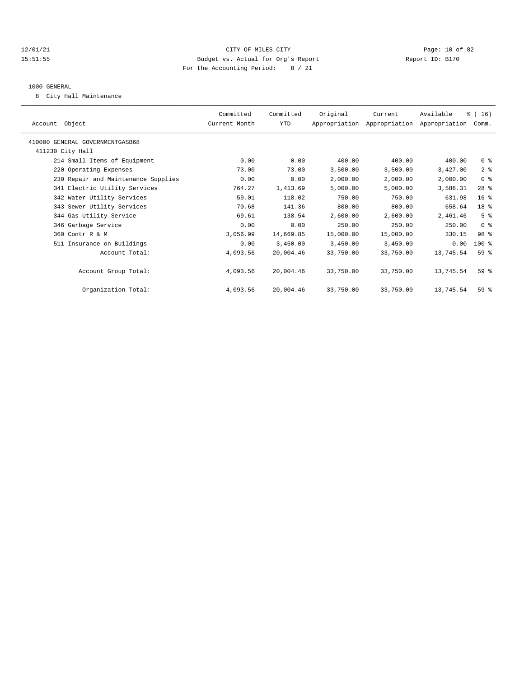#### 12/01/21 Page: 10 of 82 15:51:55 Budget vs. Actual for Org's Report Report ID: B170 For the Accounting Period: 8 / 21

#### 1000 GENERAL

8 City Hall Maintenance

|                                     | Committed     | Committed  | Original  | Current                                   | Available | % (16)          |
|-------------------------------------|---------------|------------|-----------|-------------------------------------------|-----------|-----------------|
| Account Object                      | Current Month | <b>YTD</b> |           | Appropriation Appropriation Appropriation |           | Comm.           |
| 410000 GENERAL GOVERNMENTGASB68     |               |            |           |                                           |           |                 |
| 411230 City Hall                    |               |            |           |                                           |           |                 |
| 214 Small Items of Equipment        | 0.00          | 0.00       | 400.00    | 400.00                                    | 400.00    | 0 <sup>8</sup>  |
| 220 Operating Expenses              | 73.00         | 73.00      | 3,500.00  | 3,500.00                                  | 3,427.00  | 2 <sup>8</sup>  |
| 230 Repair and Maintenance Supplies | 0.00          | 0.00       | 2,000.00  | 2,000.00                                  | 2,000.00  | 0 <sup>8</sup>  |
| 341 Electric Utility Services       | 764.27        | 1,413.69   | 5,000.00  | 5,000.00                                  | 3,586.31  | $28$ %          |
| 342 Water Utility Services          | 59.01         | 118.02     | 750.00    | 750.00                                    | 631.98    | 16 <sup>8</sup> |
| 343 Sewer Utility Services          | 70.68         | 141.36     | 800.00    | 800.00                                    | 658.64    | 18 %            |
| 344 Gas Utility Service             | 69.61         | 138.54     | 2,600.00  | 2,600.00                                  | 2,461.46  | 5 <sup>8</sup>  |
| 346 Garbage Service                 | 0.00          | 0.00       | 250.00    | 250.00                                    | 250.00    | 0 <sup>8</sup>  |
| 360 Contr R & M                     | 3,056.99      | 14,669.85  | 15,000.00 | 15,000.00                                 | 330.15    | 98 %            |
| 511 Insurance on Buildings          | 0.00          | 3,450.00   | 3,450.00  | 3,450.00                                  | 0.00      | 100 %           |
| Account Total:                      | 4,093.56      | 20,004.46  | 33,750.00 | 33,750.00                                 | 13,745.54 | 59%             |
|                                     |               |            |           |                                           |           |                 |
| Account Group Total:                | 4,093.56      | 20,004.46  | 33,750.00 | 33,750.00                                 | 13,745.54 | 59%             |
| Organization Total:                 | 4,093.56      | 20,004.46  | 33,750.00 | 33,750.00                                 | 13,745.54 | 59%             |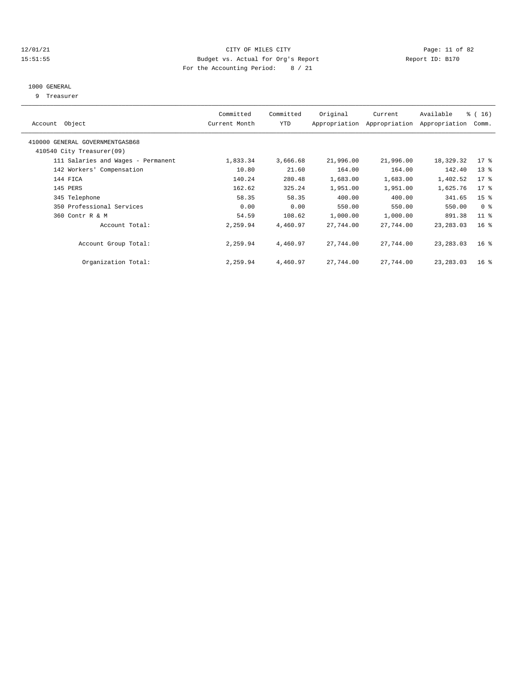#### 12/01/21 Page: 11 of 82 15:51:55 Budget vs. Actual for Org's Report Report ID: B170 For the Accounting Period: 8 / 21

#### 1000 GENERAL

9 Treasurer

| Account Object                                               | Committed<br>Current Month | Committed<br><b>YTD</b> | Original  | Current<br>Appropriation Appropriation | Available<br>Appropriation | $\frac{16}{3}$ (16)<br>Comm. |  |
|--------------------------------------------------------------|----------------------------|-------------------------|-----------|----------------------------------------|----------------------------|------------------------------|--|
| 410000 GENERAL GOVERNMENTGASB68<br>410540 City Treasurer(09) |                            |                         |           |                                        |                            |                              |  |
| 111 Salaries and Wages - Permanent                           | 1,833.34                   | 3,666.68                | 21,996.00 | 21,996.00                              | 18,329.32                  | $17$ %                       |  |
| 142 Workers' Compensation                                    | 10.80                      | 21.60                   | 164.00    | 164.00                                 | 142.40                     | $13*$                        |  |
| 144 FICA                                                     | 140.24                     | 280.48                  | 1,683.00  | 1,683.00                               | 1,402.52                   | $17*$                        |  |
| 145 PERS                                                     | 162.62                     | 325.24                  | 1,951.00  | 1,951.00                               | 1,625.76                   | $17*$                        |  |
| 345 Telephone                                                | 58.35                      | 58.35                   | 400.00    | 400.00                                 | 341.65                     | 15 <sup>8</sup>              |  |
| 350 Professional Services                                    | 0.00                       | 0.00                    | 550.00    | 550.00                                 | 550.00                     | 0 <sup>8</sup>               |  |
| 360 Contr R & M                                              | 54.59                      | 108.62                  | 1,000.00  | 1,000.00                               | 891.38                     | $11$ %                       |  |
| Account Total:                                               | 2,259.94                   | 4,460.97                | 27,744.00 | 27,744.00                              | 23, 283.03                 | 16 <sup>8</sup>              |  |
| Account Group Total:                                         | 2,259.94                   | 4,460.97                | 27,744.00 | 27,744.00                              | 23, 283.03                 | 16 <sup>8</sup>              |  |
| Organization Total:                                          | 2,259.94                   | 4,460.97                | 27,744.00 | 27,744.00                              | 23, 283.03                 | $16*$                        |  |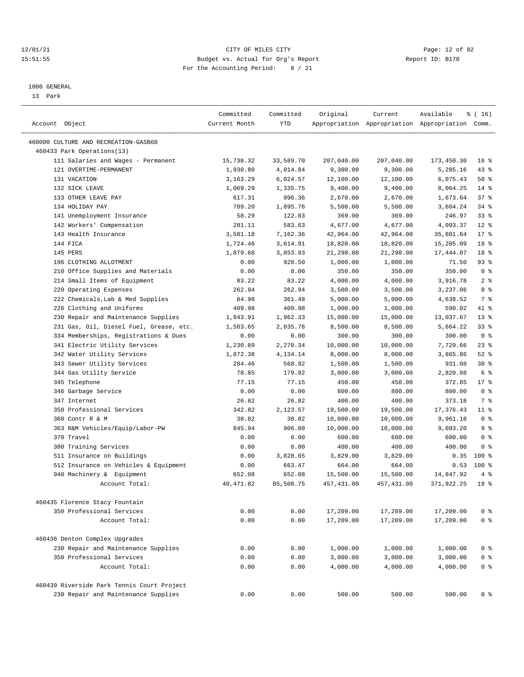#### 12/01/21 Page: 12 of 82<br>
12/01/21 Page: 12 of 82<br>
Budget vs. Actual for Org's Report Physics Report Report ID: B170 15:51:55 Budget vs. Actual for Org's Report For the Accounting Period: 8 / 21

————————————————————————————————————————————————————————————————————————————————————————————————————————————————————————————————————

#### 1000 GENERAL

13 Park

| Account Object                                                     | Committed<br>Current Month | Committed<br><b>YTD</b> | Original    | Current    | Available<br>Appropriation Appropriation Appropriation Comm. | % (16)                |
|--------------------------------------------------------------------|----------------------------|-------------------------|-------------|------------|--------------------------------------------------------------|-----------------------|
|                                                                    |                            |                         |             |            |                                                              |                       |
| 460000 CULTURE AND RECREATION-GASB68<br>460433 Park Operations(13) |                            |                         |             |            |                                                              |                       |
| 111 Salaries and Wages - Permanent                                 | 15,738.32                  | 33,589.70               | 207,040.00  | 207,040.00 | 173,450.30                                                   | 16 <sup>8</sup>       |
| 121 OVERTIME-PERMANENT                                             | 1,930.80                   | 4,014.84                | 9,300.00    | 9,300.00   |                                                              | $43$ %                |
| 131 VACATION                                                       | 3,163.29                   | 6,024.57                | 12,100.00   | 12,100.00  | 5,285.16<br>6,075.43                                         | 50%                   |
| 132 SICK LEAVE                                                     | 1,069.29                   | 1,335.75                | 9,400.00    | 9,400.00   | 8,064.25                                                     | 14 %                  |
| 133 OTHER LEAVE PAY                                                | 617.31                     | 996.36                  | 2,670.00    | 2,670.00   | 1,673.64                                                     | 37%                   |
| 134 HOLIDAY PAY                                                    | 789.20                     | 1,895.76                | 5,500.00    | 5,500.00   | 3,604.24                                                     | 34%                   |
| 141 Unemployment Insurance                                         | 58.29                      | 122.03                  | 369.00      | 369.00     | 246.97                                                       | $33$ $%$              |
| 142 Workers' Compensation                                          | 281.11                     | 583.63                  | 4,677.00    | 4,677.00   | 4,093.37                                                     | $12*$                 |
| 143 Health Insurance                                               | 3,581.18                   | 7.162.36                | 42,964.00   | 42,964.00  | 35,801.64                                                    | $17*$                 |
| 144 FICA                                                           | 1,724.46                   | 3,614.91                | 18,820.00   | 18,820.00  | 15,205.09                                                    | 19 <sup>°</sup>       |
| 145 PERS                                                           |                            | 3,853.93                |             |            |                                                              | 18 %                  |
|                                                                    | 1,879.68                   |                         | 21,298.00   | 21,298.00  | 17,444.07                                                    |                       |
| 196 CLOTHING ALLOTMENT                                             | 0.00                       | 928.50                  | 1,000.00    | 1,000.00   | 71.50                                                        | 93%<br>0 <sup>8</sup> |
| 210 Office Supplies and Materials                                  | 0.00                       | 0.00                    | 350.00      | 350.00     | 350.00                                                       |                       |
| 214 Small Items of Equipment<br>220 Operating Expenses             | 83.22<br>262.94            | 83.22<br>262.94         | 4,000.00    | 4,000.00   | 3,916.78                                                     | 2 <sup>8</sup><br>8 % |
|                                                                    |                            |                         | 3,500.00    | 3,500.00   | 3,237.06                                                     |                       |
| 222 Chemicals, Lab & Med Supplies                                  | 84.98                      | 361.48                  | 5,000.00    | 5,000.00   | 4,638.52                                                     | 7 %                   |
| 226 Clothing and Uniforms                                          | 409.98                     | 409.98                  | 1,000.00    | 1,000.00   | 590.02                                                       | 41 %                  |
| 230 Repair and Maintenance Supplies                                | 1,843.91                   | 1,962.33                | 15,000.00   | 15,000.00  | 13,037.67                                                    | $13*$                 |
| 231 Gas, Oil, Diesel Fuel, Grease, etc.                            | 1,503.65                   | 2,835.78                | 8,500.00    | 8,500.00   | 5,664.22                                                     | 33%                   |
| 334 Memberships, Registrations & Dues                              | 0.00                       | 0.00                    | 300.00      | 300.00     | 300.00                                                       | 0 <sup>8</sup>        |
| 341 Electric Utility Services                                      | 1,230.89                   | 2,270.34                | 10,000.00   | 10,000.00  | 7,729.66                                                     | $23$ %                |
| 342 Water Utility Services                                         | 1,872.38                   | 4,134.14                | 8,000.00    | 8,000.00   | 3,865.86                                                     | $52$ $%$              |
| 343 Sewer Utility Services                                         | 284.46                     | 568.92                  | 1,500.00    | 1,500.00   | 931.08                                                       | 38 %                  |
| 344 Gas Utility Service                                            | 78.85                      | 179.92                  | 3,000.00    | 3,000.00   | 2,820.08                                                     | 6 %                   |
| 345 Telephone                                                      | 77.15                      | 77.15                   | 450.00      | 450.00     | 372.85                                                       | $17*$                 |
| 346 Garbage Service                                                | 0.00                       | 0.00                    | 800.00      | 800.00     | 800.00                                                       | 0 <sup>8</sup>        |
| 347 Internet                                                       | 26.82                      | 26.82                   | 400.00      | 400.00     | 373.18                                                       | 7 %                   |
| 350 Professional Services                                          | 342.82                     | 2,123.57                | 19,500.00   | 19,500.00  | 17,376.43                                                    | $11$ %                |
| 360 Contr R & M                                                    | 38.82                      | 38.82                   | 10,000.00   | 10,000.00  | 9,961.18                                                     | 0 <sup>8</sup>        |
| 363 R&M Vehicles/Equip/Labor-PW                                    | 845.94                     | 906.80                  | 10,000.00   | 10,000.00  | 9,093.20                                                     | 9 <sup>8</sup>        |
| 370 Travel                                                         | 0.00                       | 0.00                    | 600.00      | 600.00     | 600.00                                                       | 0 <sup>8</sup>        |
| 380 Training Services                                              | 0.00                       | 0.00                    | 400.00      | 400.00     | 400.00                                                       | 0 <sup>8</sup>        |
| 511 Insurance on Buildings                                         | 0.00                       | 3,828.65                | 3,829.00    | 3,829.00   | 0.35                                                         | $100*$                |
| 512 Insurance on Vehicles & Equipment                              | 0.00                       | 663.47                  | 664.00      | 664.00     | 0.53                                                         | 100 %                 |
| 940 Machinery & Equipment                                          | 652.08                     | 652.08                  | 15,500.00   | 15,500.00  | 14,847.92                                                    | 4%                    |
| Account Total:                                                     | 40, 471.82                 | 85,508.75               | 457, 431.00 | 457,431.00 | 371,922.25                                                   | 19 <sup>°</sup>       |
| 460435 Florence Stacy Fountain                                     |                            |                         |             |            |                                                              |                       |
| 350 Professional Services                                          | 0.00                       | 0.00                    | 17,209.00   | 17,209.00  | 17,209.00                                                    | 0 <sup>8</sup>        |
| Account Total:                                                     | 0.00                       | 0.00                    | 17,209.00   | 17,209.00  | 17,209.00                                                    | 0 <sup>8</sup>        |
| 460436 Denton Complex Upgrades                                     |                            |                         |             |            |                                                              |                       |
| 230 Repair and Maintenance Supplies                                | 0.00                       | 0.00                    | 1,000.00    | 1,000.00   | 1,000.00                                                     | 0 <sup>8</sup>        |
| 350 Professional Services                                          | 0.00                       | 0.00                    | 3,000.00    | 3,000.00   | 3,000.00                                                     | 0 <sup>8</sup>        |
| Account Total:                                                     | 0.00                       | 0.00                    | 4,000.00    | 4,000.00   | 4,000.00                                                     | 0 <sup>8</sup>        |
| 460439 Riverside Park Tennis Court Project                         |                            |                         |             |            |                                                              |                       |
| 230 Repair and Maintenance Supplies                                | 0.00                       | 0.00                    | 500.00      | 500.00     | 500.00                                                       | 0 <sup>8</sup>        |
|                                                                    |                            |                         |             |            |                                                              |                       |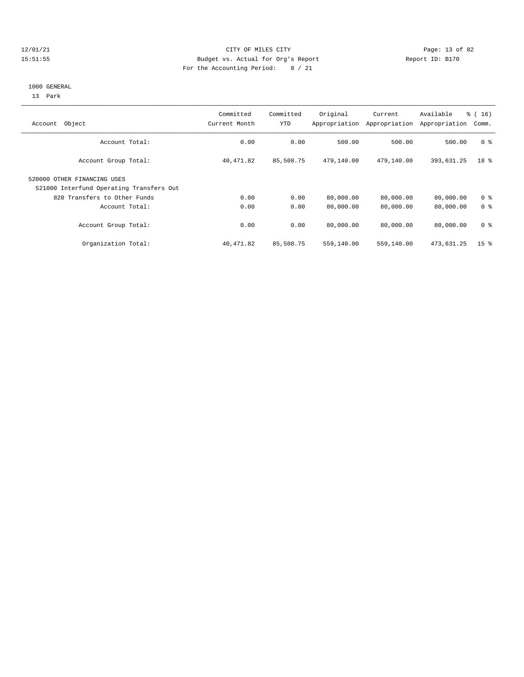#### 12/01/21 **CITY OF MILES CITY CITY CITY Page: 13 of 82** 15:51:55 Budget vs. Actual for Org's Report Report ID: B170 For the Accounting Period: 8 / 21

#### 1000 GENERAL

13 Park

| Object<br>Account                                                       | Committed<br>Current Month | Committed<br>YTD | Original<br>Appropriation | Current<br>Appropriation | Available<br>Appropriation | % (16)<br>Comm. |
|-------------------------------------------------------------------------|----------------------------|------------------|---------------------------|--------------------------|----------------------------|-----------------|
| Account Total:                                                          | 0.00                       | 0.00             | 500.00                    | 500.00                   | 500.00                     | 0 <sup>8</sup>  |
| Account Group Total:                                                    | 40,471.82                  | 85,508.75        | 479,140.00                | 479,140.00               | 393,631.25                 | 18 %            |
| 520000 OTHER FINANCING USES<br>521000 Interfund Operating Transfers Out |                            |                  |                           |                          |                            |                 |
| 820 Transfers to Other Funds                                            | 0.00                       | 0.00             | 80,000.00                 | 80,000.00                | 80,000.00                  | 0 <sup>8</sup>  |
| Account Total:                                                          | 0.00                       | 0.00             | 80,000.00                 | 80,000.00                | 80,000.00                  | 0 <sup>8</sup>  |
| Account Group Total:                                                    | 0.00                       | 0.00             | 80,000.00                 | 80,000.00                | 80,000.00                  | 0 <sup>8</sup>  |
| Organization Total:                                                     | 40,471.82                  | 85,508.75        | 559,140.00                | 559,140.00               | 473,631.25                 | 15 <sup>8</sup> |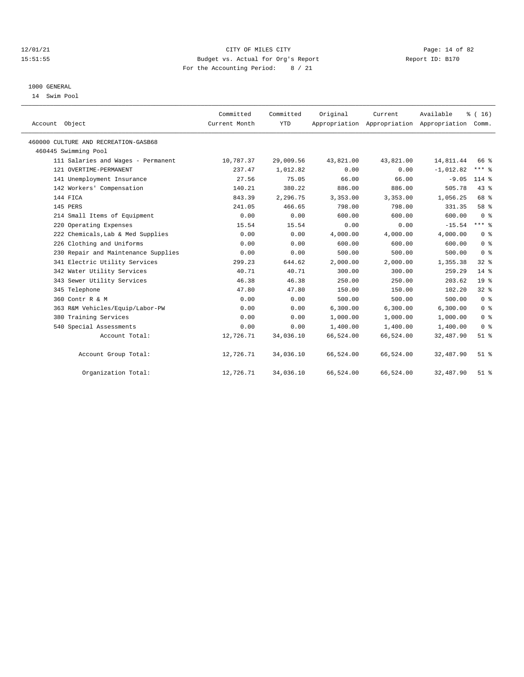#### 12/01/21 Page: 14 of 82 15:51:55 Budget vs. Actual for Org's Report Report ID: B170 For the Accounting Period: 8 / 21

### 1000 GENERAL

14 Swim Pool

| Account Object                       | Committed<br>Current Month | Committed<br><b>YTD</b> | Original  | Current   | Available<br>Appropriation Appropriation Appropriation | % (16)<br>Comm. |
|--------------------------------------|----------------------------|-------------------------|-----------|-----------|--------------------------------------------------------|-----------------|
| 460000 CULTURE AND RECREATION-GASB68 |                            |                         |           |           |                                                        |                 |
| 460445 Swimming Pool                 |                            |                         |           |           |                                                        |                 |
| 111 Salaries and Wages - Permanent   | 10,787.37                  | 29,009.56               | 43,821.00 | 43,821.00 | 14,811.44                                              | 66 %            |
| 121 OVERTIME-PERMANENT               | 237.47                     | 1,012.82                | 0.00      | 0.00      | $-1,012.82$                                            | $***$ $%$       |
| 141 Unemployment Insurance           | 27.56                      | 75.05                   | 66.00     | 66.00     | $-9.05$                                                | $114*$          |
| 142 Workers' Compensation            | 140.21                     | 380.22                  | 886.00    | 886.00    | 505.78                                                 | 43%             |
| 144 FICA                             | 843.39                     | 2,296.75                | 3,353.00  | 3,353.00  | 1,056.25                                               | 68 %            |
| 145 PERS                             | 241.05                     | 466.65                  | 798.00    | 798.00    | 331.35                                                 | 58 %            |
| 214 Small Items of Equipment         | 0.00                       | 0.00                    | 600.00    | 600.00    | 600.00                                                 | 0 <sup>8</sup>  |
| 220 Operating Expenses               | 15.54                      | 15.54                   | 0.00      | 0.00      | $-15.54$                                               | $***$ $%$       |
| 222 Chemicals, Lab & Med Supplies    | 0.00                       | 0.00                    | 4,000.00  | 4,000.00  | 4,000.00                                               | 0 <sup>8</sup>  |
| 226 Clothing and Uniforms            | 0.00                       | 0.00                    | 600.00    | 600.00    | 600.00                                                 | 0 <sup>8</sup>  |
| 230 Repair and Maintenance Supplies  | 0.00                       | 0.00                    | 500.00    | 500.00    | 500.00                                                 | 0 <sup>8</sup>  |
| 341 Electric Utility Services        | 299.23                     | 644.62                  | 2,000.00  | 2,000.00  | 1,355.38                                               | 32%             |
| 342 Water Utility Services           | 40.71                      | 40.71                   | 300.00    | 300.00    | 259.29                                                 | $14*$           |
| 343 Sewer Utility Services           | 46.38                      | 46.38                   | 250.00    | 250.00    | 203.62                                                 | 19 <sup>°</sup> |
| 345 Telephone                        | 47.80                      | 47.80                   | 150.00    | 150.00    | 102.20                                                 | 32%             |
| 360 Contr R & M                      | 0.00                       | 0.00                    | 500.00    | 500.00    | 500.00                                                 | 0 <sup>8</sup>  |
| 363 R&M Vehicles/Equip/Labor-PW      | 0.00                       | 0.00                    | 6, 300.00 | 6,300.00  | 6, 300.00                                              | 0 <sup>8</sup>  |
| 380 Training Services                | 0.00                       | 0.00                    | 1,000.00  | 1,000.00  | 1,000.00                                               | 0 <sup>8</sup>  |
| 540 Special Assessments              | 0.00                       | 0.00                    | 1,400.00  | 1,400.00  | 1,400.00                                               | 0 <sup>8</sup>  |
| Account Total:                       | 12,726.71                  | 34,036.10               | 66,524.00 | 66,524.00 | 32,487.90                                              | $51$ %          |
| Account Group Total:                 | 12,726.71                  | 34,036.10               | 66,524.00 | 66,524.00 | 32,487.90                                              | $51$ %          |
| Organization Total:                  | 12,726.71                  | 34,036.10               | 66,524.00 | 66,524.00 | 32,487.90                                              | $51$ $%$        |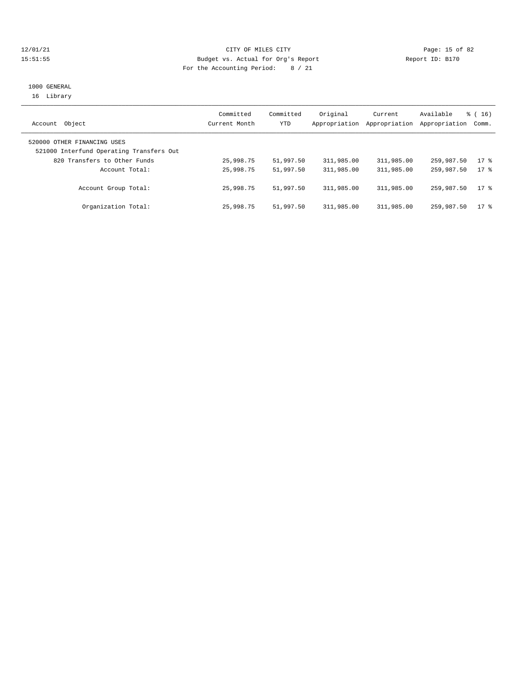#### 12/01/21 Page: 15 of 82 15:51:55 Budget vs. Actual for Org's Report Report ID: B170 For the Accounting Period: 8 / 21

## 1000 GENERAL 16 Library

| Object<br>Account                                                       | Committed<br>Current Month | Committed<br>YTD | Original   | Current<br>Appropriation Appropriation | Available<br>Appropriation Comm. | $\frac{3}{2}$ ( 16 ) |
|-------------------------------------------------------------------------|----------------------------|------------------|------------|----------------------------------------|----------------------------------|----------------------|
| 520000 OTHER FINANCING USES<br>521000 Interfund Operating Transfers Out |                            |                  |            |                                        |                                  |                      |
| 820 Transfers to Other Funds                                            | 25,998.75                  | 51,997.50        | 311,985.00 | 311,985.00                             | 259,987.50                       | $17$ %               |
| Account Total:                                                          | 25,998.75                  | 51,997.50        | 311,985.00 | 311,985.00                             | 259,987.50                       | $17*$                |
| Account Group Total:                                                    | 25,998.75                  | 51,997.50        | 311,985.00 | 311,985.00                             | 259,987.50                       | $17*$                |
| Organization Total:                                                     | 25,998.75                  | 51,997.50        | 311,985.00 | 311,985.00                             | 259,987.50                       | $17$ %               |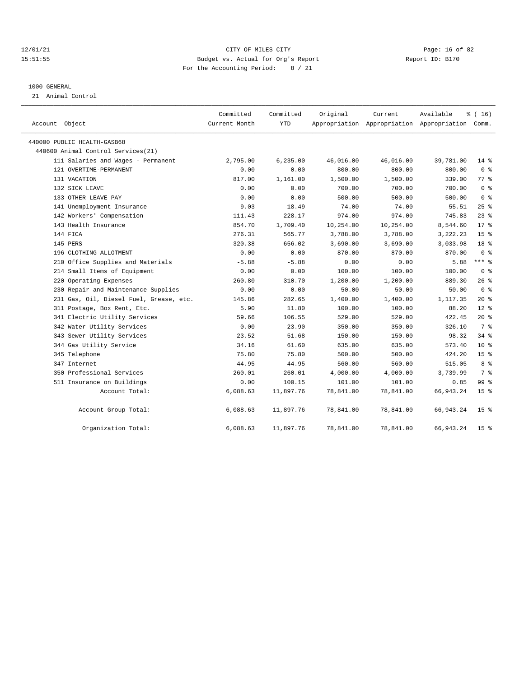#### 12/01/21 Page: 16 of 82 15:51:55 Budget vs. Actual for Org's Report Report ID: B170 For the Accounting Period: 8 / 21

#### 1000 GENERAL

21 Animal Control

| Account Object                          | Committed<br>Current Month | Committed<br>YTD | Original  | Current   | Available<br>Appropriation Appropriation Appropriation Comm. | $*(16)$         |
|-----------------------------------------|----------------------------|------------------|-----------|-----------|--------------------------------------------------------------|-----------------|
| 440000 PUBLIC HEALTH-GASB68             |                            |                  |           |           |                                                              |                 |
| 440600 Animal Control Services (21)     |                            |                  |           |           |                                                              |                 |
| 111 Salaries and Wages - Permanent      | 2,795.00                   | 6, 235.00        | 46,016.00 | 46,016.00 | 39,781.00                                                    | $14*$           |
| 121 OVERTIME-PERMANENT                  | 0.00                       | 0.00             | 800.00    | 800.00    | 800.00                                                       | 0 <sup>8</sup>  |
| 131 VACATION                            | 817.00                     | 1,161.00         | 1,500.00  | 1,500.00  | 339.00                                                       | 77 %            |
| 132 SICK LEAVE                          | 0.00                       | 0.00             | 700.00    | 700.00    | 700.00                                                       | 0 <sup>8</sup>  |
| 133 OTHER LEAVE PAY                     | 0.00                       | 0.00             | 500.00    | 500.00    | 500.00                                                       | 0 <sup>8</sup>  |
| 141 Unemployment Insurance              | 9.03                       | 18.49            | 74.00     | 74.00     | 55.51                                                        | $25$ %          |
| 142 Workers' Compensation               | 111.43                     | 228.17           | 974.00    | 974.00    | 745.83                                                       | $23$ $%$        |
| 143 Health Insurance                    | 854.70                     | 1,709.40         | 10,254.00 | 10,254.00 | 8,544.60                                                     | $17*$           |
| 144 FICA                                | 276.31                     | 565.77           | 3,788.00  | 3,788.00  | 3,222.23                                                     | 15 <sup>8</sup> |
| 145 PERS                                | 320.38                     | 656.02           | 3,690.00  | 3,690.00  | 3,033.98                                                     | 18 <sup>8</sup> |
| 196 CLOTHING ALLOTMENT                  | 0.00                       | 0.00             | 870.00    | 870.00    | 870.00                                                       | 0 <sup>8</sup>  |
| 210 Office Supplies and Materials       | $-5.88$                    | $-5.88$          | 0.00      | 0.00      | 5.88                                                         | $***$ $%$       |
| 214 Small Items of Equipment            | 0.00                       | 0.00             | 100.00    | 100.00    | 100.00                                                       | 0 <sup>8</sup>  |
| 220 Operating Expenses                  | 260.80                     | 310.70           | 1,200.00  | 1,200.00  | 889.30                                                       | 26%             |
| 230 Repair and Maintenance Supplies     | 0.00                       | 0.00             | 50.00     | 50.00     | 50.00                                                        | 0 <sup>8</sup>  |
| 231 Gas, Oil, Diesel Fuel, Grease, etc. | 145.86                     | 282.65           | 1,400.00  | 1,400.00  | 1,117.35                                                     | $20*$           |
| 311 Postage, Box Rent, Etc.             | 5.90                       | 11.80            | 100.00    | 100.00    | 88.20                                                        | $12*$           |
| 341 Electric Utility Services           | 59.66                      | 106.55           | 529.00    | 529.00    | 422.45                                                       | $20*$           |
| 342 Water Utility Services              | 0.00                       | 23.90            | 350.00    | 350.00    | 326.10                                                       | 7 %             |
| 343 Sewer Utility Services              | 23.52                      | 51.68            | 150.00    | 150.00    | 98.32                                                        | 34 %            |
| 344 Gas Utility Service                 | 34.16                      | 61.60            | 635.00    | 635.00    | 573.40                                                       | $10*$           |
| 345 Telephone                           | 75.80                      | 75.80            | 500.00    | 500.00    | 424.20                                                       | 15 %            |
| 347 Internet                            | 44.95                      | 44.95            | 560.00    | 560.00    | 515.05                                                       | 8 %             |
| 350 Professional Services               | 260.01                     | 260.01           | 4,000.00  | 4,000.00  | 3,739.99                                                     | 7 %             |
| 511 Insurance on Buildings              | 0.00                       | 100.15           | 101.00    | 101.00    | 0.85                                                         | 99 <sub>8</sub> |
| Account Total:                          | 6,088.63                   | 11,897.76        | 78,841.00 | 78,841.00 | 66,943.24                                                    | 15 <sup>8</sup> |
| Account Group Total:                    | 6,088.63                   | 11,897.76        | 78,841.00 | 78,841.00 | 66,943.24                                                    | 15 <sup>8</sup> |
| Organization Total:                     | 6,088.63                   | 11,897.76        | 78,841.00 | 78,841.00 | 66,943.24                                                    | 15 <sup>8</sup> |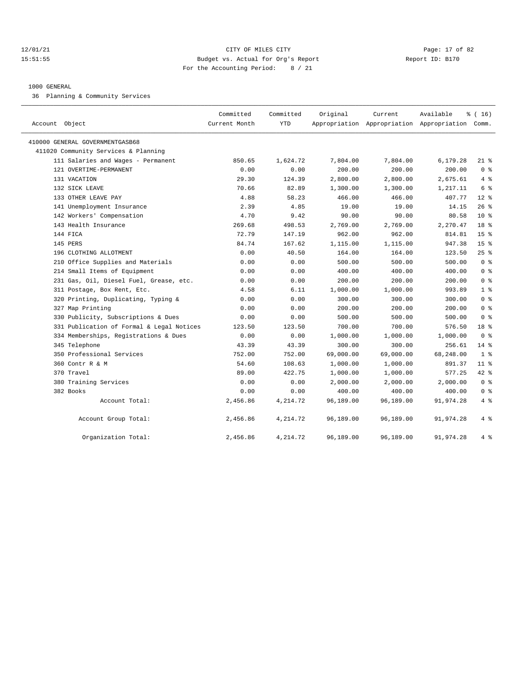#### 12/01/21 Page: 17 of 82 15:51:55 Budget vs. Actual for Org's Report Report ID: B170 For the Accounting Period: 8 / 21

#### 1000 GENERAL

36 Planning & Community Services

| Account Object                            | Committed<br>Current Month | Committed<br><b>YTD</b> | Original  | Current   | Available<br>Appropriation Appropriation Appropriation Comm. | % (16)          |
|-------------------------------------------|----------------------------|-------------------------|-----------|-----------|--------------------------------------------------------------|-----------------|
| 410000 GENERAL GOVERNMENTGASB68           |                            |                         |           |           |                                                              |                 |
| 411020 Community Services & Planning      |                            |                         |           |           |                                                              |                 |
| 111 Salaries and Wages - Permanent        | 850.65                     | 1,624.72                | 7,804.00  | 7,804.00  | 6,179.28                                                     | $21*$           |
| 121 OVERTIME-PERMANENT                    | 0.00                       | 0.00                    | 200.00    | 200.00    | 200.00                                                       | 0 <sup>8</sup>  |
| 131 VACATION                              | 29.30                      | 124.39                  | 2,800.00  | 2,800.00  | 2,675.61                                                     | 4%              |
| 132 SICK LEAVE                            | 70.66                      | 82.89                   | 1,300.00  | 1,300.00  | 1,217.11                                                     | 6 %             |
| 133 OTHER LEAVE PAY                       | 4.88                       | 58.23                   | 466.00    | 466.00    | 407.77                                                       | $12*$           |
| 141 Unemployment Insurance                | 2.39                       | 4.85                    | 19.00     | 19.00     | 14.15                                                        | 26%             |
| 142 Workers' Compensation                 | 4.70                       | 9.42                    | 90.00     | 90.00     | 80.58                                                        | $10*$           |
| 143 Health Insurance                      | 269.68                     | 498.53                  | 2,769.00  | 2,769.00  | 2,270.47                                                     | 18 <sup>8</sup> |
| 144 FICA                                  | 72.79                      | 147.19                  | 962.00    | 962.00    | 814.81                                                       | 15 <sup>°</sup> |
| 145 PERS                                  | 84.74                      | 167.62                  | 1,115.00  | 1,115.00  | 947.38                                                       | 15 <sup>8</sup> |
| 196 CLOTHING ALLOTMENT                    | 0.00                       | 40.50                   | 164.00    | 164.00    | 123.50                                                       | 25%             |
| 210 Office Supplies and Materials         | 0.00                       | 0.00                    | 500.00    | 500.00    | 500.00                                                       | 0 <sup>8</sup>  |
| 214 Small Items of Equipment              | 0.00                       | 0.00                    | 400.00    | 400.00    | 400.00                                                       | 0 <sup>8</sup>  |
| 231 Gas, Oil, Diesel Fuel, Grease, etc.   | 0.00                       | 0.00                    | 200.00    | 200.00    | 200.00                                                       | 0 <sup>8</sup>  |
| 311 Postage, Box Rent, Etc.               | 4.58                       | 6.11                    | 1,000.00  | 1,000.00  | 993.89                                                       | 1 <sup>8</sup>  |
| 320 Printing, Duplicating, Typing &       | 0.00                       | 0.00                    | 300.00    | 300.00    | 300.00                                                       | 0 <sup>8</sup>  |
| 327 Map Printing                          | 0.00                       | 0.00                    | 200.00    | 200.00    | 200.00                                                       | 0 <sup>8</sup>  |
| 330 Publicity, Subscriptions & Dues       | 0.00                       | 0.00                    | 500.00    | 500.00    | 500.00                                                       | 0 <sup>8</sup>  |
| 331 Publication of Formal & Legal Notices | 123.50                     | 123.50                  | 700.00    | 700.00    | 576.50                                                       | 18 %            |
| 334 Memberships, Registrations & Dues     | 0.00                       | 0.00                    | 1,000.00  | 1,000.00  | 1,000.00                                                     | 0 <sup>8</sup>  |
| 345 Telephone                             | 43.39                      | 43.39                   | 300.00    | 300.00    | 256.61                                                       | $14*$           |
| 350 Professional Services                 | 752.00                     | 752.00                  | 69,000.00 | 69,000.00 | 68,248.00                                                    | 1 <sup>8</sup>  |
| 360 Contr R & M                           | 54.60                      | 108.63                  | 1,000.00  | 1,000.00  | 891.37                                                       | 11 <sup>8</sup> |
| 370 Travel                                | 89.00                      | 422.75                  | 1,000.00  | 1,000.00  | 577.25                                                       | $42$ %          |
| 380 Training Services                     | 0.00                       | 0.00                    | 2,000.00  | 2,000.00  | 2,000.00                                                     | 0 <sup>8</sup>  |
| 382 Books                                 | 0.00                       | 0.00                    | 400.00    | 400.00    | 400.00                                                       | 0 <sup>8</sup>  |
| Account Total:                            | 2,456.86                   | 4,214.72                | 96,189.00 | 96,189.00 | 91,974.28                                                    | 4%              |
| Account Group Total:                      | 2,456.86                   | 4,214.72                | 96,189.00 | 96,189.00 | 91,974.28                                                    | 4%              |
| Organization Total:                       | 2,456.86                   | 4,214.72                | 96,189.00 | 96,189.00 | 91,974.28                                                    | 4%              |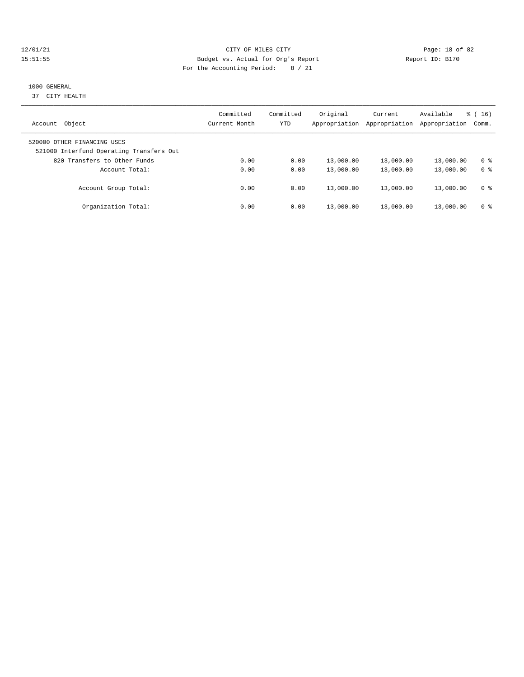#### 12/01/21 Page: 18 of 82 15:51:55 Budget vs. Actual for Org's Report Report ID: B170 For the Accounting Period: 8 / 21

# 1000 GENERAL

37 CITY HEALTH

| Object<br>Account                                                       | Committed<br>Current Month | Committed<br>YTD | Original<br>Appropriation | Current<br>Appropriation | Available<br>Appropriation | $\frac{1}{6}$ (16)<br>Comm. |
|-------------------------------------------------------------------------|----------------------------|------------------|---------------------------|--------------------------|----------------------------|-----------------------------|
| 520000 OTHER FINANCING USES<br>521000 Interfund Operating Transfers Out |                            |                  |                           |                          |                            |                             |
| 820 Transfers to Other Funds                                            | 0.00                       | 0.00             | 13,000.00                 | 13,000.00                | 13,000.00                  | 0 %                         |
| Account Total:                                                          | 0.00                       | 0.00             | 13,000.00                 | 13,000.00                | 13,000.00                  | 0 %                         |
| Account Group Total:                                                    | 0.00                       | 0.00             | 13,000.00                 | 13,000.00                | 13,000.00                  | 0 <sup>8</sup>              |
| Organization Total:                                                     | 0.00                       | 0.00             | 13,000.00                 | 13,000.00                | 13,000.00                  | 0 %                         |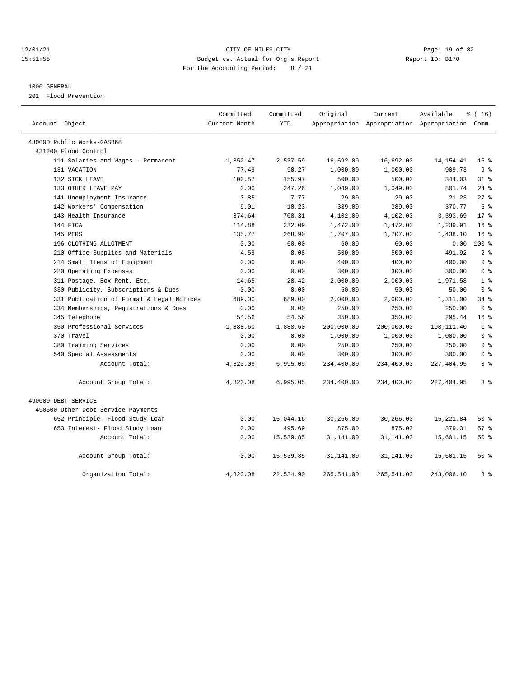#### 12/01/21 Page: 19 of 82 15:51:55 Budget vs. Actual for Org's Report Report ID: B170 For the Accounting Period: 8 / 21

#### 1000 GENERAL

201 Flood Prevention

| Account Object                            | Committed<br>Current Month | Committed<br><b>YTD</b> | Original   | Current<br>Appropriation Appropriation Appropriation Comm. | Available   | $*(16)$         |
|-------------------------------------------|----------------------------|-------------------------|------------|------------------------------------------------------------|-------------|-----------------|
| 430000 Public Works-GASB68                |                            |                         |            |                                                            |             |                 |
| 431200 Flood Control                      |                            |                         |            |                                                            |             |                 |
| 111 Salaries and Wages - Permanent        | 1,352.47                   | 2,537.59                | 16,692.00  | 16,692.00                                                  | 14, 154. 41 | 15 <sup>8</sup> |
| 131 VACATION                              | 77.49                      | 90.27                   | 1,000.00   | 1,000.00                                                   | 909.73      | 9 <sup>8</sup>  |
| 132 SICK LEAVE                            | 100.57                     | 155.97                  | 500.00     | 500.00                                                     | 344.03      | $31*$           |
| 133 OTHER LEAVE PAY                       | 0.00                       | 247.26                  | 1,049.00   | 1,049.00                                                   | 801.74      | 24%             |
| 141 Unemployment Insurance                | 3.85                       | 7.77                    | 29.00      | 29.00                                                      | 21.23       | 27%             |
| 142 Workers' Compensation                 | 9.01                       | 18.23                   | 389.00     | 389.00                                                     | 370.77      | 5 <sup>8</sup>  |
| 143 Health Insurance                      | 374.64                     | 708.31                  | 4,102.00   | 4,102.00                                                   | 3,393.69    | $17*$           |
| 144 FICA                                  | 114.88                     | 232.09                  | 1,472.00   | 1,472.00                                                   | 1,239.91    | 16 <sup>8</sup> |
| 145 PERS                                  | 135.77                     | 268.90                  | 1,707.00   | 1,707.00                                                   | 1,438.10    | 16 <sup>8</sup> |
| 196 CLOTHING ALLOTMENT                    | 0.00                       | 60.00                   | 60.00      | 60.00                                                      | 0.00        | 100 %           |
| 210 Office Supplies and Materials         | 4.59                       | 8.08                    | 500.00     | 500.00                                                     | 491.92      | 2 <sup>8</sup>  |
| 214 Small Items of Equipment              | 0.00                       | 0.00                    | 400.00     | 400.00                                                     | 400.00      | 0 <sup>8</sup>  |
| 220 Operating Expenses                    | 0.00                       | 0.00                    | 300.00     | 300.00                                                     | 300.00      | 0 <sup>8</sup>  |
| 311 Postage, Box Rent, Etc.               | 14.65                      | 28.42                   | 2,000.00   | 2,000.00                                                   | 1,971.58    | 1 <sup>8</sup>  |
| 330 Publicity, Subscriptions & Dues       | 0.00                       | 0.00                    | 50.00      | 50.00                                                      | 50.00       | 0 <sup>8</sup>  |
| 331 Publication of Formal & Legal Notices | 689.00                     | 689.00                  | 2,000.00   | 2,000.00                                                   | 1,311.00    | 34%             |
| 334 Memberships, Registrations & Dues     | 0.00                       | 0.00                    | 250.00     | 250.00                                                     | 250.00      | 0 <sup>8</sup>  |
| 345 Telephone                             | 54.56                      | 54.56                   | 350.00     | 350.00                                                     | 295.44      | 16 <sup>8</sup> |
| 350 Professional Services                 | 1,888.60                   | 1,888.60                | 200,000.00 | 200,000.00                                                 | 198,111.40  | 1 <sup>8</sup>  |
| 370 Travel                                | 0.00                       | 0.00                    | 1,000.00   | 1,000.00                                                   | 1,000.00    | 0 <sup>8</sup>  |
| 380 Training Services                     | 0.00                       | 0.00                    | 250.00     | 250.00                                                     | 250.00      | 0 <sup>8</sup>  |
| 540 Special Assessments                   | 0.00                       | 0.00                    | 300.00     | 300.00                                                     | 300.00      | 0 <sup>8</sup>  |
| Account Total:                            | 4,820.08                   | 6,995.05                | 234,400.00 | 234,400.00                                                 | 227, 404.95 | 3 <sup>8</sup>  |
| Account Group Total:                      | 4,820.08                   | 6,995.05                | 234,400.00 | 234,400.00                                                 | 227,404.95  | 3%              |
| 490000 DEBT SERVICE                       |                            |                         |            |                                                            |             |                 |
| 490500 Other Debt Service Payments        |                            |                         |            |                                                            |             |                 |
| 652 Principle- Flood Study Loan           | 0.00                       | 15,044.16               | 30,266.00  | 30,266.00                                                  | 15,221.84   | $50*$           |
| 653 Interest- Flood Study Loan            | 0.00                       | 495.69                  | 875.00     | 875.00                                                     | 379.31      | 57%             |
| Account Total:                            | 0.00                       | 15,539.85               | 31,141.00  | 31,141.00                                                  | 15,601.15   | $50*$           |
| Account Group Total:                      | 0.00                       | 15,539.85               | 31,141.00  | 31,141.00                                                  | 15,601.15   | 50%             |
| Organization Total:                       | 4,820.08                   | 22,534.90               | 265,541.00 | 265,541.00                                                 | 243,006.10  | 8 %             |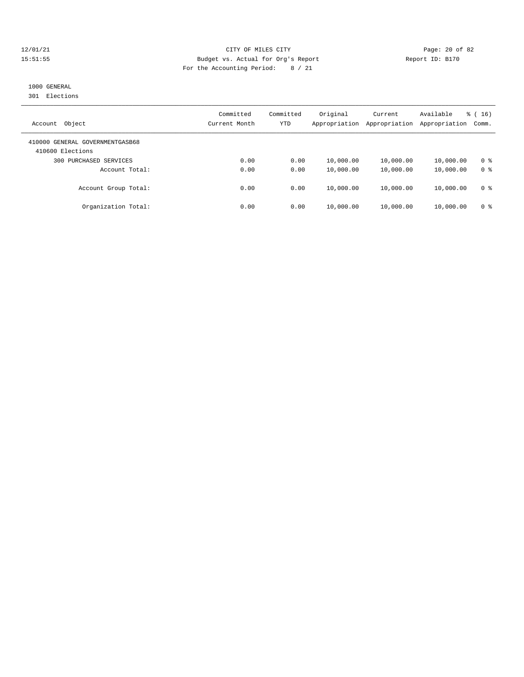#### 12/01/21 Page: 20 of 82 15:51:55 Budget vs. Actual for Org's Report Report ID: B170 For the Accounting Period: 8 / 21

# 1000 GENERAL

301 Elections

| Object<br>Account                                   | Committed<br>Current Month | Committed<br>YTD | Original<br>Appropriation | Current<br>Appropriation | Available<br>Appropriation | $\frac{3}{2}$ ( 16 )<br>Comm. |
|-----------------------------------------------------|----------------------------|------------------|---------------------------|--------------------------|----------------------------|-------------------------------|
| 410000 GENERAL GOVERNMENTGASB68<br>410600 Elections |                            |                  |                           |                          |                            |                               |
| PURCHASED SERVICES<br>300                           | 0.00                       | 0.00             | 10,000.00                 | 10,000.00                | 10,000.00                  | 0 %                           |
| Account Total:                                      | 0.00                       | 0.00             | 10,000.00                 | 10,000.00                | 10,000.00                  | 0 <sup>8</sup>                |
| Account Group Total:                                | 0.00                       | 0.00             | 10,000.00                 | 10,000.00                | 10,000.00                  | 0 <sup>8</sup>                |
| Organization Total:                                 | 0.00                       | 0.00             | 10,000.00                 | 10,000.00                | 10,000.00                  | 0 %                           |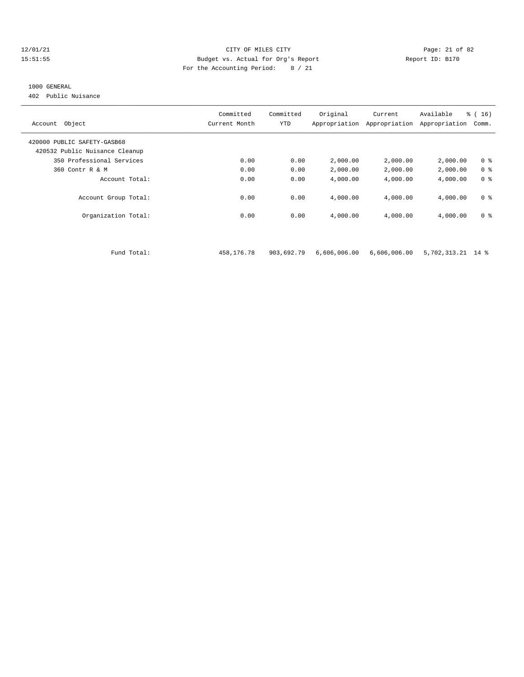#### 12/01/21 Page: 21 of 82 15:51:55 Budget vs. Actual for Org's Report Report ID: B170 For the Accounting Period: 8 / 21

#### 1000 GENERAL

402 Public Nuisance

| Object<br>Account              | Committed<br>Current Month | Committed<br><b>YTD</b> | Original<br>Appropriation | Current<br>Appropriation | Available<br>Appropriation | % (16)<br>Comm. |
|--------------------------------|----------------------------|-------------------------|---------------------------|--------------------------|----------------------------|-----------------|
| 420000 PUBLIC SAFETY-GASB68    |                            |                         |                           |                          |                            |                 |
| 420532 Public Nuisance Cleanup |                            |                         |                           |                          |                            |                 |
| 350 Professional Services      | 0.00                       | 0.00                    | 2,000.00                  | 2,000.00                 | 2,000.00                   | 0 <sup>8</sup>  |
| 360 Contr R & M                | 0.00                       | 0.00                    | 2,000.00                  | 2,000.00                 | 2,000.00                   | 0 <sup>8</sup>  |
| Account Total:                 | 0.00                       | 0.00                    | 4,000.00                  | 4,000.00                 | 4,000.00                   | 0 <sup>8</sup>  |
| Account Group Total:           | 0.00                       | 0.00                    | 4,000.00                  | 4,000.00                 | 4,000.00                   | 0 <sup>8</sup>  |
| Organization Total:            | 0.00                       | 0.00                    | 4,000.00                  | 4,000.00                 | 4,000.00                   | 0 <sup>8</sup>  |
|                                |                            |                         |                           |                          |                            |                 |
| Fund Total:                    | 458,176.78                 | 903,692.79              | 6,606,006.00              | 6,606,006.00             | 5,702,313.21 14 %          |                 |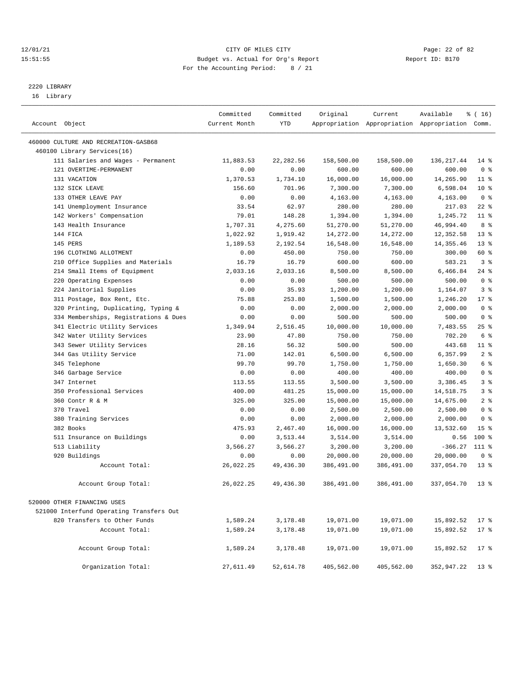#### 12/01/21 Page: 22 of 82<br>
12/01/21 Page: 22 of 82<br>
Budget vs. Actual for Org's Report Physics Report Report ID: B170 15:51:55 Budget vs. Actual for Org's Report For the Accounting Period: 8 / 21

————————————————————————————————————————————————————————————————————————————————————————————————————————————————————————————————————

# 2220 LIBRARY

16 Library

|                                          | Committed     | Committed  | Original   | Current    | Available                                       | % (16)          |
|------------------------------------------|---------------|------------|------------|------------|-------------------------------------------------|-----------------|
| Account Object                           | Current Month | <b>YTD</b> |            |            | Appropriation Appropriation Appropriation Comm. |                 |
| 460000 CULTURE AND RECREATION-GASB68     |               |            |            |            |                                                 |                 |
| 460100 Library Services(16)              |               |            |            |            |                                                 |                 |
| 111 Salaries and Wages - Permanent       | 11,883.53     | 22, 282.56 | 158,500.00 | 158,500.00 | 136, 217.44                                     | $14*$           |
| 121 OVERTIME-PERMANENT                   | 0.00          | 0.00       | 600.00     | 600.00     | 600.00                                          | 0 <sup>8</sup>  |
| 131 VACATION                             | 1,370.53      | 1,734.10   | 16,000.00  | 16,000.00  | 14,265.90                                       | $11$ %          |
| 132 SICK LEAVE                           | 156.60        | 701.96     | 7,300.00   | 7,300.00   | 6,598.04                                        | $10*$           |
| 133 OTHER LEAVE PAY                      | 0.00          | 0.00       | 4,163.00   | 4,163.00   | 4,163.00                                        | 0 <sup>8</sup>  |
| 141 Unemployment Insurance               | 33.54         | 62.97      | 280.00     | 280.00     | 217.03                                          | $22$ %          |
| 142 Workers' Compensation                | 79.01         | 148.28     | 1,394.00   | 1,394.00   | 1,245.72                                        | $11$ %          |
| 143 Health Insurance                     | 1,707.31      | 4,275.60   | 51,270.00  | 51,270.00  | 46,994.40                                       | 8 %             |
| 144 FICA                                 | 1,022.92      | 1,919.42   | 14,272.00  | 14,272.00  | 12,352.58                                       | $13*$           |
| 145 PERS                                 | 1,189.53      | 2,192.54   | 16,548.00  | 16,548.00  | 14, 355.46                                      | $13*$           |
| 196 CLOTHING ALLOTMENT                   | 0.00          | 450.00     | 750.00     | 750.00     | 300.00                                          | 60 %            |
| 210 Office Supplies and Materials        | 16.79         | 16.79      | 600.00     | 600.00     | 583.21                                          | 3%              |
| 214 Small Items of Equipment             | 2,033.16      | 2,033.16   | 8,500.00   | 8,500.00   | 6,466.84                                        | $24$ %          |
| 220 Operating Expenses                   | 0.00          | 0.00       | 500.00     | 500.00     | 500.00                                          | 0 <sup>8</sup>  |
| 224 Janitorial Supplies                  | 0.00          | 35.93      | 1,200.00   | 1,200.00   | 1,164.07                                        | 3%              |
| 311 Postage, Box Rent, Etc.              | 75.88         | 253.80     | 1,500.00   | 1,500.00   | 1,246.20                                        | $17*$           |
| 320 Printing, Duplicating, Typing &      | 0.00          | 0.00       | 2,000.00   | 2,000.00   | 2,000.00                                        | 0 <sup>8</sup>  |
| 334 Memberships, Registrations & Dues    | 0.00          | 0.00       | 500.00     | 500.00     | 500.00                                          | 0 <sup>8</sup>  |
| 341 Electric Utility Services            | 1,349.94      | 2,516.45   | 10,000.00  | 10,000.00  | 7,483.55                                        | 25%             |
| 342 Water Utility Services               | 23.90         | 47.80      | 750.00     | 750.00     | 702.20                                          | 6 %             |
| 343 Sewer Utility Services               | 28.16         | 56.32      | 500.00     | 500.00     | 443.68                                          | $11$ %          |
| 344 Gas Utility Service                  | 71.00         | 142.01     | 6,500.00   | 6,500.00   | 6,357.99                                        | 2 <sup>8</sup>  |
| 345 Telephone                            | 99.70         | 99.70      | 1,750.00   | 1,750.00   | 1,650.30                                        | 6 %             |
| 346 Garbage Service                      | 0.00          | 0.00       | 400.00     | 400.00     | 400.00                                          | 0 <sup>8</sup>  |
| 347 Internet                             | 113.55        | 113.55     | 3,500.00   | 3,500.00   | 3,386.45                                        | 3%              |
| 350 Professional Services                | 400.00        | 481.25     | 15,000.00  | 15,000.00  | 14,518.75                                       | 3%              |
| 360 Contr R & M                          | 325.00        | 325.00     | 15,000.00  | 15,000.00  | 14,675.00                                       | 2 <sup>8</sup>  |
| 370 Travel                               | 0.00          | 0.00       | 2,500.00   | 2,500.00   | 2,500.00                                        | 0 <sup>8</sup>  |
| 380 Training Services                    | 0.00          | 0.00       | 2,000.00   | 2,000.00   | 2,000.00                                        | 0 <sup>8</sup>  |
| 382 Books                                | 475.93        | 2,467.40   | 16,000.00  | 16,000.00  | 13,532.60                                       | 15 <sup>°</sup> |
| 511 Insurance on Buildings               | 0.00          | 3,513.44   | 3,514.00   | 3,514.00   | 0.56                                            | $100$ %         |
| 513 Liability                            | 3,566.27      | 3,566.27   | 3,200.00   | 3,200.00   | $-366.27$                                       | 111 %           |
| 920 Buildings                            | 0.00          | 0.00       | 20,000.00  | 20,000.00  | 20,000.00                                       | 0 <sup>8</sup>  |
| Account Total:                           | 26,022.25     | 49,436.30  | 386,491.00 | 386,491.00 | 337,054.70                                      | $13*$           |
| Account Group Total:                     | 26,022.25     | 49,436.30  | 386,491.00 | 386,491.00 | 337,054.70                                      | $13*$           |
| 520000 OTHER FINANCING USES              |               |            |            |            |                                                 |                 |
| 521000 Interfund Operating Transfers Out |               |            |            |            |                                                 |                 |
| 820 Transfers to Other Funds             | 1,589.24      | 3,178.48   | 19,071.00  | 19,071.00  | 15,892.52                                       | $17*$           |
| Account Total:                           | 1,589.24      | 3,178.48   | 19,071.00  | 19,071.00  | 15,892.52                                       | $17$ %          |
|                                          |               |            |            |            |                                                 |                 |
| Account Group Total:                     | 1,589.24      | 3,178.48   | 19,071.00  | 19,071.00  | 15,892.52                                       | $17*$           |
| Organization Total:                      | 27,611.49     | 52,614.78  | 405,562.00 | 405,562.00 | 352,947.22                                      | $13*$           |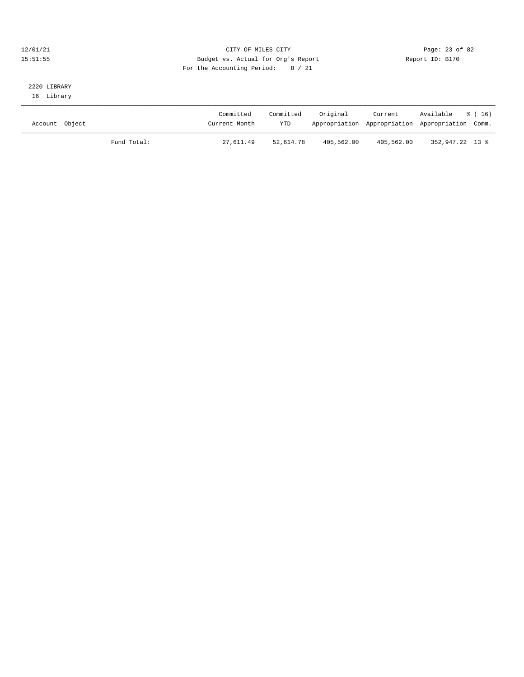#### 12/01/21 Page: 23 of 82<br>
12/01/21 Page: 23 of 82<br>
Budget vs. Actual for Org's Report Physics (Report ID: B170 15:51:55 Budget vs. Actual for Org's Report For the Accounting Period: 8 / 21

### 2220 LIBRARY 16 Library

| Account Object |             | Committed<br>Current Month | Committed<br><b>YTD</b> | Original   | Current    | Available<br>Appropriation Appropriation Appropriation Comm. | 8 (16) |
|----------------|-------------|----------------------------|-------------------------|------------|------------|--------------------------------------------------------------|--------|
|                | Fund Total: | 27,611.49                  | 52,614.78               | 405,562.00 | 405,562.00 | 352,947.22 13 %                                              |        |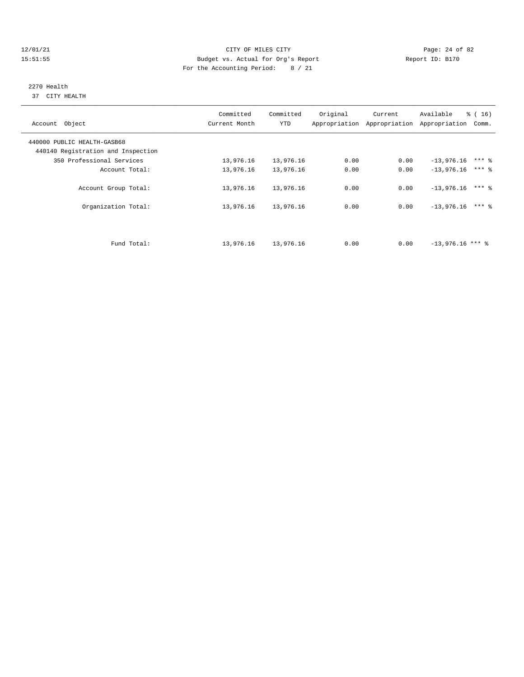#### 12/01/21 Page: 24 of 82 15:51:55 Budget vs. Actual for Org's Report Report ID: B170 For the Accounting Period: 8 / 21

#### 2270 Health 37 CITY HEALTH

| Account Object                                                    | Committed<br>Current Month | Committed<br><b>YTD</b> | Original | Current<br>Appropriation Appropriation | Available<br>Appropriation | $\frac{3}{6}$ ( 16 )<br>Comm. |
|-------------------------------------------------------------------|----------------------------|-------------------------|----------|----------------------------------------|----------------------------|-------------------------------|
| 440000 PUBLIC HEALTH-GASB68<br>440140 Registration and Inspection |                            |                         |          |                                        |                            |                               |
| 350 Professional Services                                         | 13,976.16                  | 13,976.16               | 0.00     | 0.00                                   | $-13,976.16$               | $***$ %                       |
| Account Total:                                                    | 13,976.16                  | 13,976.16               | 0.00     | 0.00                                   | $-13,976.16$               | $***$ 2                       |
| Account Group Total:                                              | 13,976.16                  | 13,976.16               | 0.00     | 0.00                                   | $-13,976,16$               | $***$ 8                       |
| Organization Total:                                               | 13,976.16                  | 13,976.16               | 0.00     | 0.00                                   | $-13,976.16$               | $***$ 2                       |
|                                                                   |                            |                         |          |                                        |                            |                               |
| Fund Total:                                                       | 13,976.16                  | 13,976.16               | 0.00     | 0.00                                   | $-13,976.16$ *** \         |                               |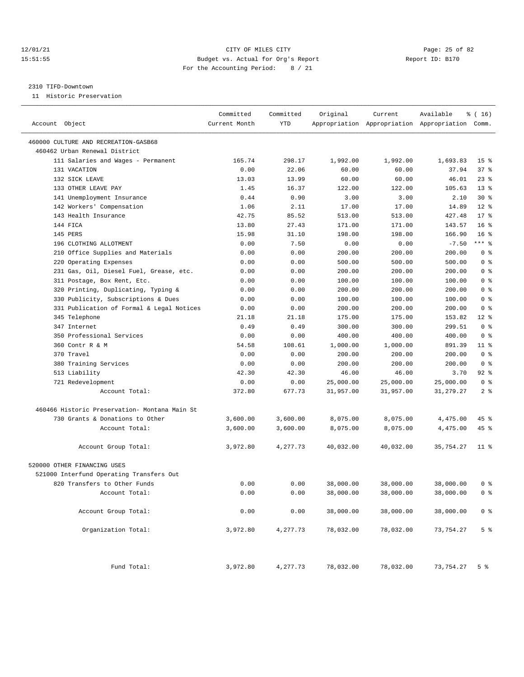#### 12/01/21 Page: 25 of 82 15:51:55 Budget vs. Actual for Org's Report Report ID: B170 For the Accounting Period: 8 / 21

#### 2310 TIFD-Downtown

11 Historic Preservation

| Account Object                                | Committed<br>Current Month | Committed<br>YTD | Original  | Current   | Available<br>Appropriation Appropriation Appropriation Comm. | ៖ ( 16)            |
|-----------------------------------------------|----------------------------|------------------|-----------|-----------|--------------------------------------------------------------|--------------------|
| 460000 CULTURE AND RECREATION-GASB68          |                            |                  |           |           |                                                              |                    |
| 460462 Urban Renewal District                 |                            |                  |           |           |                                                              |                    |
| 111 Salaries and Wages - Permanent            | 165.74                     | 298.17           | 1,992.00  | 1,992.00  | 1,693.83                                                     | 15 <sub>8</sub>    |
| 131 VACATION                                  | 0.00                       | 22.06            | 60.00     | 60.00     | 37.94                                                        | 37%                |
| 132 SICK LEAVE                                | 13.03                      | 13.99            | 60.00     | 60.00     | 46.01                                                        | $23$ $%$           |
| 133 OTHER LEAVE PAY                           | 1.45                       | 16.37            | 122.00    | 122.00    | 105.63                                                       | $13*$              |
| 141 Unemployment Insurance                    | 0.44                       | 0.90             | 3.00      | 3.00      | 2.10                                                         | $30*$              |
| 142 Workers' Compensation                     | 1.06                       | 2.11             | 17.00     | 17.00     | 14.89                                                        | $12*$              |
| 143 Health Insurance                          | 42.75                      | 85.52            | 513.00    | 513.00    | 427.48                                                       | $17*$              |
| 144 FICA                                      | 13.80                      | 27.43            | 171.00    | 171.00    | 143.57                                                       | 16 <sup>8</sup>    |
| 145 PERS                                      | 15.98                      | 31.10            | 198.00    | 198.00    | 166.90                                                       | 16 <sup>8</sup>    |
| 196 CLOTHING ALLOTMENT                        | 0.00                       | 7.50             | 0.00      | 0.00      | $-7.50$                                                      | $***$ 8            |
| 210 Office Supplies and Materials             | 0.00                       | 0.00             | 200.00    | 200.00    | 200.00                                                       | 0 <sup>8</sup>     |
| 220 Operating Expenses                        | 0.00                       | 0.00             | 500.00    | 500.00    | 500.00                                                       | 0 <sup>8</sup>     |
| 231 Gas, Oil, Diesel Fuel, Grease, etc.       | 0.00                       | 0.00             | 200.00    | 200.00    | 200.00                                                       | 0 <sup>8</sup>     |
| 311 Postage, Box Rent, Etc.                   | 0.00                       | 0.00             | 100.00    | 100.00    | 100.00                                                       | 0 <sup>8</sup>     |
| 320 Printing, Duplicating, Typing &           | 0.00                       | 0.00             | 200.00    | 200.00    | 200.00                                                       | 0 <sup>8</sup>     |
| 330 Publicity, Subscriptions & Dues           | 0.00                       | 0.00             | 100.00    | 100.00    | 100.00                                                       | 0 <sup>8</sup>     |
| 331 Publication of Formal & Legal Notices     | 0.00                       | 0.00             | 200.00    | 200.00    | 200.00                                                       | 0 <sup>8</sup>     |
| 345 Telephone                                 | 21.18                      | 21.18            | 175.00    | 175.00    | 153.82                                                       | $12*$              |
| 347 Internet                                  | 0.49                       | 0.49             | 300.00    | 300.00    | 299.51                                                       | 0 <sup>8</sup>     |
| 350 Professional Services                     | 0.00                       | 0.00             | 400.00    | 400.00    | 400.00                                                       | 0 <sup>8</sup>     |
| 360 Contr R & M                               | 54.58                      | 108.61           | 1,000.00  | 1,000.00  | 891.39                                                       | $11$ %             |
| 370 Travel                                    | 0.00                       | 0.00             | 200.00    | 200.00    | 200.00                                                       | 0 <sup>8</sup>     |
| 380 Training Services                         |                            | 0.00             | 200.00    | 200.00    | 200.00                                                       | 0 <sup>8</sup>     |
|                                               | 0.00<br>42.30              | 42.30            | 46.00     | 46.00     | 3.70                                                         | $92$ $%$           |
| 513 Liability                                 | 0.00                       | 0.00             |           |           |                                                              | 0 <sup>8</sup>     |
| 721 Redevelopment                             |                            |                  | 25,000.00 | 25,000.00 | 25,000.00                                                    | 2 <sup>8</sup>     |
| Account Total:                                | 372.80                     | 677.73           | 31,957.00 | 31,957.00 | 31,279.27                                                    |                    |
| 460466 Historic Preservation- Montana Main St |                            |                  |           |           |                                                              |                    |
| 730 Grants & Donations to Other               | 3,600.00                   | 3,600.00         | 8,075.00  | 8,075.00  | 4,475.00                                                     | $45$ $\frac{6}{3}$ |
| Account Total:                                | 3,600.00                   | 3,600.00         | 8,075.00  | 8,075.00  | 4,475.00                                                     | $45$ %             |
|                                               |                            |                  |           |           |                                                              |                    |
| Account Group Total:                          | 3,972.80                   | 4,277.73         | 40,032.00 | 40,032.00 | 35,754.27                                                    | $11$ %             |
| 520000 OTHER FINANCING USES                   |                            |                  |           |           |                                                              |                    |
| 521000 Interfund Operating Transfers Out      |                            |                  |           |           |                                                              |                    |
| 820 Transfers to Other Funds                  | 0.00                       | 0.00             | 38,000.00 | 38,000.00 | 38,000.00                                                    | 0 %                |
| Account Total:                                | 0.00                       | 0.00             | 38,000.00 | 38,000.00 | 38,000.00                                                    | 0 <sup>8</sup>     |
|                                               |                            |                  |           |           |                                                              |                    |
| Account Group Total:                          | 0.00                       | 0.00             | 38,000.00 | 38,000.00 | 38,000.00                                                    | 0 <sup>8</sup>     |
| Organization Total:                           | 3,972.80                   | 4,277.73         | 78,032.00 | 78,032.00 | 73,754.27                                                    | 5 <sup>8</sup>     |
| Fund Total:                                   | 3,972.80                   | 4,277.73         | 78,032.00 | 78,032.00 | 73,754.27 5 %                                                |                    |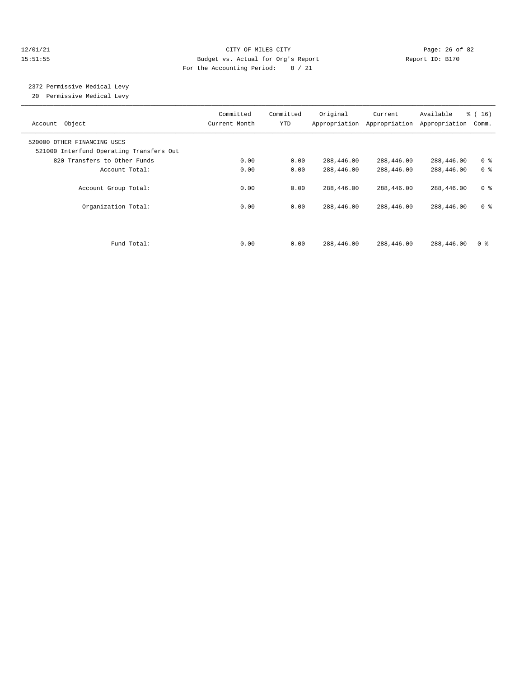#### 12/01/21 Page: 26 of 82 15:51:55 Budget vs. Actual for Org's Report Report ID: B170 For the Accounting Period: 8 / 21

# 2372 Permissive Medical Levy

20 Permissive Medical Levy

| Account Object                                                          | Committed<br>Current Month | Committed<br>YTD | Original   | Current<br>Appropriation Appropriation | Available<br>Appropriation | $\frac{3}{6}$ ( 16 )<br>Comm. |
|-------------------------------------------------------------------------|----------------------------|------------------|------------|----------------------------------------|----------------------------|-------------------------------|
| 520000 OTHER FINANCING USES<br>521000 Interfund Operating Transfers Out |                            |                  |            |                                        |                            |                               |
| 820 Transfers to Other Funds                                            | 0.00                       | 0.00             | 288,446.00 | 288,446.00                             | 288,446.00                 | 0 <sup>8</sup>                |
| Account Total:                                                          | 0.00                       | 0.00             | 288,446.00 | 288,446.00                             | 288,446.00                 | 0 <sup>8</sup>                |
| Account Group Total:                                                    | 0.00                       | 0.00             | 288,446.00 | 288,446.00                             | 288,446.00                 | 0 <sup>8</sup>                |
| Organization Total:                                                     | 0.00                       | 0.00             | 288,446.00 | 288,446.00                             | 288,446.00                 | 0 <sup>8</sup>                |
| Fund Total:                                                             | 0.00                       | 0.00             | 288,446.00 | 288,446.00                             | 288,446.00                 | 0 <sup>8</sup>                |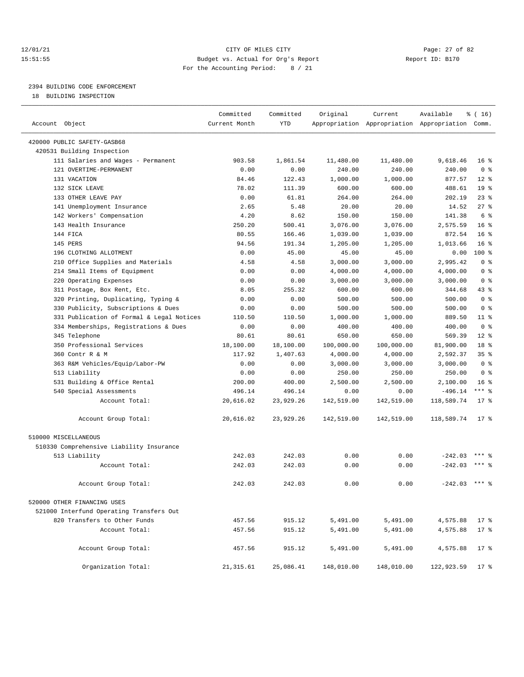#### 12/01/21 Page: 27 of 82 15:51:55 Budget vs. Actual for Org's Report Report ID: B170 For the Accounting Period: 8 / 21

————————————————————————————————————————————————————————————————————————————————————————————————————————————————————————————————————

# 2394 BUILDING CODE ENFORCEMENT

18 BUILDING INSPECTION

|                                                           | Committed     | Committed  | Original   | Current                                         | Available       | ៖ ( 16)         |
|-----------------------------------------------------------|---------------|------------|------------|-------------------------------------------------|-----------------|-----------------|
| Account Object                                            | Current Month | <b>YTD</b> |            | Appropriation Appropriation Appropriation Comm. |                 |                 |
|                                                           |               |            |            |                                                 |                 |                 |
| 420000 PUBLIC SAFETY-GASB68<br>420531 Building Inspection |               |            |            |                                                 |                 |                 |
| 111 Salaries and Wages - Permanent                        | 903.58        |            |            |                                                 | 9,618.46        | 16 <sup>8</sup> |
|                                                           |               | 1,861.54   | 11,480.00  | 11,480.00                                       |                 |                 |
| 121 OVERTIME-PERMANENT                                    | 0.00          | 0.00       | 240.00     | 240.00                                          | 240.00          | 0 <sup>8</sup>  |
| 131 VACATION                                              | 84.46         | 122.43     | 1,000.00   | 1,000.00                                        | 877.57          | $12*$           |
| 132 SICK LEAVE                                            | 78.02         | 111.39     | 600.00     | 600.00                                          | 488.61          | 19 <sup>°</sup> |
| 133 OTHER LEAVE PAY                                       | 0.00          | 61.81      | 264.00     | 264.00                                          | 202.19          | $23$ %          |
| 141 Unemployment Insurance                                | 2.65          | 5.48       | 20.00      | 20.00                                           | 14.52           | 27%             |
| 142 Workers' Compensation                                 | 4.20          | 8.62       | 150.00     | 150.00                                          | 141.38          | 6 <sup>°</sup>  |
| 143 Health Insurance                                      | 250.20        | 500.41     | 3,076.00   | 3,076.00                                        | 2,575.59        | 16 <sup>8</sup> |
| 144 FICA                                                  | 80.55         | 166.46     | 1,039.00   | 1,039.00                                        | 872.54          | 16 <sup>8</sup> |
| 145 PERS                                                  | 94.56         | 191.34     | 1,205.00   | 1,205.00                                        | 1,013.66        | 16 <sup>8</sup> |
| 196 CLOTHING ALLOTMENT                                    | 0.00          | 45.00      | 45.00      | 45.00                                           | 0.00            | $100$ %         |
| 210 Office Supplies and Materials                         | 4.58          | 4.58       | 3,000.00   | 3,000.00                                        | 2,995.42        | 0 <sup>8</sup>  |
| 214 Small Items of Equipment                              | 0.00          | 0.00       | 4,000.00   | 4,000.00                                        | 4,000.00        | 0 <sup>8</sup>  |
| 220 Operating Expenses                                    | 0.00          | 0.00       | 3,000.00   | 3,000.00                                        | 3,000.00        | 0 <sup>8</sup>  |
| 311 Postage, Box Rent, Etc.                               | 8.05          | 255.32     | 600.00     | 600.00                                          | 344.68          | $43$ %          |
| 320 Printing, Duplicating, Typing &                       | 0.00          | 0.00       | 500.00     | 500.00                                          | 500.00          | 0 <sup>8</sup>  |
| 330 Publicity, Subscriptions & Dues                       | 0.00          | 0.00       | 500.00     | 500.00                                          | 500.00          | 0 <sup>8</sup>  |
| 331 Publication of Formal & Legal Notices                 | 110.50        | 110.50     | 1,000.00   | 1,000.00                                        | 889.50          | $11$ %          |
| 334 Memberships, Registrations & Dues                     | 0.00          | 0.00       | 400.00     | 400.00                                          | 400.00          | 0 <sup>8</sup>  |
| 345 Telephone                                             | 80.61         | 80.61      | 650.00     | 650.00                                          | 569.39          | $12*$           |
| 350 Professional Services                                 | 18,100.00     | 18,100.00  | 100,000.00 | 100,000.00                                      | 81,900.00       | 18 %            |
| 360 Contr R & M                                           | 117.92        | 1,407.63   | 4,000.00   | 4,000.00                                        | 2,592.37        | 35%             |
| 363 R&M Vehicles/Equip/Labor-PW                           | 0.00          | 0.00       | 3,000.00   | 3,000.00                                        | 3,000.00        | 0 <sup>8</sup>  |
| 513 Liability                                             | 0.00          | 0.00       | 250.00     | 250.00                                          | 250.00          | 0 <sup>8</sup>  |
| 531 Building & Office Rental                              | 200.00        | 400.00     | 2,500.00   | 2,500.00                                        | 2,100.00        | 16 <sup>8</sup> |
| 540 Special Assessments                                   | 496.14        | 496.14     | 0.00       | 0.00                                            | $-496.14$       | $***$ $-$       |
| Account Total:                                            | 20,616.02     | 23,929.26  | 142,519.00 | 142,519.00                                      | 118,589.74      | $17*$           |
| Account Group Total:                                      | 20,616.02     | 23,929.26  | 142,519.00 | 142,519.00                                      | 118,589.74      | $17*$           |
| 510000 MISCELLANEOUS                                      |               |            |            |                                                 |                 |                 |
| 510330 Comprehensive Liability Insurance                  |               |            |            |                                                 |                 |                 |
| 513 Liability                                             | 242.03        | 242.03     | 0.00       | 0.00                                            | $-242.03$       |                 |
| Account Total:                                            | 242.03        | 242.03     | 0.00       | 0.00                                            | $-242.03$       | $***$ %         |
| Account Group Total:                                      | 242.03        | 242.03     | 0.00       | 0.00                                            | $-242.03$ *** % |                 |
| 520000 OTHER FINANCING USES                               |               |            |            |                                                 |                 |                 |
| 521000 Interfund Operating Transfers Out                  |               |            |            |                                                 |                 |                 |
| 820 Transfers to Other Funds                              | 457.56        | 915.12     | 5,491.00   | 5,491.00                                        | 4,575.88        | $17*$           |
| Account Total:                                            | 457.56        | 915.12     | 5,491.00   | 5,491.00                                        | 4,575.88        | $17*$           |
|                                                           |               |            |            |                                                 |                 |                 |
| Account Group Total:                                      | 457.56        | 915.12     | 5,491.00   | 5,491.00                                        | 4,575.88        | $17*$           |
| Organization Total:                                       | 21, 315.61    | 25,086.41  | 148,010.00 | 148,010.00                                      | 122,923.59      | $17$ %          |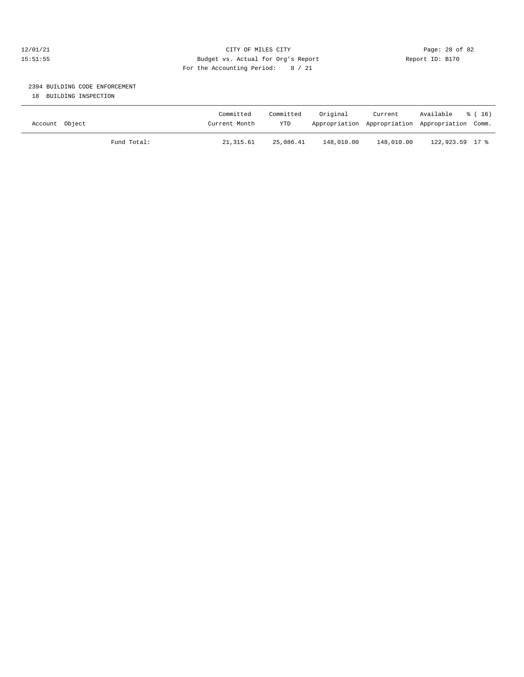#### 12/01/21 Page: 28 of 82 15:51:55 Budget vs. Actual for Org's Report Report ID: B170 For the Accounting Period: 8 / 21

## 2394 BUILDING CODE ENFORCEMENT

18 BUILDING INSPECTION

| Account Object |             | Committed<br>Current Month | Committed<br>YTD | Original   | Current<br>Appropriation Appropriation Appropriation Comm. | Available       | 8 (16) |
|----------------|-------------|----------------------------|------------------|------------|------------------------------------------------------------|-----------------|--------|
|                | Fund Total: | 21,315.61                  | 25,086.41        | 148,010.00 | 148,010.00                                                 | 122,923.59 17 % |        |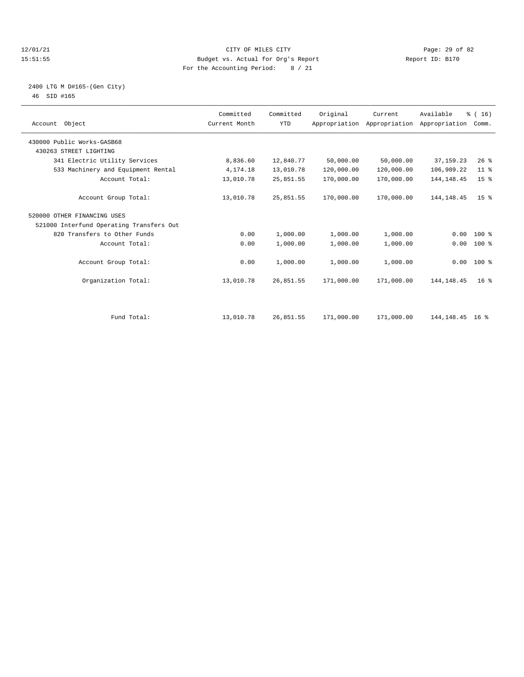#### 12/01/21 Page: 29 of 82<br>
12/01/21 Page: 29 of 82<br>
Budget vs. Actual for Org's Report Physics (Report ID: B170 15:51:55 Budget vs. Actual for Org's Report For the Accounting Period: 8 / 21

### 2400 LTG M D#165-(Gen City) 46 SID #165

| Account Object                                       | Committed<br>Current Month | Committed<br><b>YTD</b> | Original   | Current<br>Appropriation Appropriation | Available<br>Appropriation | % (16)<br>Comm. |  |
|------------------------------------------------------|----------------------------|-------------------------|------------|----------------------------------------|----------------------------|-----------------|--|
| 430000 Public Works-GASB68<br>430263 STREET LIGHTING |                            |                         |            |                                        |                            |                 |  |
| 341 Electric Utility Services                        | 8,836.60                   | 12,840.77               | 50,000.00  | 50,000.00                              | 37, 159. 23                | 26%             |  |
| 533 Machinery and Equipment Rental                   | 4,174.18                   | 13,010.78               | 120,000.00 | 120,000.00                             | 106,989.22                 | $11$ %          |  |
| Account Total:                                       | 13,010.78                  | 25,851.55               | 170,000.00 | 170,000.00                             | 144, 148. 45               | 15 <sup>°</sup> |  |
| Account Group Total:                                 | 13,010.78                  | 25,851.55               | 170,000.00 | 170,000.00                             | 144, 148. 45               | 15 <sup>8</sup> |  |
| 520000 OTHER FINANCING USES                          |                            |                         |            |                                        |                            |                 |  |
| 521000 Interfund Operating Transfers Out             |                            |                         |            |                                        |                            |                 |  |
| 820 Transfers to Other Funds                         | 0.00                       | 1,000.00                | 1,000.00   | 1,000.00                               | 0.00                       | $100*$          |  |
| Account Total:                                       | 0.00                       | 1,000.00                | 1,000.00   | 1,000.00                               | 0.00                       | $100$ %         |  |
| Account Group Total:                                 | 0.00                       | 1,000.00                | 1,000.00   | 1,000.00                               |                            | $0.00 100$ %    |  |
| Organization Total:                                  | 13,010.78                  | 26,851.55               | 171,000.00 | 171,000.00                             | 144, 148. 45               | 16 <sup>°</sup> |  |
|                                                      |                            |                         |            |                                        |                            |                 |  |
| Fund Total:                                          | 13,010.78                  | 26,851.55               | 171,000.00 | 171,000.00                             | 144, 148. 45 16 %          |                 |  |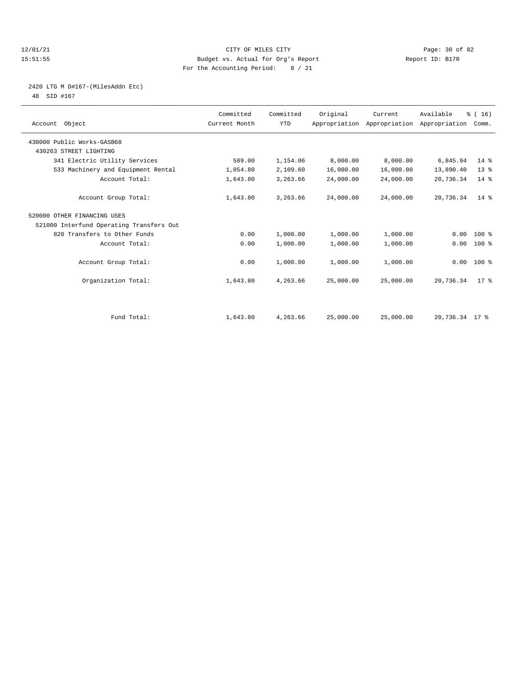#### 12/01/21 Page: 30 of 82<br>
12/01/21 Page: 30 of 82<br>
Budget vs. Actual for Org's Report Physics (Report ID: B170 15:51:55 Budget vs. Actual for Org's Report For the Accounting Period: 8 / 21

# 2420 LTG M D#167-(MilesAddn Etc)

48 SID #167

| Account Object                           | Committed<br>Current Month | Committed<br><b>YTD</b> | Original  | Current<br>Appropriation Appropriation Appropriation | Available      | % (16)<br>Comm. |  |
|------------------------------------------|----------------------------|-------------------------|-----------|------------------------------------------------------|----------------|-----------------|--|
| 430000 Public Works-GASB68               |                            |                         |           |                                                      |                |                 |  |
| 430263 STREET LIGHTING                   |                            |                         |           |                                                      |                |                 |  |
| 341 Electric Utility Services            | 589.00                     | 1,154.06                | 8,000.00  | 8,000.00                                             | 6,845.94       | $14*$           |  |
| 533 Machinery and Equipment Rental       | 1,054.80                   | 2,109.60                | 16,000.00 | 16,000.00                                            | 13,890.40      | $13*$           |  |
| Account Total:                           | 1,643.80                   | 3,263.66                | 24,000.00 | 24,000.00                                            | 20,736.34      | $14*$           |  |
| Account Group Total:                     | 1,643.80                   | 3,263.66                | 24,000.00 | 24,000.00                                            | 20,736.34      | $14*$           |  |
| 520000 OTHER FINANCING USES              |                            |                         |           |                                                      |                |                 |  |
| 521000 Interfund Operating Transfers Out |                            |                         |           |                                                      |                |                 |  |
| 820 Transfers to Other Funds             | 0.00                       | 1,000.00                | 1,000.00  | 1,000.00                                             | 0.00           | $100*$          |  |
| Account Total:                           | 0.00                       | 1,000.00                | 1,000.00  | 1,000.00                                             | 0.00           | 100 %           |  |
| Account Group Total:                     | 0.00                       | 1,000.00                | 1,000.00  | 1,000.00                                             |                | $0.00 100$ %    |  |
| Organization Total:                      | 1,643.80                   | 4,263.66                | 25,000.00 | 25,000.00                                            | 20,736.34      | $17*$           |  |
|                                          |                            |                         |           |                                                      |                |                 |  |
| Fund Total:                              | 1,643.80                   | 4,263.66                | 25,000.00 | 25,000.00                                            | 20,736.34 17 % |                 |  |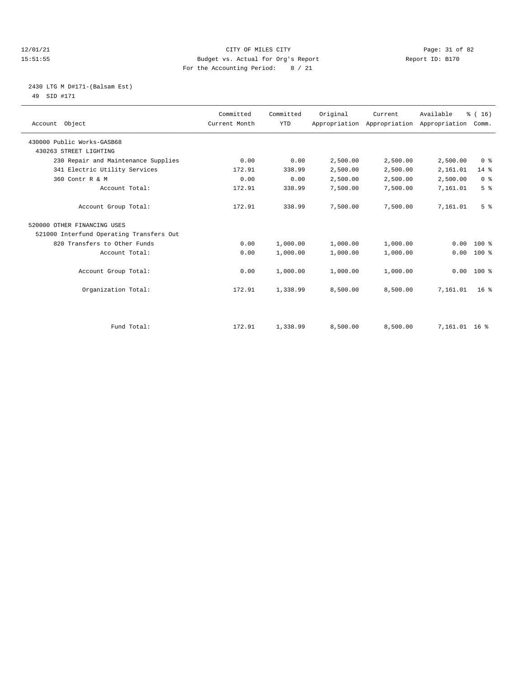#### 12/01/21 Page: 31 of 82<br>15:51:55 Pudget vs. Actual for Org's Report Report Report ID: B170 15:51:55 Budget vs. Actual for Org's Report For the Accounting Period: 8 / 21

#### 2430 LTG M D#171-(Balsam Est) 49 SID #171

| Account Object                           | Committed<br>Current Month | Committed<br><b>YTD</b> | Original | Current<br>Appropriation Appropriation Appropriation Comm. | Available     | % (16)          |
|------------------------------------------|----------------------------|-------------------------|----------|------------------------------------------------------------|---------------|-----------------|
|                                          |                            |                         |          |                                                            |               |                 |
| 430000 Public Works-GASB68               |                            |                         |          |                                                            |               |                 |
| 430263 STREET LIGHTING                   |                            |                         |          |                                                            |               |                 |
| 230 Repair and Maintenance Supplies      | 0.00                       | 0.00                    | 2,500.00 | 2,500.00                                                   | 2,500.00      | 0 <sup>8</sup>  |
| 341 Electric Utility Services            | 172.91                     | 338.99                  | 2,500.00 | 2,500.00                                                   | 2,161.01      | $14*$           |
| 360 Contr R & M                          | 0.00                       | 0.00                    | 2,500.00 | 2,500.00                                                   | 2,500.00      | 0 <sup>8</sup>  |
| Account Total:                           | 172.91                     | 338.99                  | 7,500.00 | 7,500.00                                                   | 7,161.01      | 5 <sup>°</sup>  |
| Account Group Total:                     | 172.91                     | 338.99                  | 7,500.00 | 7,500.00                                                   | 7,161.01      | 5 <sup>8</sup>  |
| 520000 OTHER FINANCING USES              |                            |                         |          |                                                            |               |                 |
| 521000 Interfund Operating Transfers Out |                            |                         |          |                                                            |               |                 |
| 820 Transfers to Other Funds             | 0.00                       | 1,000.00                | 1,000.00 | 1,000.00                                                   | 0.00          | $100*$          |
| Account Total:                           | 0.00                       | 1,000.00                | 1,000.00 | 1,000.00                                                   | 0.00          | 100 %           |
| Account Group Total:                     | 0.00                       | 1,000.00                | 1,000.00 | 1,000.00                                                   | 0.00          | $100*$          |
| Organization Total:                      | 172.91                     | 1,338.99                | 8,500.00 | 8,500.00                                                   | 7,161.01      | 16 <sup>8</sup> |
|                                          |                            |                         |          |                                                            |               |                 |
| Fund Total:                              | 172.91                     | 1,338.99                | 8,500.00 | 8,500.00                                                   | 7,161.01 16 % |                 |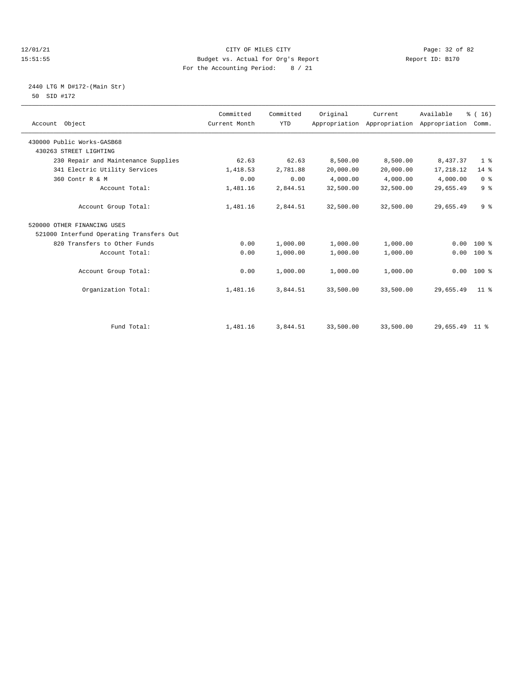#### 12/01/21 Page: 32 of 82<br>
12/01/21 Page: 32 of 82<br>
Budget vs. Actual for Org's Report Physics (Report ID: B170 15:51:55 Budget vs. Actual for Org's Report For the Accounting Period: 8 / 21

#### 2440 LTG M D#172-(Main Str) 50 SID #172

| Account Object                           | Committed<br>Current Month | Committed<br><b>YTD</b> | Original  | Current<br>Appropriation Appropriation Appropriation Comm. | Available      | % (16)          |
|------------------------------------------|----------------------------|-------------------------|-----------|------------------------------------------------------------|----------------|-----------------|
| 430000 Public Works-GASB68               |                            |                         |           |                                                            |                |                 |
| 430263 STREET LIGHTING                   |                            |                         |           |                                                            |                |                 |
| 230 Repair and Maintenance Supplies      | 62.63                      | 62.63                   | 8,500.00  | 8,500.00                                                   | 8,437.37       | 1 <sup>8</sup>  |
| 341 Electric Utility Services            | 1,418.53                   | 2,781.88                | 20,000.00 | 20,000.00                                                  | 17, 218.12     | $14*$           |
| 360 Contr R & M                          | 0.00                       | 0.00                    | 4,000.00  | 4,000.00                                                   | 4,000.00       | 0 <sup>8</sup>  |
| Account Total:                           | 1,481.16                   | 2,844.51                | 32,500.00 | 32,500.00                                                  | 29,655.49      | 9 <sup>°</sup>  |
| Account Group Total:                     | 1,481.16                   | 2,844.51                | 32,500.00 | 32,500.00                                                  | 29,655.49      | 9 <sup>8</sup>  |
| 520000 OTHER FINANCING USES              |                            |                         |           |                                                            |                |                 |
| 521000 Interfund Operating Transfers Out |                            |                         |           |                                                            |                |                 |
| 820 Transfers to Other Funds             | 0.00                       | 1,000.00                | 1,000.00  | 1,000.00                                                   | 0.00           | $100*$          |
| Account Total:                           | 0.00                       | 1,000.00                | 1,000.00  | 1,000.00                                                   | 0.00           | $100*$          |
| Account Group Total:                     | 0.00                       | 1,000.00                | 1,000.00  | 1,000.00                                                   | 0.00           | $100*$          |
| Organization Total:                      | 1,481.16                   | 3,844.51                | 33,500.00 | 33,500.00                                                  | 29,655.49      | 11 <sup>8</sup> |
|                                          |                            |                         |           |                                                            |                |                 |
| Fund Total:                              | 1,481.16                   | 3,844.51                | 33,500.00 | 33,500.00                                                  | 29,655.49 11 % |                 |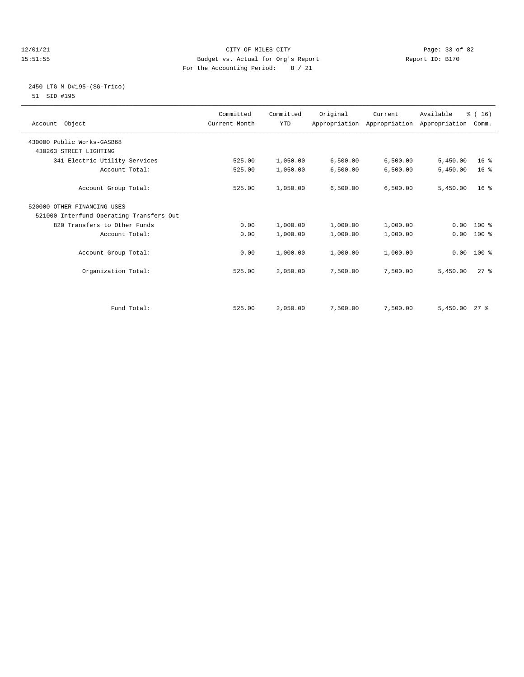#### 12/01/21 Page: 33 of 82<br>
12/01/21 Page: 33 of 82<br>
Budget vs. Actual for Org's Report Physics (Report ID: B170 15:51:55 Budget vs. Actual for Org's Report For the Accounting Period: 8 / 21

### 2450 LTG M D#195-(SG-Trico) 51 SID #195

| Account Object                           | Committed<br>Current Month | Committed<br><b>YTD</b> | Original | Current<br>Appropriation Appropriation Appropriation Comm. | Available | % (16)          |  |
|------------------------------------------|----------------------------|-------------------------|----------|------------------------------------------------------------|-----------|-----------------|--|
| 430000 Public Works-GASB68               |                            |                         |          |                                                            |           |                 |  |
| 430263 STREET LIGHTING                   |                            |                         |          |                                                            |           |                 |  |
| 341 Electric Utility Services            | 525.00                     | 1,050.00                | 6,500.00 | 6,500.00                                                   | 5,450.00  | 16 <sup>8</sup> |  |
| Account Total:                           | 525.00                     | 1,050.00                | 6,500.00 | 6,500.00                                                   | 5,450.00  | 16 <sup>8</sup> |  |
| Account Group Total:                     | 525.00                     | 1,050.00                | 6,500.00 | 6,500.00                                                   | 5,450.00  | $16*$           |  |
| 520000 OTHER FINANCING USES              |                            |                         |          |                                                            |           |                 |  |
| 521000 Interfund Operating Transfers Out |                            |                         |          |                                                            |           |                 |  |
| 820 Transfers to Other Funds             | 0.00                       | 1,000.00                | 1,000.00 | 1,000.00                                                   | 0.00      | $100*$          |  |
| Account Total:                           | 0.00                       | 1,000.00                | 1,000.00 | 1,000.00                                                   | 0.00      | $100*$          |  |
| Account Group Total:                     | 0.00                       | 1,000.00                | 1,000.00 | 1,000.00                                                   |           | $0.00$ 100 %    |  |
| Organization Total:                      | 525.00                     | 2,050.00                | 7,500.00 | 7,500.00                                                   | 5,450.00  | $27$ $%$        |  |
|                                          |                            |                         |          |                                                            |           |                 |  |
| Fund Total:                              | 525.00                     | 2,050.00                | 7,500.00 | 7,500.00                                                   | 5,450.00  | $27*$           |  |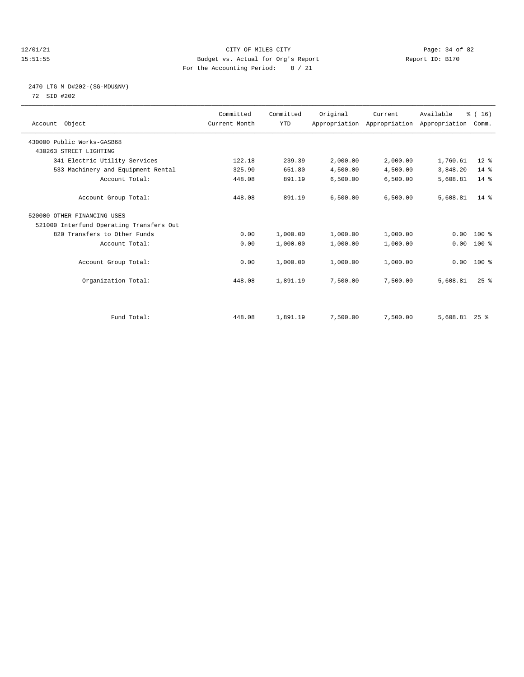#### 12/01/21 Page: 34 of 82<br>15:51:55 Pudget vs. Actual for Org's Report Report Report ID: B170 15:51:55 Budget vs. Actual for Org's Report For the Accounting Period: 8 / 21

#### 2470 LTG M D#202-(SG-MDU&NV) 72 SID #202

| Account Object                           | Committed<br>Current Month | Committed<br><b>YTD</b> | Original | Current<br>Appropriation Appropriation Appropriation | Available       | % (16)<br>Comm. |  |
|------------------------------------------|----------------------------|-------------------------|----------|------------------------------------------------------|-----------------|-----------------|--|
| 430000 Public Works-GASB68               |                            |                         |          |                                                      |                 |                 |  |
| 430263 STREET LIGHTING                   |                            |                         |          |                                                      |                 |                 |  |
| 341 Electric Utility Services            | 122.18                     | 239.39                  | 2,000.00 | 2,000.00                                             | 1,760.61        | $12*$           |  |
| 533 Machinery and Equipment Rental       | 325.90                     | 651.80                  | 4,500.00 | 4,500.00                                             | 3,848.20        | $14*$           |  |
| Account Total:                           | 448.08                     | 891.19                  | 6,500.00 | 6,500.00                                             | 5,608.81        | $14*$           |  |
| Account Group Total:                     | 448.08                     | 891.19                  | 6,500.00 | 6,500.00                                             | 5,608.81        | $14*$           |  |
| 520000 OTHER FINANCING USES              |                            |                         |          |                                                      |                 |                 |  |
| 521000 Interfund Operating Transfers Out |                            |                         |          |                                                      |                 |                 |  |
| 820 Transfers to Other Funds             | 0.00                       | 1,000.00                | 1,000.00 | 1,000.00                                             | 0.00            | $100*$          |  |
| Account Total:                           | 0.00                       | 1,000.00                | 1,000.00 | 1,000.00                                             | 0.00            | 100 %           |  |
| Account Group Total:                     | 0.00                       | 1,000.00                | 1,000.00 | 1,000.00                                             |                 | $0.00$ 100 %    |  |
| Organization Total:                      | 448.08                     | 1,891.19                | 7,500.00 | 7,500.00                                             | 5,608.81        | $25$ $%$        |  |
|                                          |                            |                         |          |                                                      |                 |                 |  |
| Fund Total:                              | 448.08                     | 1,891.19                | 7,500.00 | 7,500.00                                             | $5,608.81$ 25 % |                 |  |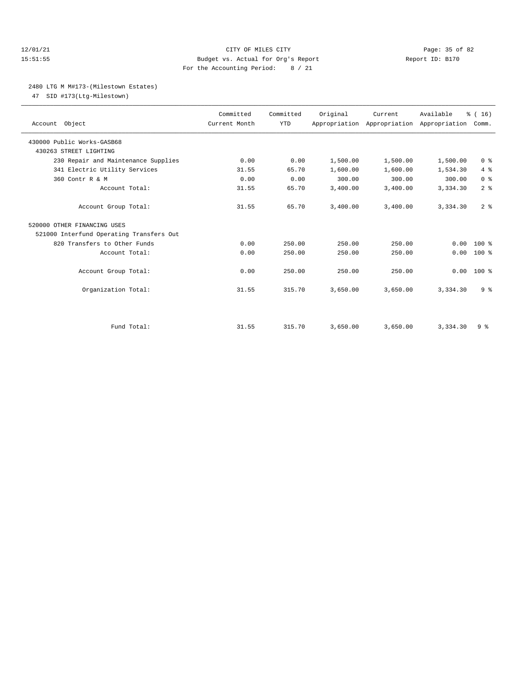#### 12/01/21 Page: 35 of 82 15:51:55 Budget vs. Actual for Org's Report Report ID: B170 For the Accounting Period: 8 / 21

### 2480 LTG M M#173-(Milestown Estates)

47 SID #173(Ltg-Milestown)

| Account Object                                       | Committed<br>Current Month | Committed<br><b>YTD</b> | Original | Current<br>Appropriation Appropriation Appropriation Comm. | Available | % (16)         |
|------------------------------------------------------|----------------------------|-------------------------|----------|------------------------------------------------------------|-----------|----------------|
| 430000 Public Works-GASB68<br>430263 STREET LIGHTING |                            |                         |          |                                                            |           |                |
| 230 Repair and Maintenance Supplies                  | 0.00                       | 0.00                    | 1,500.00 | 1,500.00                                                   | 1,500.00  | 0 <sup>8</sup> |
| 341 Electric Utility Services                        | 31.55                      | 65.70                   | 1,600.00 | 1,600.00                                                   | 1,534.30  | 4%             |
| 360 Contr R & M                                      | 0.00                       | 0.00                    | 300.00   | 300.00                                                     | 300.00    | 0 <sup>8</sup> |
| Account Total:                                       | 31.55                      | 65.70                   | 3,400.00 | 3,400.00                                                   | 3,334.30  | 2 <sup>8</sup> |
| Account Group Total:                                 | 31.55                      | 65.70                   | 3,400.00 | 3,400.00                                                   | 3,334.30  | 2 <sup>8</sup> |
| 520000 OTHER FINANCING USES                          |                            |                         |          |                                                            |           |                |
| 521000 Interfund Operating Transfers Out             |                            |                         |          |                                                            |           |                |
| 820 Transfers to Other Funds                         | 0.00                       | 250.00                  | 250.00   | 250.00                                                     | 0.00      | $100*$         |
| Account Total:                                       | 0.00                       | 250.00                  | 250.00   | 250.00                                                     | 0.00      | $100*$         |
| Account Group Total:                                 | 0.00                       | 250.00                  | 250.00   | 250.00                                                     | 0.00      | $100*$         |
| Organization Total:                                  | 31.55                      | 315.70                  | 3,650.00 | 3,650.00                                                   | 3,334.30  | 9 <sup>8</sup> |
|                                                      |                            |                         |          |                                                            |           |                |
| Fund Total:                                          | 31.55                      | 315.70                  | 3,650.00 | 3,650.00                                                   | 3,334.30  | 9 <sub>8</sub> |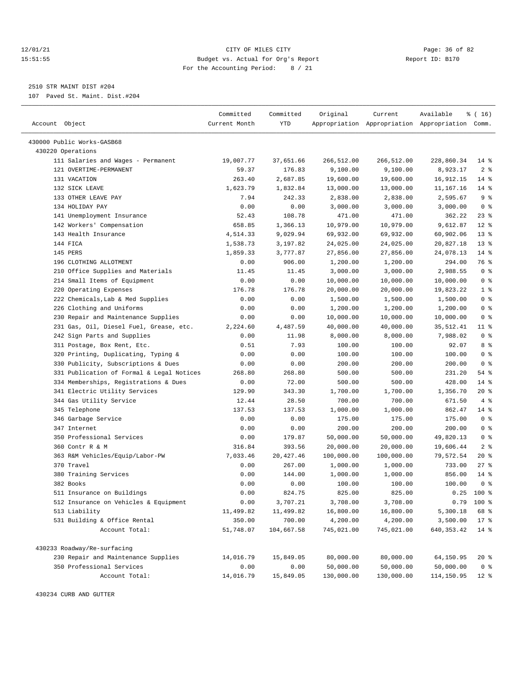#### 12/01/21 Page: 36 of 82<br>15:51:55 Pudget vs. Actual for Org's Report Report Report ID: B170 15:51:55 Budget vs. Actual for Org's Report For the Accounting Period: 8 / 21

————————————————————————————————————————————————————————————————————————————————————————————————————————————————————————————————————

2510 STR MAINT DIST #204

107 Paved St. Maint. Dist.#204

|                                           | Committed     | Committed           | Original   | Current    | Available                                       | \$(16)          |
|-------------------------------------------|---------------|---------------------|------------|------------|-------------------------------------------------|-----------------|
| Account Object                            | Current Month | YTD                 |            |            | Appropriation Appropriation Appropriation Comm. |                 |
|                                           |               |                     |            |            |                                                 |                 |
| 430000 Public Works-GASB68                |               |                     |            |            |                                                 |                 |
| 430220 Operations                         |               |                     |            |            |                                                 |                 |
| 111 Salaries and Wages - Permanent        | 19,007.77     | 37,651.66           | 266,512.00 | 266,512.00 | 228,860.34                                      | $14$ %          |
| 121 OVERTIME-PERMANENT                    | 59.37         | 176.83              | 9,100.00   | 9,100.00   | 8,923.17                                        | 2 <sup>8</sup>  |
| 131 VACATION                              | 263.40        | 2,687.85            | 19,600.00  | 19,600.00  | 16,912.15                                       | $14$ %          |
| 132 SICK LEAVE                            | 1,623.79      | 1,832.84            | 13,000.00  | 13,000.00  | 11,167.16                                       | $14$ %          |
| 133 OTHER LEAVE PAY                       | 7.94          | 242.33              | 2,838.00   | 2,838.00   | 2,595.67                                        | 9 <sup>8</sup>  |
| 134 HOLIDAY PAY                           | 0.00          | 0.00                | 3,000.00   | 3,000.00   | 3,000.00                                        | 0 <sup>8</sup>  |
| 141 Unemployment Insurance                | 52.43         | 108.78              | 471.00     | 471.00     | 362.22                                          | $23$ $%$        |
| 142 Workers' Compensation                 | 658.85        | 1,366.13            | 10,979.00  | 10,979.00  | 9,612.87                                        | $12*$           |
| 143 Health Insurance                      | 4,514.33      | 9,029.94            | 69,932.00  | 69,932.00  | 60,902.06                                       | $13*$           |
| 144 FICA                                  | 1,538.73      | 3,197.82            | 24,025.00  | 24,025.00  | 20,827.18                                       | $13*$           |
| 145 PERS                                  | 1,859.33      | 3,777.87            | 27,856.00  | 27,856.00  | 24,078.13                                       | $14$ %          |
| 196 CLOTHING ALLOTMENT                    | 0.00          | 906.00              | 1,200.00   | 1,200.00   | 294.00                                          | 76 %            |
| 210 Office Supplies and Materials         | 11.45         | 11.45               | 3,000.00   | 3,000.00   | 2,988.55                                        | 0 <sup>8</sup>  |
| 214 Small Items of Equipment              | 0.00          | 0.00                | 10,000.00  | 10,000.00  | 10,000.00                                       | 0 <sup>8</sup>  |
| 220 Operating Expenses                    | 176.78        | 176.78              | 20,000.00  | 20,000.00  | 19,823.22                                       | 1 <sup>8</sup>  |
| 222 Chemicals, Lab & Med Supplies         | 0.00          | 0.00                | 1,500.00   | 1,500.00   | 1,500.00                                        | 0 <sup>8</sup>  |
| 226 Clothing and Uniforms                 | 0.00          | 0.00                | 1,200.00   | 1,200.00   | 1,200.00                                        | 0 <sup>8</sup>  |
| 230 Repair and Maintenance Supplies       | 0.00          | 0.00                | 10,000.00  | 10,000.00  | 10,000.00                                       | 0 <sup>8</sup>  |
| 231 Gas, Oil, Diesel Fuel, Grease, etc.   | 2,224.60      | 4,487.59            | 40,000.00  | 40,000.00  | 35,512.41                                       | 11 %            |
| 242 Sign Parts and Supplies               | 0.00          | 11.98               | 8,000.00   | 8,000.00   | 7,988.02                                        | 0 <sup>8</sup>  |
| 311 Postage, Box Rent, Etc.               | 0.51          | 7.93                | 100.00     | 100.00     | 92.07                                           | 8 %             |
| 320 Printing, Duplicating, Typing &       | 0.00          | 0.00                | 100.00     | 100.00     | 100.00                                          | 0 <sup>8</sup>  |
| 330 Publicity, Subscriptions & Dues       | 0.00          | 0.00                | 200.00     | 200.00     | 200.00                                          | 0 <sup>8</sup>  |
| 331 Publication of Formal & Legal Notices | 268.80        | 268.80              | 500.00     | 500.00     | 231.20                                          | $54$ %          |
| 334 Memberships, Registrations & Dues     | 0.00          | 72.00               | 500.00     | 500.00     | 428.00                                          | $14$ %          |
| 341 Electric Utility Services             | 129.90        | 343.30              | 1,700.00   | 1,700.00   | 1,356.70                                        | $20*$           |
| 344 Gas Utility Service                   | 12.44         | 28.50               | 700.00     | 700.00     | 671.50                                          | 4%              |
| 345 Telephone                             | 137.53        | 137.53              | 1,000.00   | 1,000.00   | 862.47                                          | 14 %            |
| 346 Garbage Service                       | 0.00          | 0.00                | 175.00     | 175.00     | 175.00                                          | 0 <sup>8</sup>  |
| 347 Internet                              | 0.00          | 0.00                | 200.00     | 200.00     | 200.00                                          | 0 <sup>8</sup>  |
| 350 Professional Services                 | 0.00          | 179.87              | 50,000.00  | 50,000.00  | 49,820.13                                       | 0 <sup>8</sup>  |
| 360 Contr R & M                           | 316.84        | 393.56              | 20,000.00  | 20,000.00  | 19,606.44                                       | 2 <sup>8</sup>  |
| 363 R&M Vehicles/Equip/Labor-PW           | 7,033.46      | 20, 427.46          | 100,000.00 | 100,000.00 | 79,572.54                                       | $20*$           |
| 370 Travel                                | 0.00          | 267.00              | 1,000.00   | 1,000.00   | 733.00                                          | $27$ %          |
| 380 Training Services                     | 0.00          | 144.00              | 1,000.00   | 1,000.00   | 856.00                                          | $14$ %          |
| 382 Books                                 | 0.00          | 0.00                | 100.00     | 100.00     | 100.00                                          | 0 <sup>8</sup>  |
| 511 Insurance on Buildings                | 0.00          | 824.75              | 825.00     | 825.00     |                                                 | $0.25$ 100 %    |
| 512 Insurance on Vehicles & Equipment     |               |                     | 3,708.00   |            |                                                 | $0.79$ 100 %    |
| 513 Liability                             | 0.00          | 3,707.21            |            | 3,708.00   |                                                 |                 |
|                                           | 11,499.82     | 11,499.82<br>700.00 | 16,800.00  | 16,800.00  | 5,300.18                                        | 68 %            |
| 531 Building & Office Rental              | 350.00        |                     | 4,200.00   | 4,200.00   | 3,500.00                                        | $17*$           |
| Account Total:                            | 51,748.07     | 104,667.58          | 745,021.00 | 745,021.00 | 640, 353.42                                     | $14$ %          |
| 430233 Roadway/Re-surfacing               |               |                     |            |            |                                                 |                 |
| 230 Repair and Maintenance Supplies       | 14,016.79     | 15,849.05           | 80,000.00  | 80,000.00  | 64,150.95                                       | 20 %            |
| 350 Professional Services                 | 0.00          | 0.00                | 50,000.00  | 50,000.00  | 50,000.00                                       | 0 <sup>8</sup>  |
| Account Total:                            | 14,016.79     | 15,849.05           | 130,000.00 | 130,000.00 | 114,150.95                                      | 12 <sub>8</sub> |

430234 CURB AND GUTTER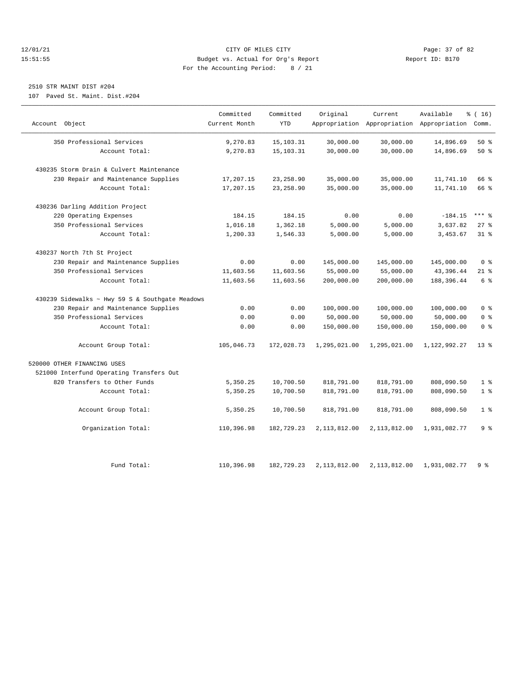#### 12/01/21 Page: 37 of 82<br>15:51:55 Pudget vs. Actual for Org's Report Report Report ID: B170 15:51:55 Budget vs. Actual for Org's Report For the Accounting Period: 8 / 21

### 2510 STR MAINT DIST #204

107 Paved St. Maint. Dist.#204

| Account Object                                  | Committed<br>Current Month | Committed<br><b>YTD</b> | Original     | Current      | Available<br>Appropriation Appropriation Appropriation Comm. | % (16)         |
|-------------------------------------------------|----------------------------|-------------------------|--------------|--------------|--------------------------------------------------------------|----------------|
|                                                 |                            |                         |              |              |                                                              |                |
| 350 Professional Services                       | 9,270.83                   | 15,103.31               | 30,000.00    | 30,000.00    | 14,896.69                                                    | 50%            |
| Account Total:                                  | 9,270.83                   | 15, 103. 31             | 30,000.00    | 30,000.00    | 14,896.69                                                    | 50%            |
| 430235 Storm Drain & Culvert Maintenance        |                            |                         |              |              |                                                              |                |
| 230 Repair and Maintenance Supplies             | 17,207.15                  | 23, 258.90              | 35,000.00    | 35,000.00    | 11,741.10                                                    | 66 %           |
| Account Total:                                  | 17,207.15                  | 23, 258.90              | 35,000.00    | 35,000.00    | 11,741.10                                                    | 66 %           |
| 430236 Darling Addition Project                 |                            |                         |              |              |                                                              |                |
| 220 Operating Expenses                          | 184.15                     | 184.15                  | 0.00         | 0.00         | $-184.15$                                                    | $***$ 8        |
| 350 Professional Services                       | 1,016.18                   | 1,362.18                | 5,000.00     | 5,000.00     | 3,637.82                                                     | 27%            |
| Account Total:                                  | 1,200.33                   | 1,546.33                | 5,000.00     | 5,000.00     | 3,453.67                                                     | 31.8           |
| 430237 North 7th St Project                     |                            |                         |              |              |                                                              |                |
| 230 Repair and Maintenance Supplies             | 0.00                       | 0.00                    | 145,000.00   | 145,000.00   | 145,000.00                                                   | 0 <sup>8</sup> |
| 350 Professional Services                       | 11,603.56                  | 11,603.56               | 55,000.00    | 55,000.00    | 43,396.44                                                    | $21$ %         |
| Account Total:                                  | 11,603.56                  | 11,603.56               | 200,000.00   | 200,000.00   | 188,396.44                                                   | 6 %            |
| 430239 Sidewalks ~ Hwy 59 S & Southgate Meadows |                            |                         |              |              |                                                              |                |
| 230 Repair and Maintenance Supplies             | 0.00                       | 0.00                    | 100,000.00   | 100,000.00   | 100,000.00                                                   | 0 <sup>8</sup> |
| 350 Professional Services                       | 0.00                       | 0.00                    | 50,000.00    | 50,000.00    | 50,000.00                                                    | 0 <sup>8</sup> |
| Account Total:                                  | 0.00                       | 0.00                    | 150,000.00   | 150,000.00   | 150,000.00                                                   | 0 <sup>8</sup> |
| Account Group Total:                            | 105,046.73                 | 172,028.73              | 1,295,021.00 | 1,295,021.00 | 1,122,992.27                                                 | $13*$          |
| 520000 OTHER FINANCING USES                     |                            |                         |              |              |                                                              |                |
| 521000 Interfund Operating Transfers Out        |                            |                         |              |              |                                                              |                |
| 820 Transfers to Other Funds                    | 5,350.25                   | 10,700.50               | 818,791.00   | 818,791.00   | 808,090.50                                                   | 1 <sup>8</sup> |
| Account Total:                                  | 5,350.25                   | 10,700.50               | 818,791.00   | 818,791.00   | 808,090.50                                                   | 1 <sup>8</sup> |
| Account Group Total:                            | 5,350.25                   | 10,700.50               | 818,791.00   | 818,791.00   | 808,090.50                                                   | 1 <sup>8</sup> |
| Organization Total:                             | 110,396.98                 | 182,729.23              | 2,113,812.00 | 2,113,812.00 | 1,931,082.77                                                 | 9 %            |
| Fund Total:                                     | 110,396.98                 | 182,729.23              | 2,113,812.00 | 2,113,812.00 | 1,931,082.77                                                 | 9%             |
|                                                 |                            |                         |              |              |                                                              |                |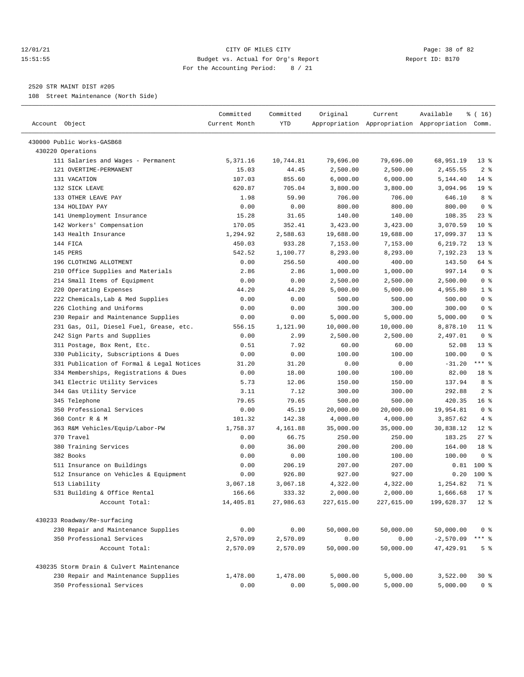#### 12/01/21 Page: 38 of 82 15:51:55 Budget vs. Actual for Org's Report Report ID: B170 For the Accounting Period: 8 / 21

————————————————————————————————————————————————————————————————————————————————————————————————————————————————————————————————————

#### 2520 STR MAINT DIST #205

108 Street Maintenance (North Side)

|                                           | Committed     | Committed | Original   | Current          | Available                                       | ៖ ( 16)         |
|-------------------------------------------|---------------|-----------|------------|------------------|-------------------------------------------------|-----------------|
| Account Object                            | Current Month | YTD       |            |                  | Appropriation Appropriation Appropriation Comm. |                 |
| 430000 Public Works-GASB68                |               |           |            |                  |                                                 |                 |
| 430220 Operations                         |               |           |            |                  |                                                 |                 |
| 111 Salaries and Wages - Permanent        | 5,371.16      | 10,744.81 | 79,696.00  | 79,696.00        | 68,951.19                                       | $13*$           |
| 121 OVERTIME-PERMANENT                    | 15.03         | 44.45     | 2,500.00   | 2,500.00         | 2,455.55                                        | 2 <sup>8</sup>  |
| 131 VACATION                              | 107.03        | 855.60    | 6,000.00   | 6,000.00         | 5,144.40                                        | $14*$           |
| 132 SICK LEAVE                            | 620.87        | 705.04    | 3,800.00   | 3,800.00         | 3,094.96                                        | 19 <sup>°</sup> |
| 133 OTHER LEAVE PAY                       | 1.98          | 59.90     | 706.00     | 706.00           | 646.10                                          | 8 %             |
| 134 HOLIDAY PAY                           | 0.00          | 0.00      | 800.00     | 800.00           | 800.00                                          | 0 <sup>8</sup>  |
| 141 Unemployment Insurance                | 15.28         | 31.65     | 140.00     | 140.00           | 108.35                                          | $23$ %          |
| 142 Workers' Compensation                 | 170.05        | 352.41    | 3,423.00   | 3,423.00         | 3,070.59                                        | $10*$           |
| 143 Health Insurance                      | 1,294.92      | 2,588.63  | 19,688.00  | 19,688.00        | 17,099.37                                       | $13*$           |
| 144 FICA                                  | 450.03        | 933.28    | 7,153.00   | 7,153.00         | 6,219.72                                        | $13*$           |
| 145 PERS                                  | 542.52        | 1,100.77  | 8,293.00   | 8,293.00         | 7,192.23                                        | $13*$           |
| 196 CLOTHING ALLOTMENT                    | 0.00          | 256.50    | 400.00     | 400.00           | 143.50                                          | 64 %            |
| 210 Office Supplies and Materials         | 2.86          | 2.86      | 1,000.00   | 1,000.00         | 997.14                                          | 0 <sup>8</sup>  |
| 214 Small Items of Equipment              | 0.00          | 0.00      | 2,500.00   | 2,500.00         | 2,500.00                                        | 0 <sup>8</sup>  |
| 220 Operating Expenses                    | 44.20         | 44.20     | 5,000.00   | 5,000.00         | 4,955.80                                        | 1 <sup>8</sup>  |
| 222 Chemicals, Lab & Med Supplies         | 0.00          | 0.00      | 500.00     | 500.00           | 500.00                                          | 0 <sup>8</sup>  |
| 226 Clothing and Uniforms                 | 0.00          | 0.00      | 300.00     | 300.00           | 300.00                                          | 0 <sup>8</sup>  |
| 230 Repair and Maintenance Supplies       | 0.00          | 0.00      | 5,000.00   | 5,000.00         | 5,000.00                                        | 0 <sup>8</sup>  |
| 231 Gas, Oil, Diesel Fuel, Grease, etc.   | 556.15        | 1,121.90  | 10,000.00  | 10,000.00        | 8,878.10                                        | $11$ %          |
| 242 Sign Parts and Supplies               | 0.00          | 2.99      | 2,500.00   | 2,500.00         | 2,497.01                                        | 0 <sup>8</sup>  |
| 311 Postage, Box Rent, Etc.               | 0.51          | 7.92      | 60.00      | 60.00            | 52.08                                           | $13*$           |
| 330 Publicity, Subscriptions & Dues       | 0.00          | 0.00      | 100.00     | 100.00           | 100.00                                          | 0 <sup>8</sup>  |
| 331 Publication of Formal & Legal Notices |               |           | 0.00       |                  | $-31.20$                                        | $***$ $-$       |
|                                           | 31.20         | 31.20     |            | 0.00             |                                                 | 18 %            |
| 334 Memberships, Registrations & Dues     | 0.00          | 18.00     | 100.00     | 100.00<br>150.00 | 82.00<br>137.94                                 | 8 %             |
| 341 Electric Utility Services             | 5.73          | 12.06     | 150.00     |                  |                                                 | 2 <sup>8</sup>  |
| 344 Gas Utility Service                   | 3.11          | 7.12      | 300.00     | 300.00           | 292.88                                          |                 |
| 345 Telephone                             | 79.65         | 79.65     | 500.00     | 500.00           | 420.35                                          | 16 <sup>°</sup> |
| 350 Professional Services                 | 0.00          | 45.19     | 20,000.00  | 20,000.00        | 19,954.81                                       | 0 <sup>8</sup>  |
| 360 Contr R & M                           | 101.32        | 142.38    | 4,000.00   | 4,000.00         | 3,857.62                                        | 4%              |
| 363 R&M Vehicles/Equip/Labor-PW           | 1,758.37      | 4,161.88  | 35,000.00  | 35,000.00        | 30,838.12                                       | $12*$           |
| 370 Travel                                | 0.00          | 66.75     | 250.00     | 250.00           | 183.25                                          | $27$ %          |
| 380 Training Services                     | 0.00          | 36.00     | 200.00     | 200.00           | 164.00                                          | 18 <sup>8</sup> |
| 382 Books                                 | 0.00          | 0.00      | 100.00     | 100.00           | 100.00                                          | 0 <sup>8</sup>  |
| 511 Insurance on Buildings                | 0.00          | 206.19    | 207.00     | 207.00           | 0.81                                            | $100*$          |
| 512 Insurance on Vehicles & Equipment     | 0.00          | 926.80    | 927.00     | 927.00           | 0.20                                            | $100*$          |
| 513 Liability                             | 3,067.18      | 3,067.18  | 4,322.00   | 4,322.00         | 1,254.82                                        | 71 %            |
| 531 Building & Office Rental              | 166.66        | 333.32    | 2,000.00   | 2,000.00         | 1,666.68 17 %                                   |                 |
| Account Total:                            | 14,405.81     | 27,986.63 | 227,615.00 | 227,615.00       | 199,628.37 12 %                                 |                 |
| 430233 Roadway/Re-surfacing               |               |           |            |                  |                                                 |                 |
| 230 Repair and Maintenance Supplies       | 0.00          | 0.00      | 50,000.00  | 50,000.00        | 50,000.00                                       | 0 <sup>8</sup>  |
| 350 Professional Services                 | 2,570.09      | 2,570.09  | 0.00       | 0.00             | $-2,570.09$                                     | *** 응           |
| Account Total:                            | 2,570.09      | 2,570.09  | 50,000.00  | 50,000.00        | 47, 429.91                                      | 5 <sup>8</sup>  |
| 430235 Storm Drain & Culvert Maintenance  |               |           |            |                  |                                                 |                 |
| 230 Repair and Maintenance Supplies       | 1,478.00      | 1,478.00  | 5,000.00   | 5,000.00         | 3,522.00                                        | $30*$           |
| 350 Professional Services                 | 0.00          | 0.00      | 5,000.00   | 5,000.00         | 5,000.00                                        | 0 <sup>8</sup>  |
|                                           |               |           |            |                  |                                                 |                 |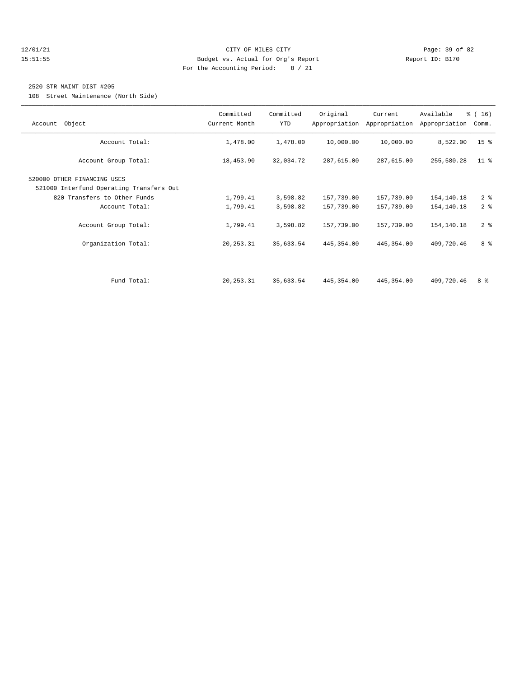#### 12/01/21 Page: 39 of 82 15:51:55 Budget vs. Actual for Org's Report Report ID: B170 For the Accounting Period: 8 / 21

#### 2520 STR MAINT DIST #205

108 Street Maintenance (North Side)

| Account Object                           | Committed<br>Current Month | Committed<br><b>YTD</b> | Original   | Current<br>Appropriation Appropriation | Available<br>Appropriation | % (16)<br>Comm. |
|------------------------------------------|----------------------------|-------------------------|------------|----------------------------------------|----------------------------|-----------------|
|                                          |                            |                         |            |                                        |                            |                 |
| Account Total:                           | 1,478.00                   | 1,478.00                | 10,000.00  | 10,000.00                              | 8,522.00                   | 15 <sup>°</sup> |
| Account Group Total:                     | 18,453.90                  | 32,034.72               | 287,615.00 | 287,615.00                             | 255,580.28                 | $11$ %          |
| 520000 OTHER FINANCING USES              |                            |                         |            |                                        |                            |                 |
| 521000 Interfund Operating Transfers Out |                            |                         |            |                                        |                            |                 |
| 820 Transfers to Other Funds             | 1,799.41                   | 3,598.82                | 157,739.00 | 157,739.00                             | 154,140.18                 | 2 <sup>8</sup>  |
| Account Total:                           | 1,799.41                   | 3,598.82                | 157,739.00 | 157,739.00                             | 154,140.18                 | 2 <sup>8</sup>  |
| Account Group Total:                     | 1,799.41                   | 3,598.82                | 157,739.00 | 157,739.00                             | 154,140.18                 | 2 <sup>8</sup>  |
| Organization Total:                      | 20, 253.31                 | 35,633.54               | 445,354.00 | 445, 354.00                            | 409,720.46                 | 8 %             |
|                                          |                            |                         |            |                                        |                            |                 |
|                                          |                            |                         |            |                                        |                            |                 |
| Fund Total:                              | 20, 253.31                 | 35,633.54               | 445,354.00 | 445, 354.00                            | 409,720.46                 | 8 %             |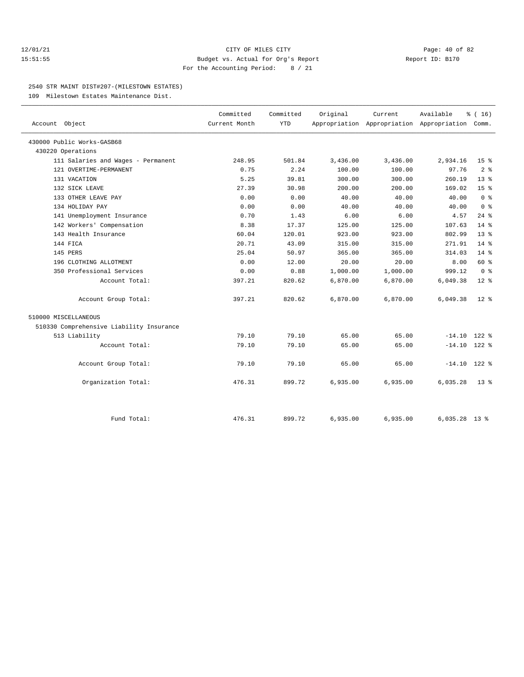#### $\verb|12/01/21| \quad \verb|2F MLES CITY| \quad \verb|Page: 40 of 82| \quad \verb|15:51:55| \quad \verb|15:51:55| \quad \verb|15:51:55| \quad \verb|15:51:55| \quad \verb|15:51:55| \quad \verb|15:51:55| \quad \verb|15:51:55| \quad \verb|15:51:55| \quad \verb|15:51:55| \quad \verb|15:51:55| \quad \verb|15:51:55| \quad \verb|15:51:55| \quad \verb|15:51:5$ 15:51:55 Budget vs. Actual for Org's Report Report ID: B170 For the Accounting Period: 8 / 21

#### 2540 STR MAINT DIST#207-(MILESTOWN ESTATES)

109 Milestown Estates Maintenance Dist.

| Account Object                           | Committed<br>Current Month | Committed<br><b>YTD</b> | Original | Current  | Available<br>Appropriation Appropriation Appropriation Comm. | % (16)                  |
|------------------------------------------|----------------------------|-------------------------|----------|----------|--------------------------------------------------------------|-------------------------|
| 430000 Public Works-GASB68               |                            |                         |          |          |                                                              |                         |
| 430220 Operations                        |                            |                         |          |          |                                                              |                         |
| 111 Salaries and Wages - Permanent       | 248.95                     | 501.84                  | 3,436.00 | 3,436.00 | 2,934.16                                                     | 15 <sup>8</sup>         |
| 121 OVERTIME-PERMANENT                   | 0.75                       | 2.24                    | 100.00   | 100.00   | 97.76                                                        | 2 <sup>°</sup>          |
| 131 VACATION                             | 5.25                       | 39.81                   | 300.00   | 300.00   | 260.19                                                       | 13 <sup>8</sup>         |
| 132 SICK LEAVE                           | 27.39                      | 30.98                   | 200.00   | 200.00   | 169.02                                                       | 15 <sup>8</sup>         |
| 133 OTHER LEAVE PAY                      | 0.00                       | 0.00                    | 40.00    | 40.00    | 40.00                                                        | 0 <sup>8</sup>          |
| 134 HOLIDAY PAY                          | 0.00                       | 0.00                    | 40.00    | 40.00    | 40.00                                                        | $0 \text{ }$ $\text{ }$ |
| 141 Unemployment Insurance               | 0.70                       | 1.43                    | 6.00     | 6.00     | 4.57                                                         | $24$ %                  |
| 142 Workers' Compensation                | 8.38                       | 17.37                   | 125.00   | 125.00   | 107.63                                                       | 14.8                    |
| 143 Health Insurance                     | 60.04                      | 120.01                  | 923.00   | 923.00   | 802.99                                                       | 13 <sup>8</sup>         |
| 144 FICA                                 | 20.71                      | 43.09                   | 315.00   | 315.00   | 271.91                                                       | $14*$                   |
| 145 PERS                                 | 25.04                      | 50.97                   | 365.00   | 365.00   | 314.03                                                       | $14*$                   |
| 196 CLOTHING ALLOTMENT                   | 0.00                       | 12.00                   | 20.00    | 20.00    | 8.00                                                         | 60 %                    |
| 350 Professional Services                | 0.00                       | 0.88                    | 1,000.00 | 1,000.00 | 999.12                                                       | 0 <sup>8</sup>          |
| Account Total:                           | 397.21                     | 820.62                  | 6,870.00 | 6,870.00 | 6,049.38                                                     | $12*$                   |
| Account Group Total:                     | 397.21                     | 820.62                  | 6,870.00 | 6,870.00 | 6,049.38                                                     | $12*$                   |
| 510000 MISCELLANEOUS                     |                            |                         |          |          |                                                              |                         |
| 510330 Comprehensive Liability Insurance |                            |                         |          |          |                                                              |                         |
| 513 Liability                            | 79.10                      | 79.10                   | 65.00    | 65.00    | $-14.10$                                                     | $122$ %                 |
| Account Total:                           | 79.10                      | 79.10                   | 65.00    | 65.00    | $-14.10$ 122 %                                               |                         |
| Account Group Total:                     | 79.10                      | 79.10                   | 65.00    | 65.00    | $-14.10$ 122 %                                               |                         |
| Organization Total:                      | 476.31                     | 899.72                  | 6,935.00 | 6,935.00 | 6,035.28                                                     | $13*$                   |
|                                          |                            |                         |          |          |                                                              |                         |
| Fund Total:                              | 476.31                     | 899.72                  | 6,935.00 | 6,935.00 | $6,035.28$ 13 %                                              |                         |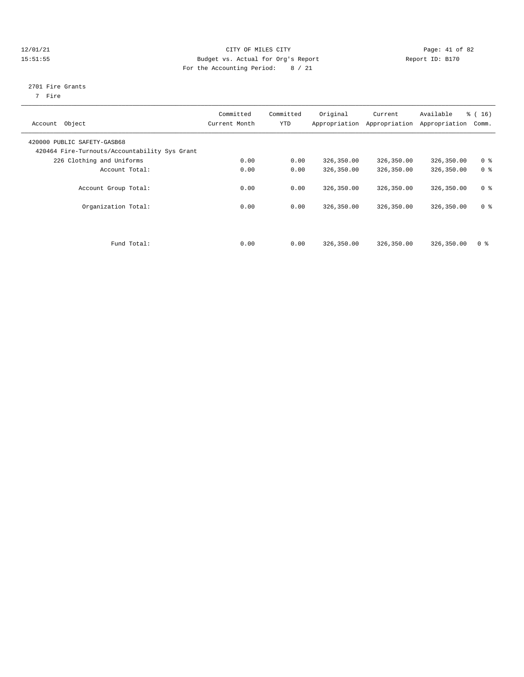#### 12/01/21 Page: 41 of 82 15:51:55 Budget vs. Actual for Org's Report Report ID: B170 For the Accounting Period: 8 / 21

#### 2701 Fire Grants

7 Fire

| Object<br>Account                                                            | Committed<br>Current Month | Committed<br>YTD | Original   | Current<br>Appropriation Appropriation | Available<br>Appropriation | % (16)<br>Comm. |
|------------------------------------------------------------------------------|----------------------------|------------------|------------|----------------------------------------|----------------------------|-----------------|
| 420000 PUBLIC SAFETY-GASB68<br>420464 Fire-Turnouts/Accountability Sys Grant |                            |                  |            |                                        |                            |                 |
| 226 Clothing and Uniforms                                                    | 0.00                       | 0.00             | 326,350.00 | 326,350.00                             | 326,350.00                 | 0 <sup>8</sup>  |
| Account Total:                                                               | 0.00                       | 0.00             | 326,350.00 | 326,350.00                             | 326,350.00                 | 0 <sup>8</sup>  |
| Account Group Total:                                                         | 0.00                       | 0.00             | 326,350.00 | 326,350.00                             | 326,350.00                 | 0 <sup>8</sup>  |
| Organization Total:                                                          | 0.00                       | 0.00             | 326,350.00 | 326,350.00                             | 326,350.00                 | 0 <sup>8</sup>  |
| Fund Total:                                                                  | 0.00                       | 0.00             | 326,350.00 | 326,350.00                             | 326,350.00                 | 0 <sup>8</sup>  |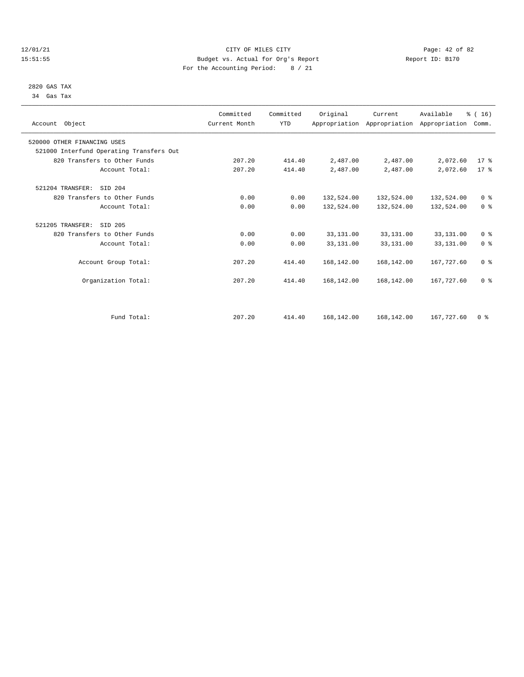#### 12/01/21 Page: 42 of 82<br>
12/01/21 Page: 42 of 82<br>
Budget vs. Actual for Org's Report Physics Report Report ID: B170 15:51:55 Budget vs. Actual for Org's Report For the Accounting Period: 8 / 21

#### 2820 GAS TAX 34 Gas Tax

| Account Object                           | Committed<br>Current Month | Committed<br><b>YTD</b> | Original   | Current    | Available<br>Appropriation Appropriation Appropriation | % (16)<br>Comm. |  |
|------------------------------------------|----------------------------|-------------------------|------------|------------|--------------------------------------------------------|-----------------|--|
| 520000 OTHER FINANCING USES              |                            |                         |            |            |                                                        |                 |  |
| 521000 Interfund Operating Transfers Out |                            |                         |            |            |                                                        |                 |  |
| 820 Transfers to Other Funds             | 207.20                     | 414.40                  | 2,487.00   | 2,487.00   | 2,072.60                                               | $17*$           |  |
| Account Total:                           | 207.20                     | 414.40                  | 2,487.00   | 2,487.00   | 2,072.60                                               | $17*$           |  |
| 521204 TRANSFER:<br>SID 204              |                            |                         |            |            |                                                        |                 |  |
| 820 Transfers to Other Funds             | 0.00                       | 0.00                    | 132,524.00 | 132,524.00 | 132,524.00                                             | 0 <sup>8</sup>  |  |
| Account Total:                           | 0.00                       | 0.00                    | 132,524.00 | 132,524.00 | 132,524.00                                             | 0 <sup>8</sup>  |  |
| 521205 TRANSFER:<br>SID 205              |                            |                         |            |            |                                                        |                 |  |
| 820 Transfers to Other Funds             | 0.00                       | 0.00                    | 33,131.00  | 33,131.00  | 33,131.00                                              | 0 <sup>8</sup>  |  |
| Account Total:                           | 0.00                       | 0.00                    | 33,131.00  | 33,131.00  | 33,131.00                                              | 0 <sup>8</sup>  |  |
| Account Group Total:                     | 207.20                     | 414.40                  | 168,142.00 | 168,142.00 | 167,727.60                                             | 0 <sup>8</sup>  |  |
| Organization Total:                      | 207.20                     | 414.40                  | 168,142.00 | 168,142.00 | 167,727.60                                             | 0 <sup>8</sup>  |  |
|                                          |                            |                         |            |            |                                                        |                 |  |
| Fund Total:                              | 207.20                     | 414.40                  | 168,142.00 | 168,142.00 | 167,727.60                                             | 0 <sup>8</sup>  |  |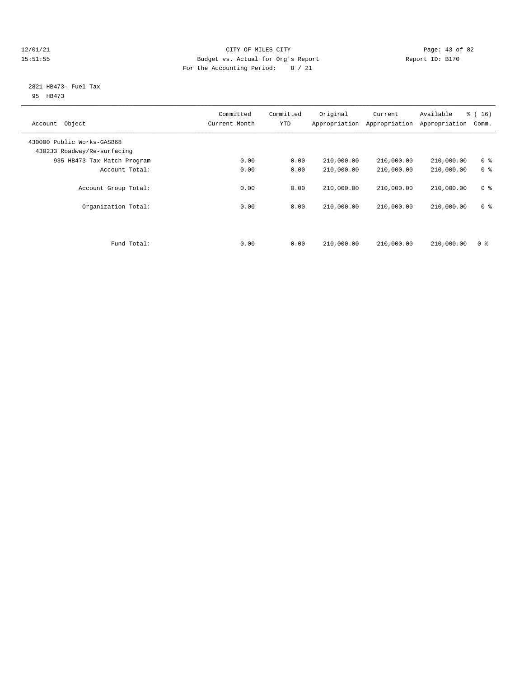#### 12/01/21 Page: 43 of 82<br>15:51:55 Pudget vs. Actual for Org's Report Report Report ID: B170 15:51:55 Budget vs. Actual for Org's Report For the Accounting Period: 8 / 21

#### 2821 HB473- Fuel Tax 95 HB473

| Object<br>Account                                         | Committed<br>Current Month | Committed<br><b>YTD</b> | Original<br>Appropriation | Current<br>Appropriation | Available<br>Appropriation | % (16)<br>Comm.                  |
|-----------------------------------------------------------|----------------------------|-------------------------|---------------------------|--------------------------|----------------------------|----------------------------------|
| 430000 Public Works-GASB68<br>430233 Roadway/Re-surfacing |                            |                         |                           |                          |                            |                                  |
| 935 HB473 Tax Match Program                               | 0.00                       | 0.00                    | 210,000.00                | 210,000.00               | 210,000.00                 | 0 <sup>8</sup>                   |
| Account Total:                                            | 0.00                       | 0.00                    | 210,000.00                | 210,000.00               | 210,000.00                 | 0 <sup>8</sup>                   |
| Account Group Total:<br>Organization Total:               | 0.00<br>0.00               | 0.00<br>0.00            | 210,000.00<br>210,000.00  | 210,000.00<br>210,000.00 | 210,000.00<br>210,000.00   | 0 <sup>8</sup><br>0 <sup>8</sup> |
|                                                           |                            |                         |                           |                          |                            |                                  |
| Fund Total:                                               | 0.00                       | 0.00                    | 210,000.00                | 210,000.00               | 210,000.00                 | 0 <sup>8</sup>                   |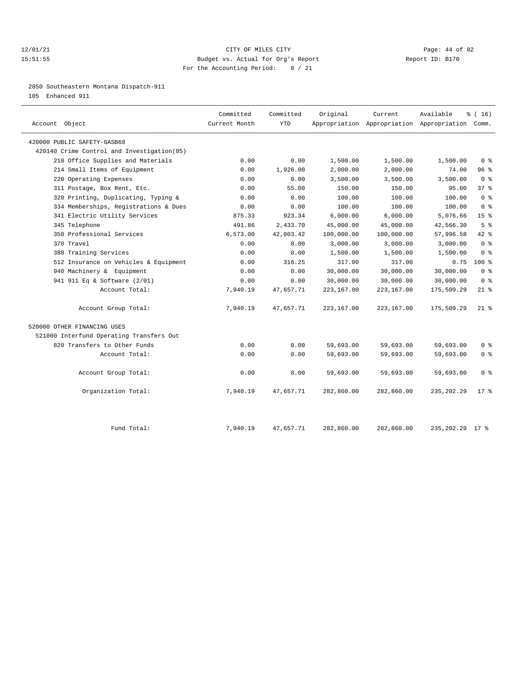#### 12/01/21 Page: 44 of 82 15:51:55 Budget vs. Actual for Org's Report Report ID: B170 For the Accounting Period: 8 / 21

2850 Southeastern Montana Dispatch-911

105 Enhanced 911

| Account Object                             | Committed<br>Current Month | Committed<br><b>YTD</b> | Original   | Current    | Available<br>Appropriation Appropriation Appropriation Comm. | $*(16)$         |
|--------------------------------------------|----------------------------|-------------------------|------------|------------|--------------------------------------------------------------|-----------------|
| 420000 PUBLIC SAFETY-GASB68                |                            |                         |            |            |                                                              |                 |
| 420140 Crime Control and Investigation(05) |                            |                         |            |            |                                                              |                 |
| 210 Office Supplies and Materials          | 0.00                       | 0.00                    | 1,500.00   | 1,500.00   | 1,500.00                                                     | 0 <sup>8</sup>  |
| 214 Small Items of Equipment               | 0.00                       | 1,926.00                | 2,000.00   | 2,000.00   | 74.00                                                        | 96%             |
| 220 Operating Expenses                     | 0.00                       | 0.00                    | 3,500.00   | 3,500.00   | 3,500.00                                                     | 0 <sup>8</sup>  |
| 311 Postage, Box Rent, Etc.                | 0.00                       | 55.00                   | 150.00     | 150.00     | 95.00                                                        | 37%             |
| 320 Printing, Duplicating, Typing &        | 0.00                       | 0.00                    | 100.00     | 100.00     | 100.00                                                       | 0 <sup>8</sup>  |
| 334 Memberships, Registrations & Dues      | 0.00                       | 0.00                    | 100.00     | 100.00     | 100.00                                                       | 0 <sup>8</sup>  |
| 341 Electric Utility Services              | 875.33                     | 923.34                  | 6,000.00   | 6,000.00   | 5,076.66                                                     | 15 <sup>8</sup> |
| 345 Telephone                              | 491.86                     | 2,433.70                | 45,000.00  | 45,000.00  | 42,566.30                                                    | 5 <sup>8</sup>  |
| 350 Professional Services                  | 6,573.00                   | 42,003.42               | 100,000.00 | 100,000.00 | 57,996.58                                                    | $42$ $%$        |
| 370 Travel                                 | 0.00                       | 0.00                    | 3,000.00   | 3,000.00   | 3,000.00                                                     | 0 <sup>8</sup>  |
| 380 Training Services                      | 0.00                       | 0.00                    | 1,500.00   | 1,500.00   | 1,500.00                                                     | 0 <sup>8</sup>  |
| 512 Insurance on Vehicles & Equipment      | 0.00                       | 316.25                  | 317.00     | 317.00     | 0.75                                                         | $100*$          |
| 940 Machinery & Equipment                  | 0.00                       | 0.00                    | 30,000.00  | 30,000.00  | 30,000.00                                                    | 0 <sup>8</sup>  |
| 941 911 Eq & Software (2/01)               | 0.00                       | 0.00                    | 30,000.00  | 30,000.00  | 30,000.00                                                    | 0 <sup>8</sup>  |
| Account Total:                             | 7,940.19                   | 47,657.71               | 223,167.00 | 223,167.00 | 175,509.29                                                   | $21$ %          |
| Account Group Total:                       | 7,940.19                   | 47,657.71               | 223,167.00 | 223,167.00 | 175,509.29                                                   | $21*$           |
| 520000 OTHER FINANCING USES                |                            |                         |            |            |                                                              |                 |
| 521000 Interfund Operating Transfers Out   |                            |                         |            |            |                                                              |                 |
| 820 Transfers to Other Funds               | 0.00                       | 0.00                    | 59,693.00  | 59,693.00  | 59,693.00                                                    | 0 <sup>8</sup>  |
| Account Total:                             | 0.00                       | 0.00                    | 59,693.00  | 59,693.00  | 59,693.00                                                    | 0 <sup>8</sup>  |
| Account Group Total:                       | 0.00                       | 0.00                    | 59,693.00  | 59,693.00  | 59,693.00                                                    | 0 <sup>8</sup>  |
| Organization Total:                        | 7,940.19                   | 47,657.71               | 282,860.00 | 282,860.00 | 235, 202.29                                                  | $17*$           |
| Fund Total:                                | 7,940.19                   | 47,657.71               | 282,860.00 | 282,860.00 | 235, 202. 29 17 %                                            |                 |
|                                            |                            |                         |            |            |                                                              |                 |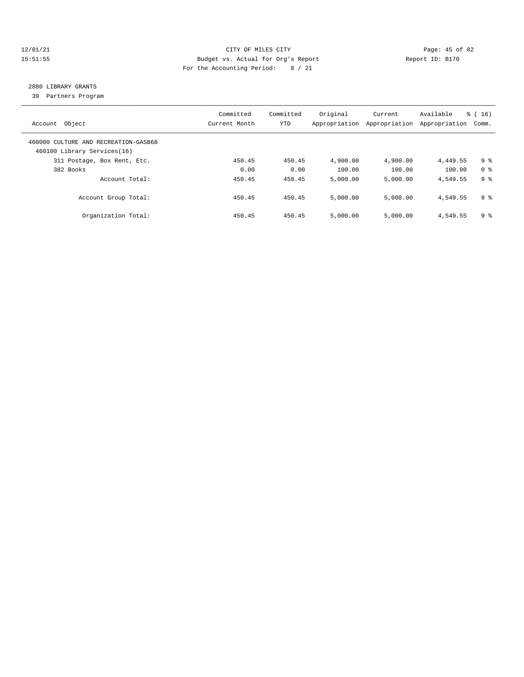#### 12/01/21 Page: 45 of 82 15:51:55 Budget vs. Actual for Org's Report Report ID: B170 For the Accounting Period: 8 / 21

## 2880 LIBRARY GRANTS

39 Partners Program

| Account Object                                                      | Committed<br>Current Month | Committed<br>YTD | Original<br>Appropriation | Current<br>Appropriation | Available<br>Appropriation | $\frac{16}{3}$ ( 16 )<br>Comm. |
|---------------------------------------------------------------------|----------------------------|------------------|---------------------------|--------------------------|----------------------------|--------------------------------|
| 460000 CULTURE AND RECREATION-GASB68<br>460100 Library Services(16) |                            |                  |                           |                          |                            |                                |
| 311 Postage, Box Rent, Etc.                                         | 450.45                     | 450.45           | 4,900.00                  | 4,900.00                 | 4,449.55                   | 9 %                            |
| 382 Books                                                           | 0.00                       | 0.00             | 100.00                    | 100.00                   | 100.00                     | 0 <sup>8</sup>                 |
| Account Total:                                                      | 450.45                     | 450.45           | 5,000.00                  | 5.000.00                 | 4,549.55                   | 9 %                            |
| Account Group Total:                                                | 450.45                     | 450.45           | 5,000.00                  | 5,000.00                 | 4,549.55                   | 9 %                            |
| Organization Total:                                                 | 450.45                     | 450.45           | 5,000.00                  | 5.000.00                 | 4,549.55                   | 9 %                            |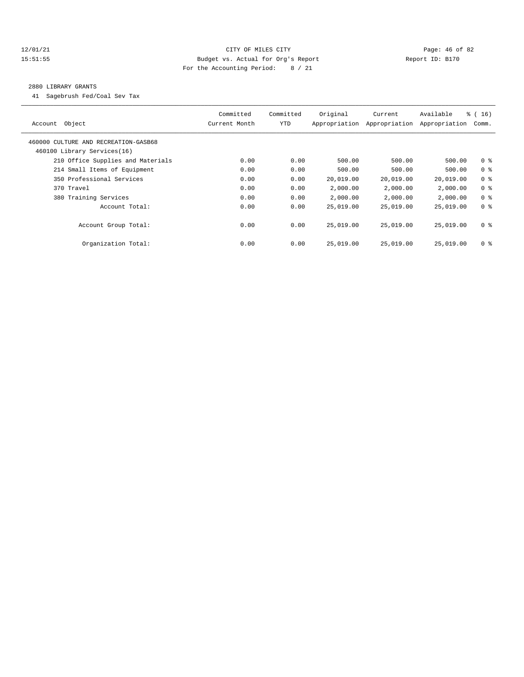#### 12/01/21 Page: 46 of 82 15:51:55 Budget vs. Actual for Org's Report Report ID: B170 For the Accounting Period: 8 / 21

#### 2880 LIBRARY GRANTS

41 Sagebrush Fed/Coal Sev Tax

| Object<br>Account                                                   | Committed<br>Current Month | Committed<br>YTD | Original<br>Appropriation | Current<br>Appropriation | Available<br>Appropriation | $\frac{3}{6}$ ( 16 )<br>Comm. |
|---------------------------------------------------------------------|----------------------------|------------------|---------------------------|--------------------------|----------------------------|-------------------------------|
| 460000 CULTURE AND RECREATION-GASB68<br>460100 Library Services(16) |                            |                  |                           |                          |                            |                               |
| 210 Office Supplies and Materials                                   | 0.00                       | 0.00             | 500.00                    | 500.00                   | 500.00                     | 0 <sup>8</sup>                |
| 214 Small Items of Equipment                                        | 0.00                       | 0.00             | 500.00                    | 500.00                   | 500.00                     | 0 <sup>8</sup>                |
| 350 Professional Services                                           | 0.00                       | 0.00             | 20,019.00                 | 20,019.00                | 20,019.00                  | 0 <sup>8</sup>                |
| 370 Travel                                                          | 0.00                       | 0.00             | 2,000.00                  | 2,000.00                 | 2,000.00                   | 0 <sup>8</sup>                |
| 380 Training Services                                               | 0.00                       | 0.00             | 2,000.00                  | 2,000.00                 | 2,000.00                   | 0 <sup>8</sup>                |
| Account Total:                                                      | 0.00                       | 0.00             | 25,019.00                 | 25,019.00                | 25,019.00                  | 0 <sup>8</sup>                |
| Account Group Total:                                                | 0.00                       | 0.00             | 25,019.00                 | 25,019.00                | 25,019.00                  | 0 <sup>8</sup>                |
| Organization Total:                                                 | 0.00                       | 0.00             | 25,019.00                 | 25,019.00                | 25,019.00                  | 0 <sup>8</sup>                |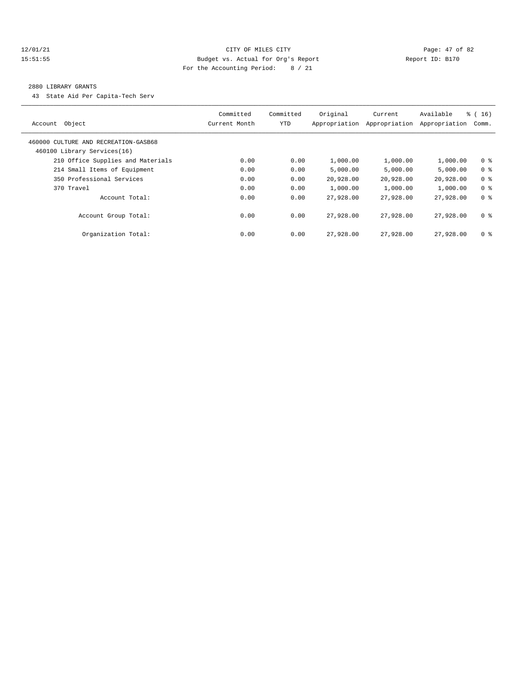#### 12/01/21 Page: 47 of 82 15:51:55 Budget vs. Actual for Org's Report Report ID: B170 For the Accounting Period: 8 / 21

#### 2880 LIBRARY GRANTS

43 State Aid Per Capita-Tech Serv

| Account Object                                                      | Committed<br>Current Month | Committed<br><b>YTD</b> | Original<br>Appropriation | Current<br>Appropriation | Available<br>Appropriation | % (16)<br>Comm. |
|---------------------------------------------------------------------|----------------------------|-------------------------|---------------------------|--------------------------|----------------------------|-----------------|
| 460000 CULTURE AND RECREATION-GASB68<br>460100 Library Services(16) |                            |                         |                           |                          |                            |                 |
| 210 Office Supplies and Materials                                   | 0.00                       | 0.00                    | 1,000.00                  | 1,000.00                 | 1,000.00                   | 0 <sup>8</sup>  |
| 214 Small Items of Equipment                                        | 0.00                       | 0.00                    | 5.000.00                  | 5,000.00                 | 5.000.00                   | 0 <sup>8</sup>  |
| 350 Professional Services                                           | 0.00                       | 0.00                    | 20,928.00                 | 20,928.00                | 20,928.00                  | 0 <sup>8</sup>  |
| 370 Travel                                                          | 0.00                       | 0.00                    | 1,000.00                  | 1,000.00                 | 1,000.00                   | 0 <sup>8</sup>  |
| Account Total:                                                      | 0.00                       | 0.00                    | 27,928.00                 | 27,928.00                | 27,928.00                  | 0 <sup>8</sup>  |
| Account Group Total:                                                | 0.00                       | 0.00                    | 27,928.00                 | 27,928,00                | 27,928,00                  | 0 <sup>8</sup>  |
| Organization Total:                                                 | 0.00                       | 0.00                    | 27,928.00                 | 27,928.00                | 27,928.00                  | 0 <sup>8</sup>  |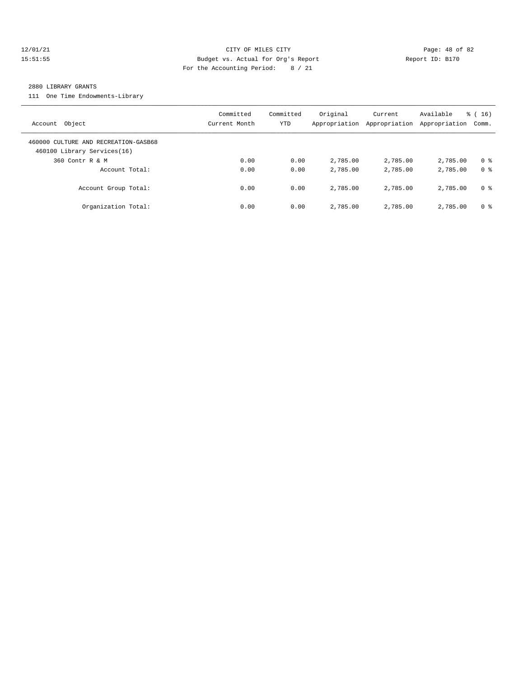#### 12/01/21 Page: 48 of 82 15:51:55 Budget vs. Actual for Org's Report Report ID: B170 For the Accounting Period: 8 / 21

#### 2880 LIBRARY GRANTS

111 One Time Endowments-Library

| Account Object                                                      | Committed<br>Current Month | Committed<br><b>YTD</b> | Original<br>Appropriation | Current<br>Appropriation | Available<br>Appropriation | $\frac{16}{3}$ (16)<br>Comm. |
|---------------------------------------------------------------------|----------------------------|-------------------------|---------------------------|--------------------------|----------------------------|------------------------------|
| 460000 CULTURE AND RECREATION-GASB68<br>460100 Library Services(16) |                            |                         |                           |                          |                            |                              |
| 360 Contr R & M                                                     | 0.00                       | 0.00                    | 2,785.00                  | 2,785.00                 | 2,785.00                   | 0 <sup>8</sup>               |
| Account Total:                                                      | 0.00                       | 0.00                    | 2,785.00                  | 2,785.00                 | 2,785.00                   | 0 %                          |
| Account Group Total:                                                | 0.00                       | 0.00                    | 2,785.00                  | 2,785.00                 | 2,785.00                   | 0 %                          |
| Organization Total:                                                 | 0.00                       | 0.00                    | 2,785.00                  | 2,785.00                 | 2,785.00                   | 0 %                          |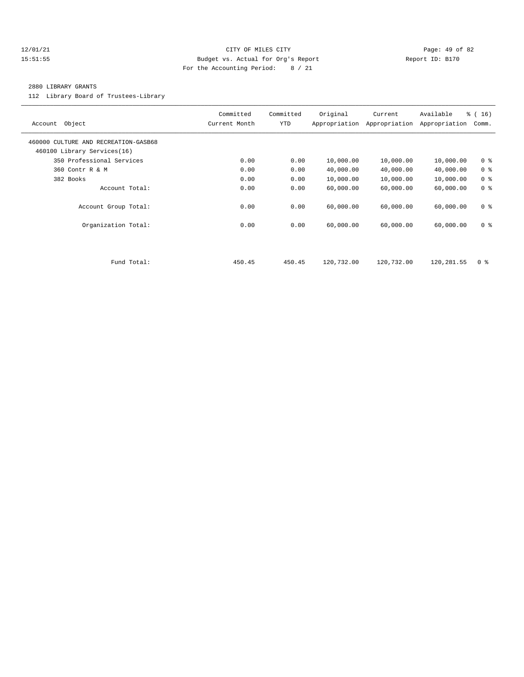#### 12/01/21 Page: 49 of 82 15:51:55 Budget vs. Actual for Org's Report Report ID: B170 For the Accounting Period: 8 / 21

#### 2880 LIBRARY GRANTS

112 Library Board of Trustees-Library

| Object<br>Account                                                   | Committed<br>Current Month | Committed<br>YTD | Original<br>Appropriation | Current<br>Appropriation | Available<br>Appropriation | $\frac{1}{6}$ ( 16 )<br>Comm. |
|---------------------------------------------------------------------|----------------------------|------------------|---------------------------|--------------------------|----------------------------|-------------------------------|
| 460000 CULTURE AND RECREATION-GASB68<br>460100 Library Services(16) |                            |                  |                           |                          |                            |                               |
| 350 Professional Services                                           | 0.00                       | 0.00             | 10,000.00                 | 10,000.00                | 10,000.00                  | 0 <sup>8</sup>                |
| 360 Contr R & M                                                     | 0.00                       | 0.00             | 40,000.00                 | 40,000.00                | 40,000.00                  | 0 <sup>8</sup>                |
| 382 Books                                                           | 0.00                       | 0.00             | 10,000.00                 | 10,000.00                | 10,000.00                  | 0 <sup>8</sup>                |
| Account Total:                                                      | 0.00                       | 0.00             | 60,000.00                 | 60,000.00                | 60,000.00                  | 0 <sup>8</sup>                |
| Account Group Total:                                                | 0.00                       | 0.00             | 60,000.00                 | 60,000.00                | 60,000.00                  | 0 <sup>8</sup>                |
| Organization Total:                                                 | 0.00                       | 0.00             | 60,000.00                 | 60,000.00                | 60,000.00                  | 0 <sup>8</sup>                |
|                                                                     |                            |                  |                           |                          |                            |                               |
| Fund Total:                                                         | 450.45                     | 450.45           | 120,732.00                | 120,732.00               | 120,281.55                 | $0 \text{ }$ $\text{*}$       |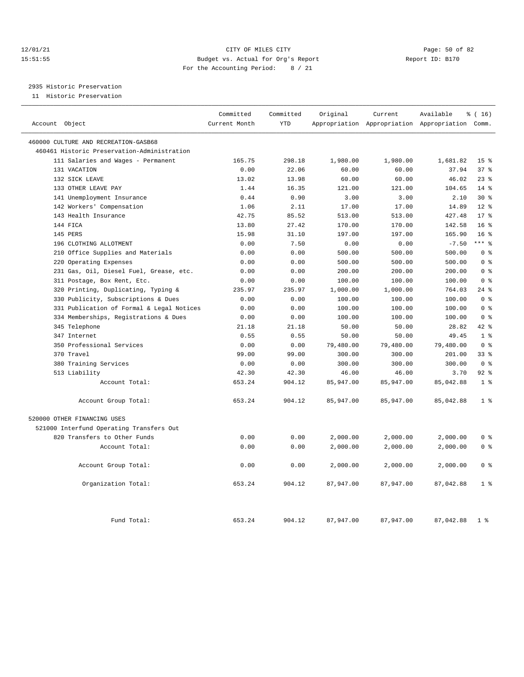#### 12/01/21 Page: 50 of 82 15:51:55 Budget vs. Actual for Org's Report Report ID: B170 For the Accounting Period: 8 / 21

## 2935 Historic Preservation

11 Historic Preservation

| Account Object                              | Committed<br>Current Month | Committed<br><b>YTD</b> | Original  | Current   | Available<br>Appropriation Appropriation Appropriation Comm. | % (16)          |
|---------------------------------------------|----------------------------|-------------------------|-----------|-----------|--------------------------------------------------------------|-----------------|
|                                             |                            |                         |           |           |                                                              |                 |
| 460000 CULTURE AND RECREATION-GASB68        |                            |                         |           |           |                                                              |                 |
| 460461 Historic Preservation-Administration |                            |                         |           |           |                                                              |                 |
| 111 Salaries and Wages - Permanent          | 165.75                     | 298.18                  | 1,980.00  | 1,980.00  | 1,681.82                                                     | 15 <sup>8</sup> |
| 131 VACATION                                | 0.00                       | 22.06                   | 60.00     | 60.00     | 37.94                                                        | 37%             |
| 132 SICK LEAVE                              | 13.02                      | 13.98                   | 60.00     | 60.00     | 46.02                                                        | $23$ $%$        |
| 133 OTHER LEAVE PAY                         | 1.44                       | 16.35                   | 121.00    | 121.00    | 104.65                                                       | 14 %            |
| 141 Unemployment Insurance                  | 0.44                       | 0.90                    | 3.00      | 3.00      | 2.10                                                         | $30*$           |
| 142 Workers' Compensation                   | 1.06                       | 2.11                    | 17.00     | 17.00     | 14.89                                                        | $12*$           |
| 143 Health Insurance                        | 42.75                      | 85.52                   | 513.00    | 513.00    | 427.48                                                       | $17*$           |
| 144 FICA                                    | 13.80                      | 27.42                   | 170.00    | 170.00    | 142.58                                                       | 16 <sup>8</sup> |
| 145 PERS                                    | 15.98                      | 31.10                   | 197.00    | 197.00    | 165.90                                                       | 16 <sup>8</sup> |
| 196 CLOTHING ALLOTMENT                      | 0.00                       | 7.50                    | 0.00      | 0.00      | $-7.50$                                                      | $***$ $%$       |
| 210 Office Supplies and Materials           | 0.00                       | 0.00                    | 500.00    | 500.00    | 500.00                                                       | 0 <sup>8</sup>  |
| 220 Operating Expenses                      | 0.00                       | 0.00                    | 500.00    | 500.00    | 500.00                                                       | 0 <sup>8</sup>  |
| 231 Gas, Oil, Diesel Fuel, Grease, etc.     | 0.00                       | 0.00                    | 200.00    | 200.00    | 200.00                                                       | 0 <sup>8</sup>  |
| 311 Postage, Box Rent, Etc.                 | 0.00                       | 0.00                    | 100.00    | 100.00    | 100.00                                                       | 0 <sup>8</sup>  |
| 320 Printing, Duplicating, Typing &         | 235.97                     | 235.97                  | 1,000.00  | 1,000.00  | 764.03                                                       | $24$ %          |
| 330 Publicity, Subscriptions & Dues         | 0.00                       | 0.00                    | 100.00    | 100.00    | 100.00                                                       | 0 <sup>8</sup>  |
| 331 Publication of Formal & Legal Notices   | 0.00                       | 0.00                    | 100.00    | 100.00    | 100.00                                                       | 0 <sup>8</sup>  |
| 334 Memberships, Registrations & Dues       | 0.00                       | 0.00                    | 100.00    | 100.00    | 100.00                                                       | 0 <sup>8</sup>  |
| 345 Telephone                               | 21.18                      | 21.18                   | 50.00     | 50.00     | 28.82                                                        | 42 %            |
| 347 Internet                                | 0.55                       | 0.55                    | 50.00     | 50.00     | 49.45                                                        | 1 <sup>8</sup>  |
| 350 Professional Services                   | 0.00                       | 0.00                    | 79,480.00 | 79,480.00 | 79,480.00                                                    | 0 <sup>8</sup>  |
| 370 Travel                                  | 99.00                      | 99.00                   | 300.00    | 300.00    | 201.00                                                       | 33%             |
| 380 Training Services                       | 0.00                       | 0.00                    | 300.00    | 300.00    | 300.00                                                       | 0 <sup>8</sup>  |
| 513 Liability                               | 42.30                      | 42.30                   | 46.00     | 46.00     | 3.70                                                         | 92.8            |
| Account Total:                              | 653.24                     | 904.12                  | 85,947.00 | 85,947.00 | 85,042.88                                                    | 1 <sup>8</sup>  |
| Account Group Total:                        | 653.24                     | 904.12                  | 85,947.00 | 85,947.00 | 85,042.88                                                    | 1 <sup>8</sup>  |
| 520000 OTHER FINANCING USES                 |                            |                         |           |           |                                                              |                 |
| 521000 Interfund Operating Transfers Out    |                            |                         |           |           |                                                              |                 |
| 820 Transfers to Other Funds                | 0.00                       | 0.00                    | 2,000.00  | 2,000.00  | 2,000.00                                                     | 0 <sup>8</sup>  |
| Account Total:                              | 0.00                       | 0.00                    | 2,000.00  | 2,000.00  | 2,000.00                                                     | 0 <sup>8</sup>  |
| Account Group Total:                        | 0.00                       | 0.00                    | 2,000.00  | 2,000.00  | 2,000.00                                                     | 0 <sup>8</sup>  |
| Organization Total:                         | 653.24                     | 904.12                  | 87,947.00 | 87,947.00 | 87,042.88                                                    | 1 <sup>8</sup>  |
| Fund Total:                                 | 653.24                     | 904.12                  | 87,947.00 | 87,947.00 | 87,042.88                                                    | 1 <sup>8</sup>  |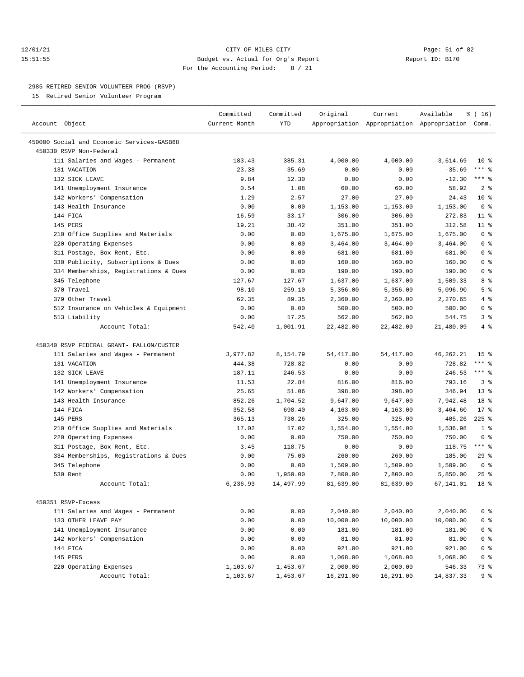#### 12/01/21 Page: 51 of 82 15:51:55 Budget vs. Actual for Org's Report Report ID: B170 For the Accounting Period: 8 / 21

————————————————————————————————————————————————————————————————————————————————————————————————————————————————————————————————————

#### 2985 RETIRED SENIOR VOLUNTEER PROG (RSVP)

15 Retired Senior Volunteer Program

|                                            | Committed     | Committed  | Original   | Current    | Available                                       | ៖ ( 16)                      |
|--------------------------------------------|---------------|------------|------------|------------|-------------------------------------------------|------------------------------|
| Account Object                             | Current Month | <b>YTD</b> |            |            | Appropriation Appropriation Appropriation Comm. |                              |
| 450000 Social and Economic Services-GASB68 |               |            |            |            |                                                 |                              |
| 450330 RSVP Non-Federal                    |               |            |            |            |                                                 |                              |
|                                            |               |            |            |            |                                                 |                              |
| 111 Salaries and Wages - Permanent         | 183.43        | 385.31     | 4,000.00   | 4,000.00   | 3,614.69                                        | 10 <sub>8</sub><br>$***$ $-$ |
| 131 VACATION                               | 23.38         | 35.69      | 0.00       | 0.00       | $-35.69$                                        | $***$ $-$                    |
| 132 SICK LEAVE                             | 9.84          | 12.30      | 0.00       | 0.00       | $-12.30$                                        |                              |
| 141 Unemployment Insurance                 | 0.54          | 1.08       | 60.00      | 60.00      | 58.92                                           | 2 <sup>8</sup>               |
| 142 Workers' Compensation                  | 1.29          | 2.57       | 27.00      | 27.00      | 24.43                                           | $10*$                        |
| 143 Health Insurance                       | 0.00          | 0.00       | 1,153.00   | 1,153.00   | 1,153.00                                        | 0 <sup>8</sup>               |
| 144 FTCA                                   | 16.59         | 33.17      | 306.00     | 306.00     | 272.83                                          | $11$ %                       |
| 145 PERS                                   | 19.21         | 38.42      | 351.00     | 351.00     | 312.58                                          | 11 %                         |
| 210 Office Supplies and Materials          | 0.00          | 0.00       | 1,675.00   | 1,675.00   | 1,675.00                                        | 0 <sup>8</sup>               |
| 220 Operating Expenses                     | 0.00          | 0.00       | 3,464.00   | 3,464.00   | 3,464.00                                        | 0 <sup>8</sup>               |
| 311 Postage, Box Rent, Etc.                | 0.00          | 0.00       | 681.00     | 681.00     | 681.00                                          | 0 <sup>8</sup>               |
| 330 Publicity, Subscriptions & Dues        | 0.00          | 0.00       | 160.00     | 160.00     | 160.00                                          | 0 <sup>8</sup>               |
| 334 Memberships, Registrations & Dues      | 0.00          | 0.00       | 190.00     | 190.00     | 190.00                                          | 0 <sup>8</sup>               |
| 345 Telephone                              | 127.67        | 127.67     | 1,637.00   | 1,637.00   | 1,509.33                                        | 8 %                          |
| 370 Travel                                 | 98.10         | 259.10     | 5,356.00   | 5,356.00   | 5,096.90                                        | 5 <sup>8</sup>               |
| 379 Other Travel                           | 62.35         | 89.35      | 2,360.00   | 2,360.00   | 2,270.65                                        | 4%                           |
| 512 Insurance on Vehicles & Equipment      | 0.00          | 0.00       | 500.00     | 500.00     | 500.00                                          | 0 <sup>8</sup>               |
| 513 Liability                              | 0.00          | 17.25      | 562.00     | 562.00     | 544.75                                          | 3%                           |
| Account Total:                             | 542.40        | 1,001.91   | 22,482.00  | 22,482.00  | 21,480.09                                       | 4%                           |
|                                            |               |            |            |            |                                                 |                              |
| 450340 RSVP FEDERAL GRANT- FALLON/CUSTER   |               |            |            |            |                                                 |                              |
| 111 Salaries and Wages - Permanent         | 3,977.82      | 8,154.79   | 54, 417.00 | 54, 417.00 | 46, 262. 21                                     | 15 <sup>8</sup>              |
| 131 VACATION                               | 444.38        | 728.82     | 0.00       | 0.00       | $-728.82$                                       | $***$ $-$                    |
| 132 SICK LEAVE                             | 187.11        | 246.53     | 0.00       | 0.00       | $-246.53$                                       | $***$ $\frac{6}{6}$          |
| 141 Unemployment Insurance                 | 11.53         | 22.84      | 816.00     | 816.00     | 793.16                                          | 3%                           |
| 142 Workers' Compensation                  | 25.65         | 51.06      | 398.00     | 398.00     | 346.94                                          | 13 <sup>8</sup>              |
| 143 Health Insurance                       | 852.26        | 1,704.52   | 9,647.00   | 9,647.00   | 7,942.48                                        | 18 <sup>8</sup>              |
| 144 FICA                                   | 352.58        | 698.40     | 4,163.00   | 4,163.00   | 3,464.60                                        | $17*$                        |
| 145 PERS                                   | 365.13        | 730.26     | 325.00     | 325.00     | $-405.26$                                       | $225$ %                      |
| 210 Office Supplies and Materials          | 17.02         | 17.02      | 1,554.00   | 1,554.00   | 1,536.98                                        | 1 <sup>8</sup>               |
| 220 Operating Expenses                     | 0.00          | 0.00       | 750.00     | 750.00     | 750.00                                          | 0 <sup>8</sup>               |
| 311 Postage, Box Rent, Etc.                | 3.45          | 118.75     | 0.00       | 0.00       | $-118.75$                                       | $***$ $-$                    |
| 334 Memberships, Registrations & Dues      | 0.00          | 75.00      | 260.00     | 260.00     | 185.00                                          | 29%                          |
| 345 Telephone                              | 0.00          | 0.00       | 1,509.00   | 1,509.00   | 1,509.00                                        | 0 <sup>8</sup>               |
| 530 Rent                                   | 0.00          | 1,950.00   | 7,800.00   | 7,800.00   | 5,850.00                                        | 25%                          |
| Account Total:                             | 6,236.93      | 14,497.99  | 81,639.00  | 81,639.00  | 67,141.01                                       | 18 <sup>8</sup>              |
|                                            |               |            |            |            |                                                 |                              |
| 450351 RSVP-Excess                         |               |            |            |            |                                                 |                              |
| 111 Salaries and Wages - Permanent         | 0.00          | 0.00       | 2,040.00   | 2,040.00   | 2,040.00                                        | 0 <sup>8</sup>               |
| 133 OTHER LEAVE PAY                        | 0.00          | 0.00       | 10,000.00  | 10,000.00  | 10,000.00                                       | 0 <sup>8</sup>               |
| 141 Unemployment Insurance                 | 0.00          | 0.00       | 181.00     | 181.00     | 181.00                                          | 0 <sup>8</sup>               |
| 142 Workers' Compensation                  | 0.00          | 0.00       | 81.00      | 81.00      | 81.00                                           | 0 <sup>8</sup>               |
| 144 FICA                                   | 0.00          | 0.00       | 921.00     | 921.00     | 921.00                                          | 0 <sup>8</sup>               |
| 145 PERS                                   | 0.00          | 0.00       | 1,068.00   | 1,068.00   | 1,068.00                                        | 0 <sup>8</sup>               |
| 220 Operating Expenses                     | 1,103.67      | 1,453.67   | 2,000.00   | 2,000.00   | 546.33                                          | 73 %                         |
| Account Total:                             | 1,103.67      | 1,453.67   | 16,291.00  | 16,291.00  | 14,837.33                                       | 9%                           |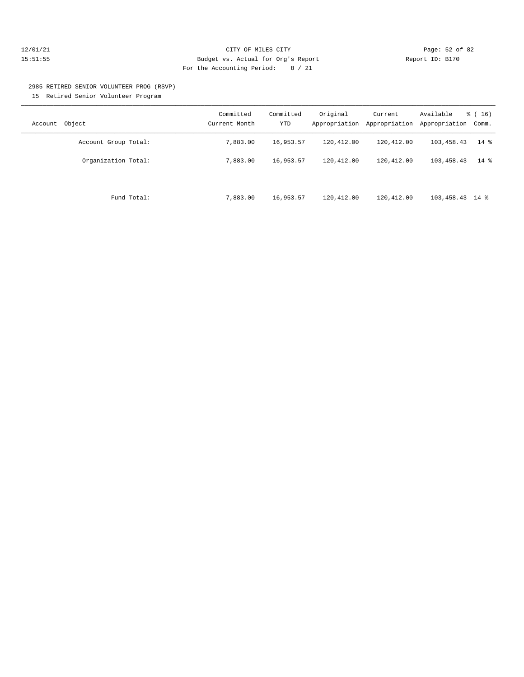#### 12/01/21 Page: 52 of 82 15:51:55 Budget vs. Actual for Org's Report Report ID: B170 For the Accounting Period: 8 / 21

# 2985 RETIRED SENIOR VOLUNTEER PROG (RSVP)

15 Retired Senior Volunteer Program

| Object<br>Account    | Committed<br>Current Month | Committed<br><b>YTD</b> | Original<br>Appropriation | Current<br>Appropriation | Available<br>Appropriation | $\frac{16}{3}$ (16)<br>Comm. |
|----------------------|----------------------------|-------------------------|---------------------------|--------------------------|----------------------------|------------------------------|
| Account Group Total: | 7,883.00                   | 16,953.57               | 120,412.00                | 120,412.00               | 103,458.43                 | $14*$                        |
| Organization Total:  | 7,883,00                   | 16,953.57               | 120,412.00                | 120,412.00               | 103,458.43                 | $14*$                        |
| Fund Total:          | 7,883.00                   | 16,953.57               | 120,412.00                | 120,412.00               | $103,458.43$ 14 %          |                              |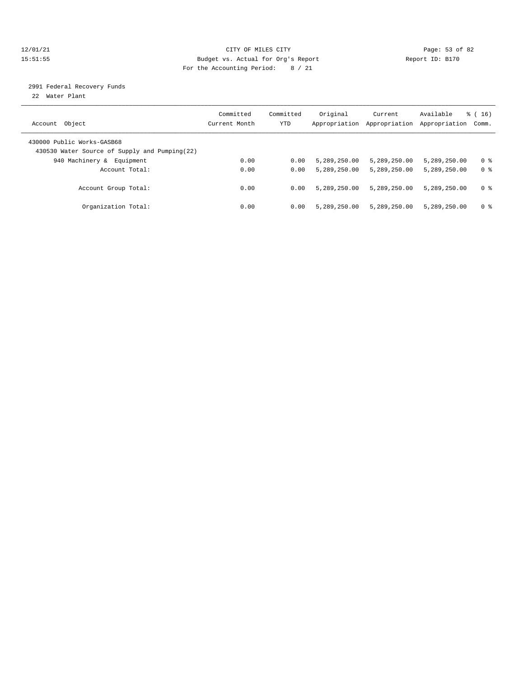#### 12/01/21 Page: 53 of 82 15:51:55 Budget vs. Actual for Org's Report Report ID: B170 For the Accounting Period: 8 / 21

#### 2991 Federal Recovery Funds

22 Water Plant

| Account Object                                                              | Committed<br>Current Month | Committed<br>YTD | Original<br>Appropriation | Current<br>Appropriation | Available<br>Appropriation | $\frac{1}{6}$ ( 16 )<br>Comm. |
|-----------------------------------------------------------------------------|----------------------------|------------------|---------------------------|--------------------------|----------------------------|-------------------------------|
| 430000 Public Works-GASB68<br>430530 Water Source of Supply and Pumping(22) |                            |                  |                           |                          |                            |                               |
| 940 Machinery &<br>Equipment                                                | 0.00                       | 0.00             | 5,289,250.00              | 5,289,250.00             | 5,289,250.00               | 0 %                           |
| Account Total:                                                              | 0.00                       | 0.00             | 5,289,250.00              | 5,289,250.00             | 5,289,250.00               | 0 <sup>8</sup>                |
| Account Group Total:                                                        | 0.00                       | 0.00             | 5,289,250.00              | 5,289,250.00             | 5,289,250.00               | 0 <sup>8</sup>                |
| Organization Total:                                                         | 0.00                       | 0.00             | 5,289,250.00              | 5,289,250.00             | 5,289,250.00               | 0 %                           |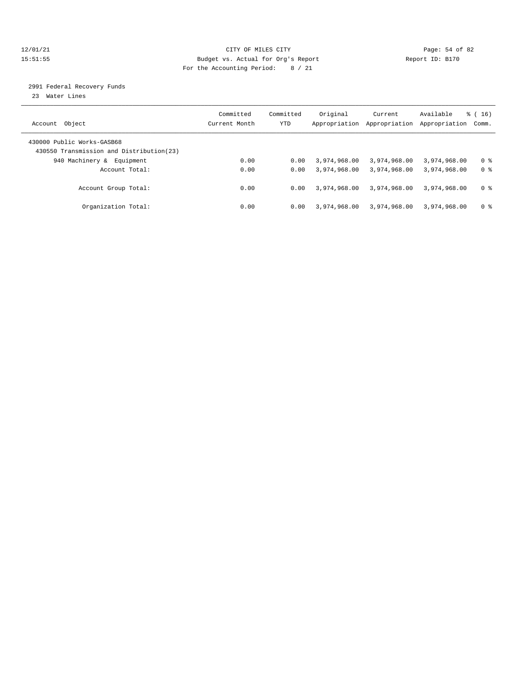#### 12/01/21 Page: 54 of 82 15:51:55 Budget vs. Actual for Org's Report Report ID: B170 For the Accounting Period: 8 / 21

#### 2991 Federal Recovery Funds

23 Water Lines

| Account Object                                                          | Committed<br>Current Month | Committed<br>YTD | Original<br>Appropriation | Current<br>Appropriation | Available<br>Appropriation | $\frac{1}{6}$ ( 16 )<br>Comm. |
|-------------------------------------------------------------------------|----------------------------|------------------|---------------------------|--------------------------|----------------------------|-------------------------------|
| 430000 Public Works-GASB68<br>430550 Transmission and Distribution (23) |                            |                  |                           |                          |                            |                               |
| 940 Machinery &<br>Equipment                                            | 0.00                       | 0.00             | 3,974,968.00              | 3,974,968.00             | 3,974,968.00               | 0 %                           |
| Account Total:                                                          | 0.00                       | 0.00             | 3,974,968.00              | 3,974,968.00             | 3,974,968.00               | 0 <sup>8</sup>                |
| Account Group Total:                                                    | 0.00                       | 0.00             | 3,974,968.00              | 3,974,968.00             | 3,974,968.00               | 0 <sup>8</sup>                |
| Organization Total:                                                     | 0.00                       | 0.00             | 3,974,968.00              | 3,974,968.00             | 3,974,968.00               | 0 %                           |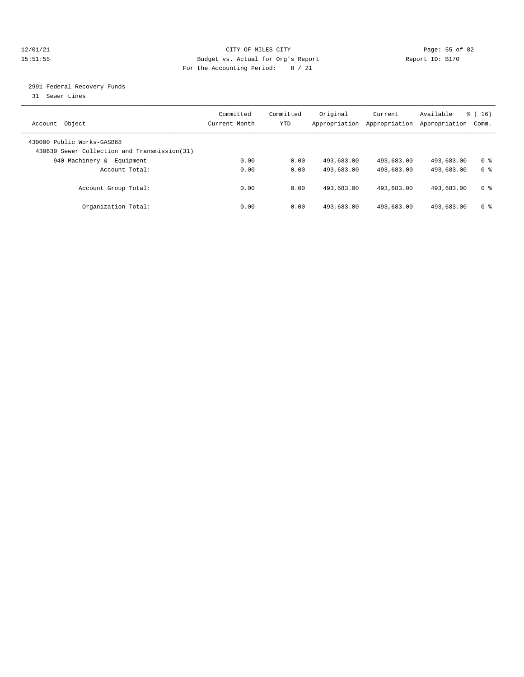#### 12/01/21 Page: 55 of 82 15:51:55 Budget vs. Actual for Org's Report Report ID: B170 For the Accounting Period: 8 / 21

#### 2991 Federal Recovery Funds

31 Sewer Lines

| Account Object                                                              | Committed<br>Current Month | Committed<br>YTD | Original<br>Appropriation | Current<br>Appropriation | Available<br>Appropriation | $\frac{1}{6}$ ( 16 )<br>Comm. |
|-----------------------------------------------------------------------------|----------------------------|------------------|---------------------------|--------------------------|----------------------------|-------------------------------|
| 430000 Public Works-GASB68<br>430630 Sewer Collection and Transmission (31) |                            |                  |                           |                          |                            |                               |
| 940 Machinery &<br>Equipment                                                | 0.00                       | 0.00             | 493,683.00                | 493,683.00               | 493,683.00                 | 0 %                           |
| Account Total:                                                              | 0.00                       | 0.00             | 493,683.00                | 493,683.00               | 493,683.00                 | 0 <sup>8</sup>                |
| Account Group Total:                                                        | 0.00                       | 0.00             | 493,683.00                | 493,683.00               | 493,683.00                 | 0 <sup>8</sup>                |
| Organization Total:                                                         | 0.00                       | 0.00             | 493,683.00                | 493,683.00               | 493,683.00                 | 0 %                           |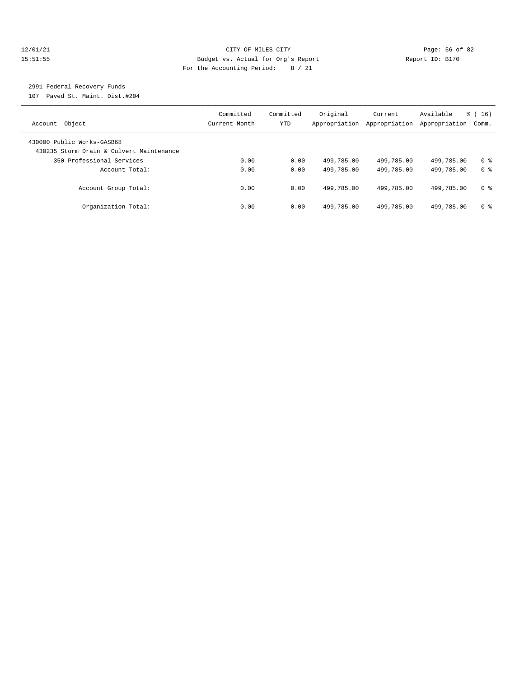#### 12/01/21 Page: 56 of 82 15:51:55 Budget vs. Actual for Org's Report Report ID: B170 For the Accounting Period: 8 / 21

## 2991 Federal Recovery Funds

107 Paved St. Maint. Dist.#204

| Account Object                                                         | Committed<br>Current Month | Committed<br>YTD | Original<br>Appropriation | Current<br>Appropriation | Available<br>Appropriation | $\frac{1}{6}$ ( 16 )<br>Comm. |
|------------------------------------------------------------------------|----------------------------|------------------|---------------------------|--------------------------|----------------------------|-------------------------------|
| 430000 Public Works-GASB68<br>430235 Storm Drain & Culvert Maintenance |                            |                  |                           |                          |                            |                               |
| 350 Professional Services                                              | 0.00                       | 0.00             | 499,785.00                | 499,785.00               | 499,785.00                 | 0 <sup>8</sup>                |
| Account Total:                                                         | 0.00                       | 0.00             | 499,785.00                | 499,785.00               | 499,785.00                 | 0 <sup>8</sup>                |
| Account Group Total:                                                   | 0.00                       | 0.00             | 499,785.00                | 499,785.00               | 499,785.00                 | 0 %                           |
| Organization Total:                                                    | 0.00                       | 0.00             | 499,785.00                | 499,785.00               | 499,785.00                 | 0 %                           |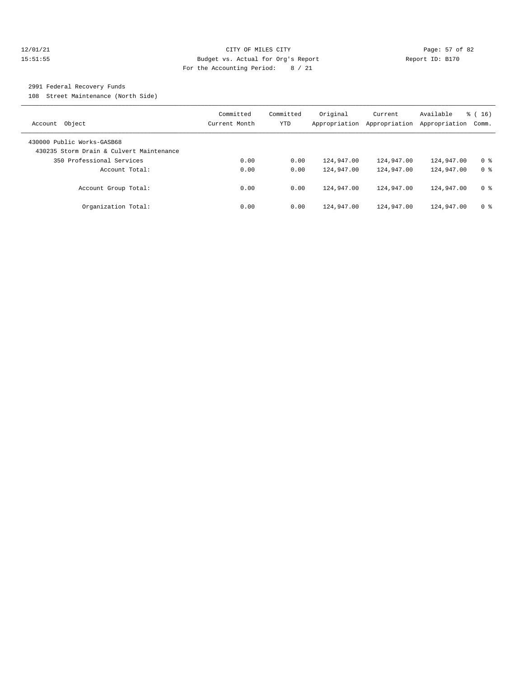#### 12/01/21 Page: 57 of 82 15:51:55 Budget vs. Actual for Org's Report Report ID: B170 For the Accounting Period: 8 / 21

#### 2991 Federal Recovery Funds

108 Street Maintenance (North Side)

| Account Object                                                         | Committed<br>Current Month | Committed<br><b>YTD</b> | Original<br>Appropriation | Current<br>Appropriation | Available<br>Appropriation | $\frac{1}{6}$ ( 16 )<br>Comm. |
|------------------------------------------------------------------------|----------------------------|-------------------------|---------------------------|--------------------------|----------------------------|-------------------------------|
| 430000 Public Works-GASB68<br>430235 Storm Drain & Culvert Maintenance |                            |                         |                           |                          |                            |                               |
| 350 Professional Services                                              | 0.00                       | 0.00                    | 124,947.00                | 124,947.00               | 124,947.00                 | 0 <sup>8</sup>                |
| Account Total:                                                         | 0.00                       | 0.00                    | 124,947.00                | 124,947.00               | 124,947.00                 | 0 <sup>8</sup>                |
| Account Group Total:                                                   | 0.00                       | 0.00                    | 124,947.00                | 124,947.00               | 124,947.00                 | 0 %                           |
| Organization Total:                                                    | 0.00                       | 0.00                    | 124,947.00                | 124,947.00               | 124,947.00                 | 0 <sup>8</sup>                |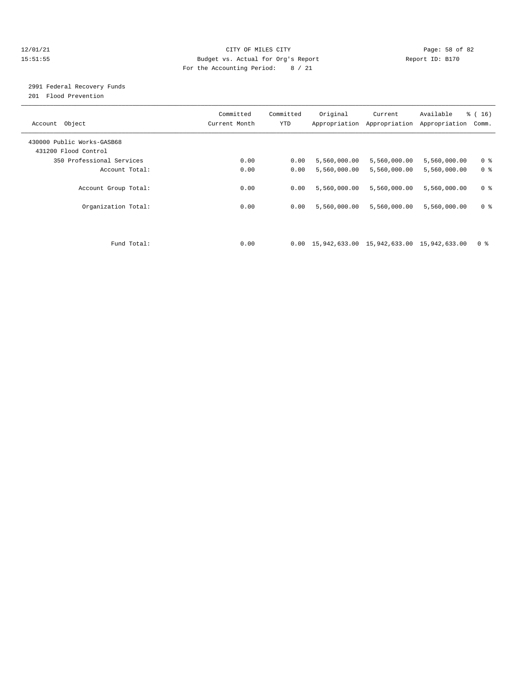#### 12/01/21 Page: 58 of 82 15:51:55 Budget vs. Actual for Org's Report Report ID: B170 For the Accounting Period: 8 / 21

## 2991 Federal Recovery Funds

201 Flood Prevention

| Account Object                                     | Committed<br>Current Month | Committed<br><b>YTD</b> | Original                                                           | Current<br>Appropriation Appropriation | Available<br>Appropriation | % (16)<br>Comm. |
|----------------------------------------------------|----------------------------|-------------------------|--------------------------------------------------------------------|----------------------------------------|----------------------------|-----------------|
| 430000 Public Works-GASB68<br>431200 Flood Control |                            |                         |                                                                    |                                        |                            |                 |
| 350 Professional Services                          | 0.00                       | 0.00                    | 5,560,000.00                                                       | 5,560,000.00                           | 5,560,000.00               | 0 <sup>8</sup>  |
| Account Total:                                     | 0.00                       | 0.00                    | 5,560,000.00                                                       | 5,560,000.00                           | 5,560,000.00               | 0 <sup>8</sup>  |
| Account Group Total:                               | 0.00                       | 0.00                    | 5,560,000.00                                                       | 5,560,000.00                           | 5,560,000.00               | 0 <sup>8</sup>  |
| Organization Total:                                | 0.00                       | 0.00                    | 5,560,000.00                                                       | 5,560,000.00                           | 5,560,000.00               | 0 <sup>8</sup>  |
|                                                    |                            |                         |                                                                    |                                        |                            |                 |
| Fund Total:                                        | 0.00                       |                         | $0.00 \quad 15,942,633.00 \quad 15,942,633.00 \quad 15,942,633.00$ |                                        |                            | 0 <sup>8</sup>  |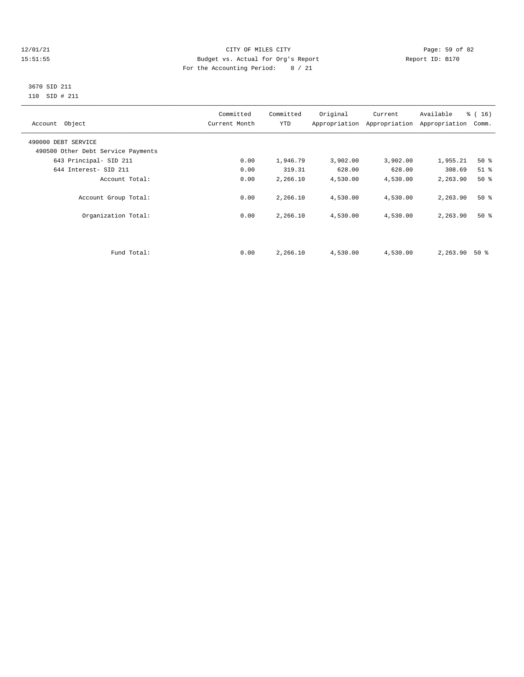#### 12/01/21 Page: 59 of 82 15:51:55 Budget vs. Actual for Org's Report Report ID: B170 For the Accounting Period: 8 / 21

#### 3670 SID 211 110 SID # 211

| Account Object                     | Committed<br>Current Month | Committed<br><b>YTD</b> | Original | Current<br>Appropriation Appropriation | Available<br>Appropriation | $\frac{1}{6}$ ( 16 )<br>Comm. |
|------------------------------------|----------------------------|-------------------------|----------|----------------------------------------|----------------------------|-------------------------------|
| 490000 DEBT SERVICE                |                            |                         |          |                                        |                            |                               |
| 490500 Other Debt Service Payments |                            |                         |          |                                        |                            |                               |
| 643 Principal- SID 211             | 0.00                       | 1,946.79                | 3,902.00 | 3,902.00                               | 1,955.21                   | 50%                           |
| 644 Interest- SID 211              | 0.00                       | 319.31                  | 628.00   | 628.00                                 | 308.69                     | $51$ $\overline{\phantom{0}}$ |
| Account Total:                     | 0.00                       | 2,266.10                | 4,530.00 | 4,530.00                               | 2,263.90                   | 50%                           |
| Account Group Total:               | 0.00                       | 2,266.10                | 4,530.00 | 4,530.00                               | 2,263.90                   | $50*$                         |
| Organization Total:                | 0.00                       | 2,266.10                | 4,530.00 | 4,530.00                               | 2,263.90                   | $50*$                         |
|                                    |                            |                         |          |                                        |                            |                               |
| Fund Total:                        | 0.00                       | 2,266.10                | 4,530.00 | 4,530.00                               | 2,263.90                   | 50 %                          |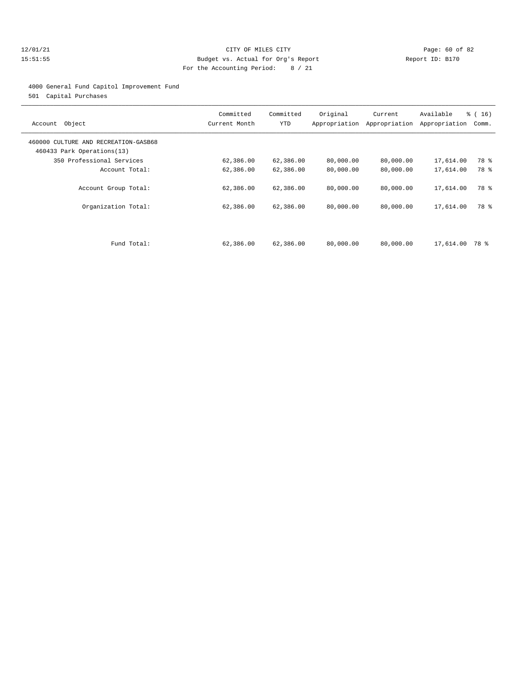#### 12/01/21 Page: 60 of 82 15:51:55 Budget vs. Actual for Org's Report Report ID: B170 For the Accounting Period: 8 / 21

4000 General Fund Capitol Improvement Fund

501 Capital Purchases

| Object<br>Account                                                  | Committed<br>Current Month | Committed<br><b>YTD</b> | Original<br>Appropriation | Current<br>Appropriation | Available<br>Appropriation | % (16)<br>Comm. |
|--------------------------------------------------------------------|----------------------------|-------------------------|---------------------------|--------------------------|----------------------------|-----------------|
| 460000 CULTURE AND RECREATION-GASB68<br>460433 Park Operations(13) |                            |                         |                           |                          |                            |                 |
| 350 Professional Services                                          | 62,386.00                  | 62,386.00               | 80,000.00                 | 80,000.00                | 17,614.00                  | 78 %            |
| Account Total:                                                     | 62,386.00                  | 62,386.00               | 80,000.00                 | 80,000.00                | 17,614.00                  | 78 %            |
| Account Group Total:                                               | 62,386.00                  | 62,386.00               | 80,000.00                 | 80,000.00                | 17,614.00                  | 78 %            |
| Organization Total:                                                | 62,386.00                  | 62,386.00               | 80,000.00                 | 80,000.00                | 17,614.00                  | 78 %            |
| Fund Total:                                                        | 62,386.00                  | 62,386.00               | 80,000.00                 | 80,000.00                | 17,614.00                  | 78 %            |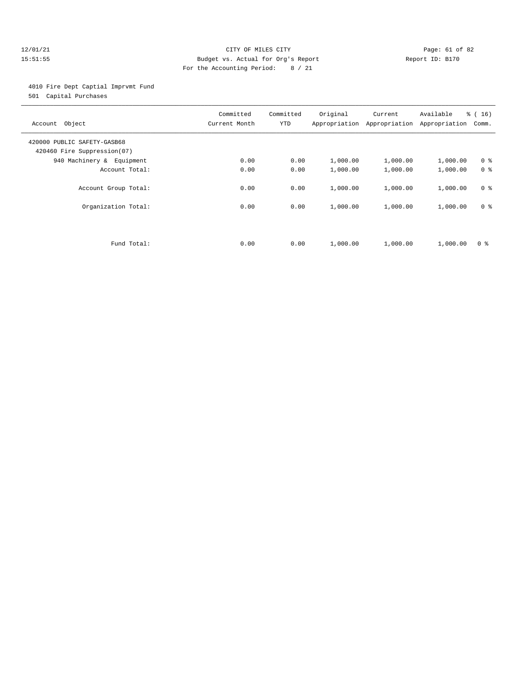#### 12/01/21 Page: 61 of 82 15:51:55 Budget vs. Actual for Org's Report Report ID: B170 For the Accounting Period: 8 / 21

4010 Fire Dept Captial Imprvmt Fund

501 Capital Purchases

| Account Object                                             | Committed<br>Current Month | Committed<br><b>YTD</b> | Original | Current<br>Appropriation Appropriation | Available<br>Appropriation | $\frac{1}{6}$ ( 16 )<br>Comm. |
|------------------------------------------------------------|----------------------------|-------------------------|----------|----------------------------------------|----------------------------|-------------------------------|
| 420000 PUBLIC SAFETY-GASB68<br>420460 Fire Suppression(07) |                            |                         |          |                                        |                            |                               |
| 940 Machinery & Equipment                                  | 0.00                       | 0.00                    | 1,000.00 | 1,000.00                               | 1,000.00                   | 0 <sup>8</sup>                |
| Account Total:                                             | 0.00                       | 0.00                    | 1,000.00 | 1,000.00                               | 1,000.00                   | 0 <sup>8</sup>                |
| Account Group Total:                                       | 0.00                       | 0.00                    | 1,000.00 | 1,000.00                               | 1,000.00                   | 0 <sup>8</sup>                |
| Organization Total:                                        | 0.00                       | 0.00                    | 1,000.00 | 1,000.00                               | 1,000.00                   | 0 <sup>8</sup>                |
|                                                            |                            |                         |          |                                        |                            |                               |
| Fund Total:                                                | 0.00                       | 0.00                    | 1,000.00 | 1,000.00                               | 1,000.00                   | 0 ક                           |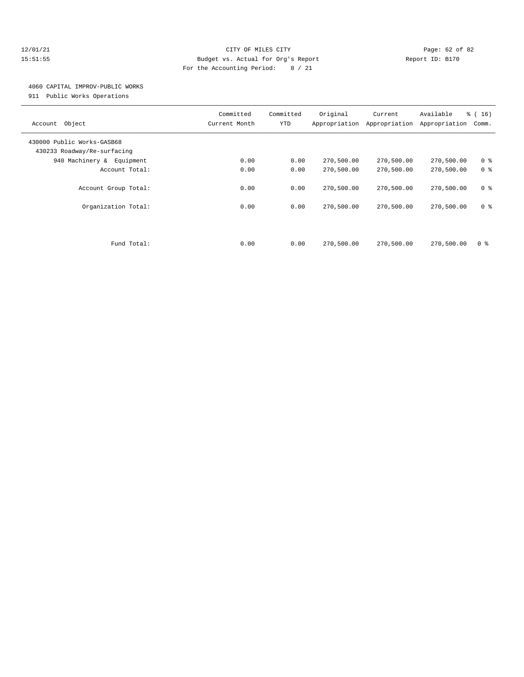#### 12/01/21 Page: 62 of 82 15:51:55 Budget vs. Actual for Org's Report Report ID: B170 For the Accounting Period: 8 / 21

### 4060 CAPITAL IMPROV-PUBLIC WORKS

911 Public Works Operations

| Account Object                                            | Committed<br>Current Month | Committed<br><b>YTD</b> | Original<br>Appropriation | Current<br>Appropriation | Available<br>Appropriation | % (16)<br>Comm. |
|-----------------------------------------------------------|----------------------------|-------------------------|---------------------------|--------------------------|----------------------------|-----------------|
| 430000 Public Works-GASB68<br>430233 Roadway/Re-surfacing |                            |                         |                           |                          |                            |                 |
| 940 Machinery & Equipment                                 | 0.00                       | 0.00                    | 270,500.00                | 270,500.00               | 270,500.00                 | 0 <sup>8</sup>  |
| Account Total:                                            | 0.00                       | 0.00                    | 270,500.00                | 270,500.00               | 270,500.00                 | 0 <sup>8</sup>  |
| Account Group Total:                                      | 0.00                       | 0.00                    | 270,500.00                | 270,500.00               | 270,500.00                 | 0 <sup>8</sup>  |
| Organization Total:                                       | 0.00                       | 0.00                    | 270,500.00                | 270,500.00               | 270,500.00                 | 0 <sup>8</sup>  |
|                                                           |                            |                         |                           |                          |                            |                 |
| Fund Total:                                               | 0.00                       | 0.00                    | 270,500.00                | 270,500.00               | 270,500.00                 | 0 ક             |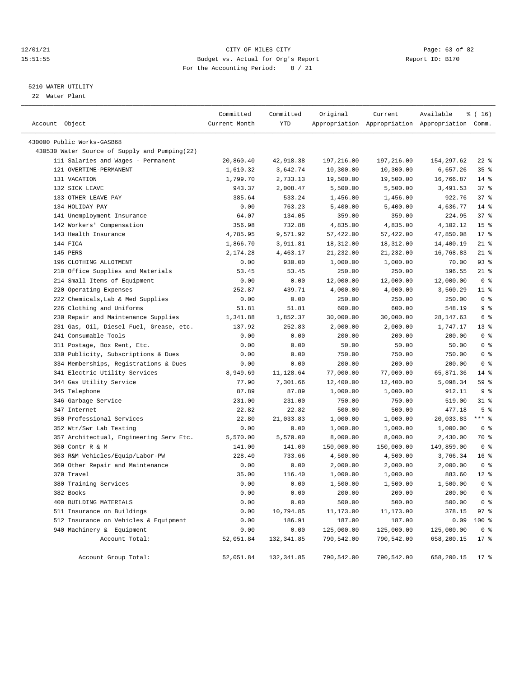#### 12/01/21 Page: 63 of 82<br>
12/01/21 Page: 63 of 82<br>
Budget vs. Actual for Org's Report Physics (Report ID: B170 15:51:55 Budget vs. Actual for Org's Report For the Accounting Period: 8 / 21

#### 5210 WATER UTILITY

22 Water Plant

| Account Object                                                  | Committed<br>Current Month | Committed<br>YTD | Original   | Current    | Available<br>Appropriation Appropriation Appropriation Comm. | ៖ ( 16)                 |
|-----------------------------------------------------------------|----------------------------|------------------|------------|------------|--------------------------------------------------------------|-------------------------|
| 430000 Public Works-GASB68                                      |                            |                  |            |            |                                                              |                         |
| 430530 Water Source of Supply and Pumping(22)                   |                            |                  |            |            |                                                              |                         |
| 111 Salaries and Wages - Permanent                              | 20,860.40                  | 42,918.38        | 197,216.00 | 197,216.00 | 154,297.62                                                   | $22$ %                  |
| 121 OVERTIME-PERMANENT                                          | 1,610.32                   | 3,642.74         | 10,300.00  | 10,300.00  | 6,657.26                                                     | 35%                     |
| 131 VACATION                                                    | 1,799.70                   | 2,733.13         | 19,500.00  | 19,500.00  | 16,766.87                                                    | $14*$                   |
| 132 SICK LEAVE                                                  | 943.37                     | 2,008.47         | 5,500.00   | 5,500.00   | 3,491.53                                                     | 37%                     |
| 133 OTHER LEAVE PAY                                             | 385.64                     | 533.24           | 1,456.00   | 1,456.00   | 922.76                                                       | 37%                     |
| 134 HOLIDAY PAY                                                 | 0.00                       | 763.23           | 5,400.00   | 5,400.00   | 4,636.77                                                     | $14$ %                  |
| 141 Unemployment Insurance                                      | 64.07                      | 134.05           | 359.00     | 359.00     | 224.95                                                       | 37%                     |
| 142 Workers' Compensation                                       | 356.98                     | 732.88           | 4,835.00   | 4,835.00   | 4,102.12                                                     | 15 <sup>8</sup>         |
| 143 Health Insurance                                            | 4,785.95                   | 9,571.92         | 57,422.00  | 57,422.00  | 47,850.08                                                    | $17*$                   |
| 144 FICA                                                        | 1,866.70                   | 3,911.81         | 18,312.00  | 18,312.00  | 14,400.19                                                    | $21$ %                  |
| 145 PERS                                                        | 2,174.28                   | 4,463.17         | 21,232.00  | 21,232.00  | 16,768.83                                                    | $21$ %                  |
| 196 CLOTHING ALLOTMENT                                          | 0.00                       | 930.00           | 1,000.00   | 1,000.00   | 70.00                                                        | 93%                     |
| 210 Office Supplies and Materials                               | 53.45                      | 53.45            | 250.00     | 250.00     | 196.55                                                       | $21$ %                  |
| 214 Small Items of Equipment                                    | 0.00                       | 0.00             | 12,000.00  | 12,000.00  | 12,000.00                                                    | 0 <sup>8</sup>          |
| 220 Operating Expenses                                          | 252.87                     | 439.71           | 4,000.00   | 4,000.00   | 3,560.29                                                     | $11$ %                  |
| 222 Chemicals, Lab & Med Supplies                               | 0.00                       | 0.00             | 250.00     | 250.00     | 250.00                                                       | 0 <sup>8</sup>          |
| 226 Clothing and Uniforms                                       |                            |                  | 600.00     | 600.00     | 548.19                                                       | 9%                      |
|                                                                 | 51.81                      | 51.81            |            |            |                                                              | 6 %                     |
| 230 Repair and Maintenance Supplies                             | 1,341.88                   | 1,852.37         | 30,000.00  | 30,000.00  | 28, 147.63<br>1,747.17                                       |                         |
| 231 Gas, Oil, Diesel Fuel, Grease, etc.<br>241 Consumable Tools | 137.92                     | 252.83           | 2,000.00   | 2,000.00   |                                                              | $13*$<br>0 <sup>8</sup> |
|                                                                 | 0.00                       | 0.00             | 200.00     | 200.00     | 200.00                                                       |                         |
| 311 Postage, Box Rent, Etc.                                     | 0.00                       | 0.00             | 50.00      | 50.00      | 50.00                                                        | 0 <sup>8</sup>          |
| 330 Publicity, Subscriptions & Dues                             | 0.00                       | 0.00             | 750.00     | 750.00     | 750.00                                                       | 0 <sup>8</sup>          |
| 334 Memberships, Registrations & Dues                           | 0.00                       | 0.00             | 200.00     | 200.00     | 200.00                                                       | 0 <sup>8</sup>          |
| 341 Electric Utility Services                                   | 8,949.69                   | 11,128.64        | 77,000.00  | 77,000.00  | 65,871.36                                                    | $14$ %                  |
| 344 Gas Utility Service                                         | 77.90                      | 7,301.66         | 12,400.00  | 12,400.00  | 5,098.34                                                     | 59 %                    |
| 345 Telephone                                                   | 87.89                      | 87.89            | 1,000.00   | 1,000.00   | 912.11                                                       | 9 <sub>8</sub>          |
| 346 Garbage Service                                             | 231.00                     | 231.00           | 750.00     | 750.00     | 519.00                                                       | $31$ %                  |
| 347 Internet                                                    | 22.82                      | 22.82            | 500.00     | 500.00     | 477.18                                                       | 5 <sup>8</sup>          |
| 350 Professional Services                                       | 22.80                      | 21,033.83        | 1,000.00   | 1,000.00   | $-20,033.83$                                                 | $***$ $-$               |
| 352 Wtr/Swr Lab Testing                                         | 0.00                       | 0.00             | 1,000.00   | 1,000.00   | 1,000.00                                                     | 0 <sup>8</sup>          |
| 357 Architectual, Engineering Serv Etc.                         | 5,570.00                   | 5,570.00         | 8,000.00   | 8,000.00   | 2,430.00                                                     | 70 %                    |
| 360 Contr R & M                                                 | 141.00                     | 141.00           | 150,000.00 | 150,000.00 | 149,859.00                                                   | 0 <sup>8</sup>          |
| 363 R&M Vehicles/Equip/Labor-PW                                 | 228.40                     | 733.66           | 4,500.00   | 4,500.00   | 3,766.34                                                     | 16 <sup>8</sup>         |
| 369 Other Repair and Maintenance                                | 0.00                       | 0.00             | 2,000.00   | 2,000.00   | 2,000.00                                                     | 0 <sup>8</sup>          |
| 370 Travel                                                      | 35.00                      | 116.40           | 1,000.00   | 1,000.00   | 883.60                                                       | $12*$                   |
| 380 Training Services                                           | 0.00                       | 0.00             | 1,500.00   | 1,500.00   | 1,500.00                                                     | 0 <sup>8</sup>          |
| 382 Books                                                       | 0.00                       | 0.00             | 200.00     | 200.00     | 200.00                                                       | 0 <sup>8</sup>          |
| 400 BUILDING MATERIALS                                          | 0.00                       | 0.00             | 500.00     | 500.00     | 500.00                                                       | 0 <sup>8</sup>          |
| 511 Insurance on Buildings                                      | 0.00                       | 10,794.85        | 11,173.00  | 11,173.00  | 378.15                                                       | 97%                     |
| 512 Insurance on Vehicles & Equipment                           | 0.00                       | 186.91           | 187.00     | 187.00     | 0.09                                                         | 100 %                   |
| 940 Machinery & Equipment                                       | 0.00                       | 0.00             | 125,000.00 | 125,000.00 | 125,000.00                                                   | 0 <sup>8</sup>          |
| Account Total:                                                  | 52,051.84                  | 132,341.85       | 790,542.00 | 790,542.00 | 658,200.15                                                   | $17*$                   |
| Account Group Total:                                            | 52,051.84                  | 132,341.85       | 790,542.00 | 790,542.00 | 658,200.15                                                   | $17$ %                  |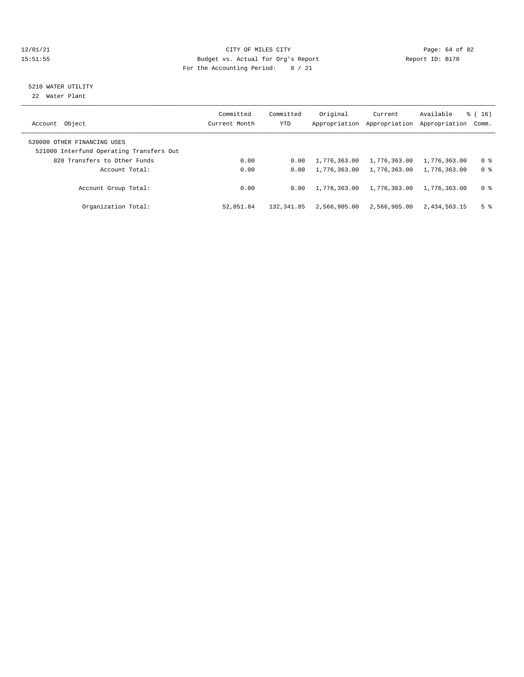#### $12/01/21$  Page: 64 of 82<br>15:51:55 Budget vs. Actual for Org's Report  $\blacksquare$  Page: 64 of 82 15:51:55 Budget vs. Actual for Org's Report For the Accounting Period: 8 / 21

## 5210 WATER UTILITY

22 Water Plant

| Account Object                                                          | Committed<br>Current Month | Committed<br>YTD | Original<br>Appropriation | Current<br>Appropriation | Available<br>Appropriation | $\frac{1}{6}$ ( 16 )<br>Comm. |
|-------------------------------------------------------------------------|----------------------------|------------------|---------------------------|--------------------------|----------------------------|-------------------------------|
| 520000 OTHER FINANCING USES<br>521000 Interfund Operating Transfers Out |                            |                  |                           |                          |                            |                               |
| 820 Transfers to Other Funds                                            | 0.00                       | 0.00             | 1,776,363.00              | 1,776,363.00             | 1,776,363.00               | 0 %                           |
| Account Total:                                                          | 0.00                       | 0.00             | 1,776,363.00              | 1,776,363.00             | 1,776,363.00               | 0 <sup>8</sup>                |
| Account Group Total:                                                    | 0.00                       | 0.00             | 1,776,363.00              | 1,776,363.00             | 1,776,363.00               | 0 <sup>8</sup>                |
| Organization Total:                                                     | 52,051.84                  | 132,341.85       | 2,566,905.00              | 2,566,905.00             | 2,434,563.15               | 5 <sup>8</sup>                |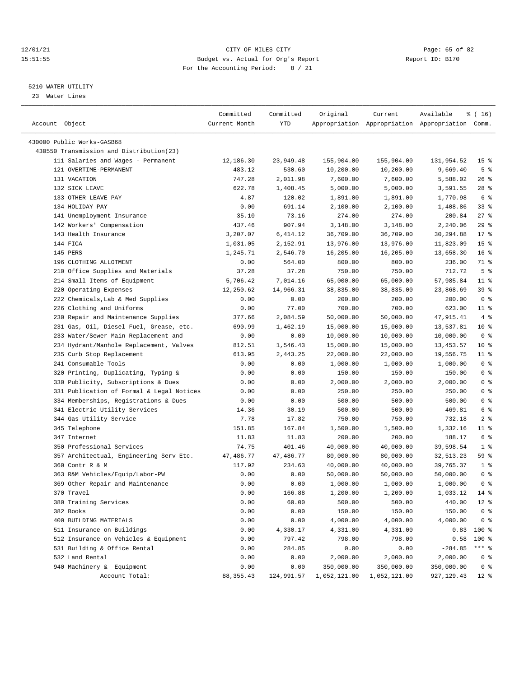#### 12/01/21 Page: 65 of 82<br>15:51:55 Page: 65 of 82<br>15:51:55 Budget vs. Actual for Org's Report Page: 15:51:55 15:51:55 Budget vs. Actual for Org's Report For the Accounting Period: 8 / 21

————————————————————————————————————————————————————————————————————————————————————————————————————————————————————————————————————

#### 5210 WATER UTILITY

23 Water Lines

|                                           | Committed     | Committed  | Original     | Current      | Available                                       | $*(16)$         |
|-------------------------------------------|---------------|------------|--------------|--------------|-------------------------------------------------|-----------------|
| Account Object                            | Current Month | YTD        |              |              | Appropriation Appropriation Appropriation Comm. |                 |
|                                           |               |            |              |              |                                                 |                 |
| 430000 Public Works-GASB68                |               |            |              |              |                                                 |                 |
| 430550 Transmission and Distribution(23)  |               |            |              |              |                                                 |                 |
| 111 Salaries and Wages - Permanent        | 12,186.30     | 23,949.48  | 155,904.00   | 155,904.00   | 131,954.52                                      | 15 <sup>8</sup> |
| 121 OVERTIME-PERMANENT                    | 483.12        | 530.60     | 10,200.00    | 10,200.00    | 9,669.40                                        | 5 <sup>8</sup>  |
| 131 VACATION                              | 747.28        | 2,011.98   | 7,600.00     | 7,600.00     | 5,588.02                                        | $26$ %          |
| 132 SICK LEAVE                            | 622.78        | 1,408.45   | 5,000.00     | 5,000.00     | 3,591.55                                        | $28$ %          |
| 133 OTHER LEAVE PAY                       | 4.87          | 120.02     | 1,891.00     | 1,891.00     | 1,770.98                                        | 6 %             |
| 134 HOLIDAY PAY                           | 0.00          | 691.14     | 2,100.00     | 2,100.00     | 1,408.86                                        | 338             |
| 141 Unemployment Insurance                | 35.10         | 73.16      | 274.00       | 274.00       | 200.84                                          | $27$ %          |
| 142 Workers' Compensation                 | 437.46        | 907.94     | 3,148.00     | 3,148.00     | 2,240.06                                        | 29%             |
| 143 Health Insurance                      | 3,207.07      | 6,414.12   | 36,709.00    | 36,709.00    | 30,294.88                                       | $17*$           |
| 144 FICA                                  | 1,031.05      | 2,152.91   | 13,976.00    | 13,976.00    | 11,823.09                                       | 15 <sub>8</sub> |
| 145 PERS                                  | 1,245.71      | 2,546.70   | 16,205.00    | 16,205.00    | 13,658.30                                       | 16 <sup>°</sup> |
| 196 CLOTHING ALLOTMENT                    | 0.00          | 564.00     | 800.00       | 800.00       | 236.00                                          | 71 %            |
| 210 Office Supplies and Materials         | 37.28         | 37.28      | 750.00       | 750.00       | 712.72                                          | 5 <sup>8</sup>  |
| 214 Small Items of Equipment              | 5,706.42      | 7,014.16   | 65,000.00    | 65,000.00    | 57,985.84                                       | $11$ %          |
| 220 Operating Expenses                    | 12,250.62     | 14,966.31  | 38,835.00    | 38,835.00    | 23,868.69                                       | 39 %            |
| 222 Chemicals, Lab & Med Supplies         | 0.00          | 0.00       | 200.00       | 200.00       | 200.00                                          | 0 <sup>8</sup>  |
| 226 Clothing and Uniforms                 | 0.00          | 77.00      | 700.00       | 700.00       | 623.00                                          | $11$ %          |
| 230 Repair and Maintenance Supplies       | 377.66        | 2,084.59   | 50,000.00    | 50,000.00    | 47,915.41                                       | 4%              |
| 231 Gas, Oil, Diesel Fuel, Grease, etc.   | 690.99        | 1,462.19   | 15,000.00    | 15,000.00    | 13,537.81                                       | $10*$           |
| 233 Water/Sewer Main Replacement and      | 0.00          | 0.00       | 10,000.00    | 10,000.00    | 10,000.00                                       | 0 <sup>8</sup>  |
| 234 Hydrant/Manhole Replacement, Valves   | 812.51        | 1,546.43   | 15,000.00    | 15,000.00    | 13, 453.57                                      | $10*$           |
| 235 Curb Stop Replacement                 | 613.95        | 2,443.25   | 22,000.00    | 22,000.00    | 19,556.75                                       | $11$ %          |
| 241 Consumable Tools                      | 0.00          | 0.00       | 1,000.00     | 1,000.00     | 1,000.00                                        | 0 <sup>8</sup>  |
| 320 Printing, Duplicating, Typing &       | 0.00          | 0.00       | 150.00       | 150.00       | 150.00                                          | 0 <sup>8</sup>  |
| 330 Publicity, Subscriptions & Dues       | 0.00          | 0.00       | 2,000.00     | 2,000.00     | 2,000.00                                        | 0 <sup>8</sup>  |
| 331 Publication of Formal & Legal Notices | 0.00          | 0.00       | 250.00       | 250.00       | 250.00                                          | 0 <sup>8</sup>  |
| 334 Memberships, Registrations & Dues     | 0.00          | 0.00       | 500.00       | 500.00       | 500.00                                          | 0 <sup>8</sup>  |
| 341 Electric Utility Services             | 14.36         | 30.19      | 500.00       | 500.00       | 469.81                                          | 6 %             |
| 344 Gas Utility Service                   | 7.78          | 17.82      | 750.00       | 750.00       | 732.18                                          | 2 <sup>8</sup>  |
| 345 Telephone                             | 151.85        | 167.84     | 1,500.00     | 1,500.00     | 1,332.16                                        | 11 %            |
| 347 Internet                              | 11.83         | 11.83      | 200.00       | 200.00       | 188.17                                          | 6 %             |
| 350 Professional Services                 | 74.75         | 401.46     | 40,000.00    | 40,000.00    | 39,598.54                                       | 1 <sup>8</sup>  |
| 357 Architectual, Engineering Serv Etc.   | 47,486.77     | 47,486.77  | 80,000.00    | 80,000.00    | 32,513.23                                       | 59 %            |
| 360 Contr R & M                           | 117.92        | 234.63     | 40,000.00    | 40,000.00    | 39,765.37                                       | 1 <sup>8</sup>  |
| 363 R&M Vehicles/Equip/Labor-PW           | 0.00          | 0.00       | 50,000.00    | 50,000.00    | 50,000.00                                       | 0 <sup>8</sup>  |
| 369 Other Repair and Maintenance          | 0.00          | 0.00       | 1,000.00     | 1,000.00     | 1,000.00                                        | 0 <sup>8</sup>  |
| 370 Travel                                | 0.00          | 166.88     | 1,200.00     | 1,200.00     | 1,033.12 14 %                                   |                 |
| 380 Training Services                     | 0.00          | 60.00      | 500.00       | 500.00       | 440.00                                          | $12*$           |
| 382 Books                                 | 0.00          | 0.00       | 150.00       | 150.00       | 150.00                                          | 0 <sup>8</sup>  |
| 400 BUILDING MATERIALS                    | 0.00          | 0.00       | 4,000.00     | 4,000.00     | 4,000.00                                        | 0 <sup>8</sup>  |
| 511 Insurance on Buildings                | 0.00          | 4,330.17   | 4,331.00     | 4,331.00     | 0.83                                            | 100 %           |
| 512 Insurance on Vehicles & Equipment     | 0.00          | 797.42     | 798.00       | 798.00       | 0.58                                            | $100$ %         |
| 531 Building & Office Rental              | 0.00          | 284.85     | 0.00         | 0.00         | $-284.85$                                       | $***$ $_{8}$    |
| 532 Land Rental                           | 0.00          | 0.00       | 2,000.00     | 2,000.00     | 2,000.00                                        | 0 <sup>8</sup>  |
| 940 Machinery & Equipment                 | 0.00          | 0.00       | 350,000.00   | 350,000.00   | 350,000.00                                      | 0 <sup>8</sup>  |
| Account Total:                            | 88, 355.43    | 124,991.57 | 1,052,121.00 | 1,052,121.00 | 927, 129.43                                     | $12$ %          |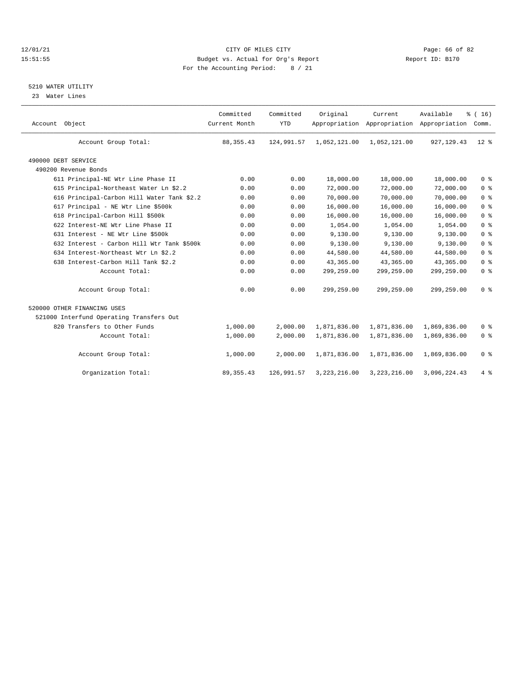#### 12/01/21 CITY OF MILES CITY CHES CONTROL CITY CONSUMING THE PAGE: 66 OF 82<br>15171 English and Budget vs. Actual for Org's Report Controller Report ID: B170 15:51:55 Budget vs. Actual for Org's Report For the Accounting Period: 8 / 21

### 5210 WATER UTILITY

23 Water Lines

| Account Object                             | Committed<br>Current Month | Committed<br><b>YTD</b> | Original       | Current      | Available<br>Appropriation Appropriation Appropriation | % (16)<br>Comm. |  |
|--------------------------------------------|----------------------------|-------------------------|----------------|--------------|--------------------------------------------------------|-----------------|--|
| Account Group Total:                       | 88, 355.43                 | 124,991.57              | 1,052,121.00   | 1,052,121.00 | 927, 129.43                                            | $12*$           |  |
| 490000 DEBT SERVICE                        |                            |                         |                |              |                                                        |                 |  |
| 490200 Revenue Bonds                       |                            |                         |                |              |                                                        |                 |  |
| 611 Principal-NE Wtr Line Phase II         | 0.00                       | 0.00                    | 18,000.00      | 18,000.00    | 18,000.00                                              | 0 <sup>8</sup>  |  |
| 615 Principal-Northeast Water Ln \$2.2     | 0.00                       | 0.00                    | 72,000.00      | 72,000.00    | 72,000.00                                              | 0 <sup>8</sup>  |  |
| 616 Principal-Carbon Hill Water Tank \$2.2 | 0.00                       | 0.00                    | 70,000.00      | 70,000.00    | 70,000.00                                              | 0 <sup>8</sup>  |  |
| 617 Principal - NE Wtr Line \$500k         | 0.00                       | 0.00                    | 16,000.00      | 16,000.00    | 16,000.00                                              | 0 <sup>8</sup>  |  |
| 618 Principal-Carbon Hill \$500k           | 0.00                       | 0.00                    | 16,000.00      | 16,000.00    | 16,000.00                                              | 0 <sup>8</sup>  |  |
| 622 Interest-NE Wtr Line Phase II          | 0.00                       | 0.00                    | 1,054.00       | 1,054.00     | 1,054.00                                               | 0 <sup>8</sup>  |  |
| 631 Interest - NE Wtr Line \$500k          | 0.00                       | 0.00                    | 9,130.00       | 9,130.00     | 9,130.00                                               | 0 <sup>8</sup>  |  |
| 632 Interest - Carbon Hill Wtr Tank \$500k | 0.00                       | 0.00                    | 9,130.00       | 9,130.00     | 9,130.00                                               | 0 <sup>8</sup>  |  |
| 634 Interest-Northeast Wtr Ln \$2.2        | 0.00                       | 0.00                    | 44,580.00      | 44,580.00    | 44,580.00                                              | 0 <sup>8</sup>  |  |
| 638 Interest-Carbon Hill Tank \$2.2        | 0.00                       | 0.00                    | 43,365.00      | 43,365.00    | 43,365.00                                              | 0 <sup>8</sup>  |  |
| Account Total:                             | 0.00                       | 0.00                    | 299,259.00     | 299,259.00   | 299,259.00                                             | 0 <sup>8</sup>  |  |
| Account Group Total:                       | 0.00                       | 0.00                    | 299,259.00     | 299,259.00   | 299,259.00                                             | 0 <sup>8</sup>  |  |
| 520000 OTHER FINANCING USES                |                            |                         |                |              |                                                        |                 |  |
| 521000 Interfund Operating Transfers Out   |                            |                         |                |              |                                                        |                 |  |
| 820 Transfers to Other Funds               | 1,000.00                   | 2.000.00                | 1,871,836.00   | 1,871,836.00 | 1,869,836.00                                           | 0 <sup>8</sup>  |  |
| Account Total:                             | 1,000.00                   | 2,000.00                | 1,871,836.00   | 1,871,836.00 | 1,869,836.00                                           | 0 <sup>8</sup>  |  |
| Account Group Total:                       | 1,000.00                   | 2,000.00                | 1,871,836.00   | 1,871,836.00 | 1,869,836.00                                           | 0 <sup>8</sup>  |  |
| Organization Total:                        | 89, 355.43                 | 126,991.57              | 3, 223, 216.00 | 3,223,216.00 | 3,096,224.43                                           | 4%              |  |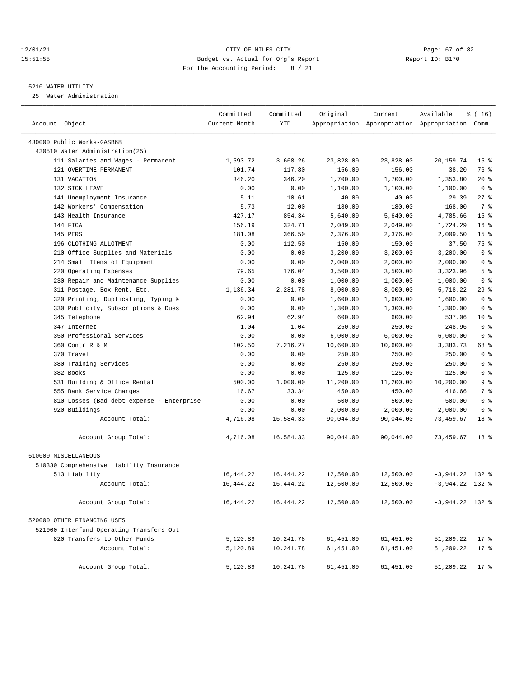#### 12/01/21 Page: 67 of 82<br>15:51:55 Pudget vs. Actual for Org's Report Report Report ID: B170 15:51:55 Budget vs. Actual for Org's Report For the Accounting Period: 8 / 21

#### 5210 WATER UTILITY

25 Water Administration

| Account Object                            | Committed<br>Current Month | Committed<br>YTD | Original  | Current   | Available<br>Appropriation Appropriation Appropriation Comm. | ៖ ( 16)         |
|-------------------------------------------|----------------------------|------------------|-----------|-----------|--------------------------------------------------------------|-----------------|
| 430000 Public Works-GASB68                |                            |                  |           |           |                                                              |                 |
| 430510 Water Administration (25)          |                            |                  |           |           |                                                              |                 |
| 111 Salaries and Wages - Permanent        | 1,593.72                   | 3,668.26         | 23,828.00 | 23,828.00 | 20,159.74                                                    | 15 <sub>8</sub> |
| 121 OVERTIME-PERMANENT                    | 101.74                     | 117.80           | 156.00    | 156.00    | 38.20                                                        | 76 %            |
| 131 VACATION                              | 346.20                     | 346.20           | 1,700.00  | 1,700.00  | 1,353.80                                                     | $20*$           |
| 132 SICK LEAVE                            | 0.00                       | 0.00             | 1,100.00  | 1,100.00  | 1,100.00                                                     | 0 <sup>8</sup>  |
| 141 Unemployment Insurance                | 5.11                       | 10.61            | 40.00     | 40.00     | 29.39                                                        | $27$ %          |
| 142 Workers' Compensation                 | 5.73                       | 12.00            | 180.00    | 180.00    | 168.00                                                       | 7 %             |
| 143 Health Insurance                      | 427.17                     | 854.34           | 5,640.00  | 5,640.00  | 4,785.66                                                     | 15 <sup>8</sup> |
| 144 FICA                                  | 156.19                     | 324.71           | 2,049.00  | 2,049.00  | 1,724.29                                                     | 16 <sup>8</sup> |
| 145 PERS                                  | 181.08                     | 366.50           | 2,376.00  | 2,376.00  | 2,009.50                                                     | 15 <sup>8</sup> |
| 196 CLOTHING ALLOTMENT                    | 0.00                       | 112.50           | 150.00    | 150.00    | 37.50                                                        | 75 %            |
| 210 Office Supplies and Materials         | 0.00                       | 0.00             | 3,200.00  | 3,200.00  | 3,200.00                                                     | 0 <sup>8</sup>  |
| 214 Small Items of Equipment              | 0.00                       | 0.00             | 2,000.00  | 2,000.00  | 2,000.00                                                     | 0 <sup>8</sup>  |
| 220 Operating Expenses                    | 79.65                      | 176.04           | 3,500.00  | 3,500.00  | 3,323.96                                                     | 5 <sup>8</sup>  |
| 230 Repair and Maintenance Supplies       | 0.00                       | 0.00             | 1,000.00  | 1,000.00  | 1,000.00                                                     | 0 <sup>8</sup>  |
| 311 Postage, Box Rent, Etc.               | 1,136.34                   | 2,281.78         | 8,000.00  | 8,000.00  | 5,718.22                                                     | 29%             |
| 320 Printing, Duplicating, Typing &       | 0.00                       | 0.00             | 1,600.00  | 1,600.00  | 1,600.00                                                     | 0 <sup>8</sup>  |
| 330 Publicity, Subscriptions & Dues       | 0.00                       | 0.00             | 1,300.00  | 1,300.00  | 1,300.00                                                     | 0 <sup>8</sup>  |
| 345 Telephone                             | 62.94                      | 62.94            | 600.00    | 600.00    | 537.06                                                       | $10*$           |
| 347 Internet                              | 1.04                       | 1.04             | 250.00    | 250.00    | 248.96                                                       | 0 <sup>8</sup>  |
| 350 Professional Services                 | 0.00                       | 0.00             | 6,000.00  | 6,000.00  | 6,000.00                                                     | 0 <sup>8</sup>  |
| 360 Contr R & M                           | 102.50                     | 7,216.27         | 10,600.00 | 10,600.00 | 3,383.73                                                     | 68 %            |
| 370 Travel                                | 0.00                       | 0.00             | 250.00    | 250.00    | 250.00                                                       | 0 <sup>8</sup>  |
| 380 Training Services                     | 0.00                       | 0.00             | 250.00    | 250.00    | 250.00                                                       | 0 <sup>8</sup>  |
| 382 Books                                 | 0.00                       | 0.00             | 125.00    | 125.00    | 125.00                                                       | 0 <sup>8</sup>  |
| 531 Building & Office Rental              | 500.00                     | 1,000.00         | 11,200.00 | 11,200.00 | 10,200.00                                                    | 9%              |
| 555 Bank Service Charges                  | 16.67                      | 33.34            | 450.00    | 450.00    | 416.66                                                       | 7 %             |
| 810 Losses (Bad debt expense - Enterprise | 0.00                       | 0.00             | 500.00    | 500.00    | 500.00                                                       | 0 <sup>8</sup>  |
| 920 Buildings                             | 0.00                       | 0.00             | 2,000.00  | 2,000.00  | 2,000.00                                                     | 0 <sup>8</sup>  |
| Account Total:                            | 4,716.08                   | 16,584.33        | 90,044.00 | 90,044.00 | 73,459.67                                                    | 18 <sup>8</sup> |
| Account Group Total:                      | 4,716.08                   | 16,584.33        | 90,044.00 | 90,044.00 | 73,459.67                                                    | 18 <sup>8</sup> |
| 510000 MISCELLANEOUS                      |                            |                  |           |           |                                                              |                 |
| 510330 Comprehensive Liability Insurance  |                            |                  |           |           |                                                              |                 |
| 513 Liability                             | 16,444.22                  | 16,444.22        | 12,500.00 | 12,500.00 | $-3,944.22$                                                  | 132 %           |
| Account Total:                            | 16,444.22                  | 16, 444.22       | 12,500.00 | 12,500.00 | $-3,944.22$ 132 %                                            |                 |
| Account Group Total:                      | 16, 444.22                 | 16, 444.22       | 12,500.00 | 12,500.00 | $-3,944.22$ 132 %                                            |                 |
| 520000 OTHER FINANCING USES               |                            |                  |           |           |                                                              |                 |
| 521000 Interfund Operating Transfers Out  |                            |                  |           |           |                                                              |                 |
| 820 Transfers to Other Funds              | 5,120.89                   | 10,241.78        | 61,451.00 | 61,451.00 | 51,209.22                                                    | $17$ %          |
| Account Total:                            | 5,120.89                   | 10,241.78        | 61,451.00 | 61,451.00 | 51,209.22                                                    | $17*$           |
| Account Group Total:                      | 5,120.89                   | 10,241.78        | 61,451.00 | 61,451.00 | 51,209.22                                                    | $17$ %          |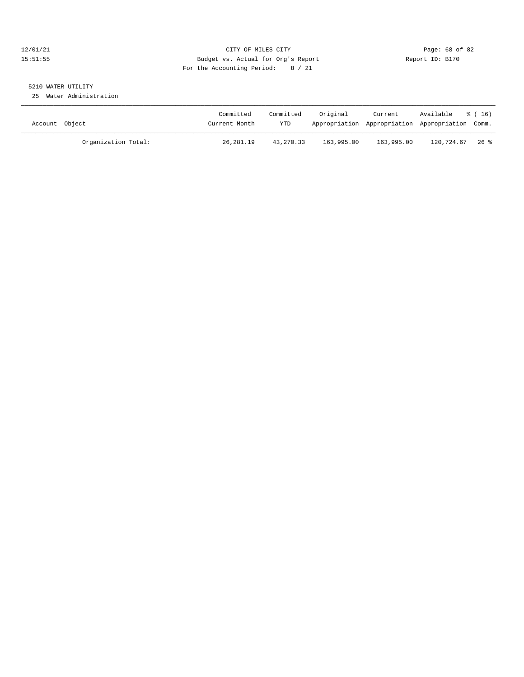#### 12/01/21 Page: 68 of 82<br>15:51:55 Pudget vs. Actual for Org's Report Report Report ID: B170 15:51:55 Budget vs. Actual for Org's Report For the Accounting Period: 8 / 21

### 5210 WATER UTILITY

25 Water Administration

| Account Object |                     | Committed<br>Current Month | Committed<br>YTD | Original   | Current    | Available<br>Appropriation Appropriation Appropriation Comm. | % ( 16) |
|----------------|---------------------|----------------------------|------------------|------------|------------|--------------------------------------------------------------|---------|
|                | Organization Total: | 26,281.19                  | 43,270.33        | 163,995.00 | 163,995.00 | 120,724.67                                                   | 26 %    |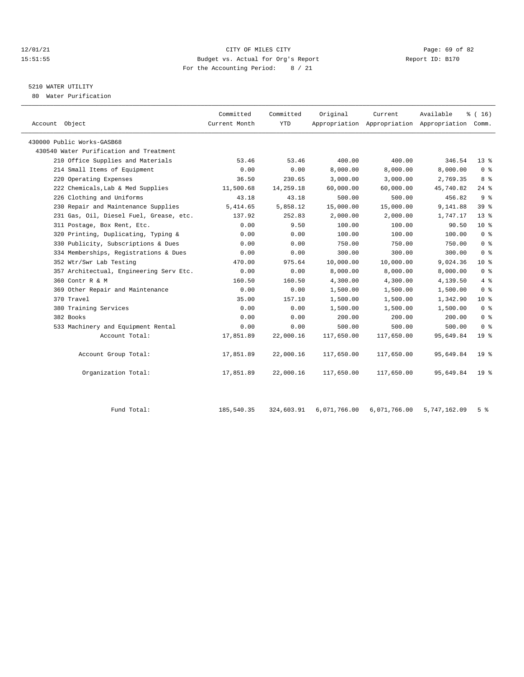#### $12/01/21$  Page: 69 of 82<br>15:51:55 Budget vs. Actual for Org's Report  $\frac{P}{Q}$  Report ID: B170 15:51:55 Budget vs. Actual for Org's Report For the Accounting Period: 8 / 21

### 5210 WATER UTILITY

80 Water Purification

| Account Object                          | Committed<br>Current Month | Committed<br><b>YTD</b> | Original   | Current    | Available<br>Appropriation Appropriation Appropriation Comm. | % (16)          |
|-----------------------------------------|----------------------------|-------------------------|------------|------------|--------------------------------------------------------------|-----------------|
| 430000 Public Works-GASB68              |                            |                         |            |            |                                                              |                 |
| 430540 Water Purification and Treatment |                            |                         |            |            |                                                              |                 |
| 210 Office Supplies and Materials       | 53.46                      | 53.46                   | 400.00     | 400.00     | 346.54                                                       | $13*$           |
| 214 Small Items of Equipment            | 0.00                       | 0.00                    | 8,000.00   | 8,000.00   | 8,000.00                                                     | 0 <sup>8</sup>  |
| 220 Operating Expenses                  | 36.50                      | 230.65                  | 3,000.00   | 3,000.00   | 2,769.35                                                     | 8 %             |
| 222 Chemicals, Lab & Med Supplies       | 11,500.68                  | 14,259.18               | 60,000.00  | 60,000.00  | 45,740.82                                                    | $24$ $%$        |
| 226 Clothing and Uniforms               | 43.18                      | 43.18                   | 500.00     | 500.00     | 456.82                                                       | 9 <sup>8</sup>  |
| 230 Repair and Maintenance Supplies     | 5,414.65                   | 5,858.12                | 15,000.00  | 15,000.00  | 9,141.88                                                     | 39 %            |
| 231 Gas, Oil, Diesel Fuel, Grease, etc. | 137.92                     | 252.83                  | 2,000.00   | 2,000.00   | 1,747.17                                                     | 13 <sup>8</sup> |
| 311 Postage, Box Rent, Etc.             | 0.00                       | 9.50                    | 100.00     | 100.00     | 90.50                                                        | $10*$           |
| 320 Printing, Duplicating, Typing &     | 0.00                       | 0.00                    | 100.00     | 100.00     | 100.00                                                       | 0 <sup>8</sup>  |
| 330 Publicity, Subscriptions & Dues     | 0.00                       | 0.00                    | 750.00     | 750.00     | 750.00                                                       | 0 <sup>8</sup>  |
| 334 Memberships, Registrations & Dues   | 0.00                       | 0.00                    | 300.00     | 300.00     | 300.00                                                       | 0 <sup>8</sup>  |
| 352 Wtr/Swr Lab Testing                 | 470.00                     | 975.64                  | 10,000.00  | 10,000.00  | 9,024.36                                                     | $10*$           |
| 357 Architectual, Engineering Serv Etc. | 0.00                       | 0.00                    | 8,000.00   | 8,000.00   | 8,000.00                                                     | 0 <sup>8</sup>  |
| 360 Contr R & M                         | 160.50                     | 160.50                  | 4,300.00   | 4,300.00   | 4,139.50                                                     | 4%              |
| 369 Other Repair and Maintenance        | 0.00                       | 0.00                    | 1,500.00   | 1,500.00   | 1,500.00                                                     | 0 <sup>8</sup>  |
| 370 Travel                              | 35.00                      | 157.10                  | 1,500.00   | 1,500.00   | 1,342.90                                                     | $10*$           |
| 380 Training Services                   | 0.00                       | 0.00                    | 1,500.00   | 1,500.00   | 1,500.00                                                     | 0 <sup>8</sup>  |
| 382 Books                               | 0.00                       | 0.00                    | 200.00     | 200.00     | 200.00                                                       | 0 <sup>8</sup>  |
| 533 Machinery and Equipment Rental      | 0.00                       | 0.00                    | 500.00     | 500.00     | 500.00                                                       | 0 <sup>8</sup>  |
| Account Total:                          | 17,851.89                  | 22,000.16               | 117,650.00 | 117,650.00 | 95,649.84                                                    | 19 <sup>°</sup> |
| Account Group Total:                    | 17,851.89                  | 22,000.16               | 117,650.00 | 117,650.00 | 95,649.84                                                    | 19 <sup>8</sup> |
| Organization Total:                     | 17,851.89                  | 22,000.16               | 117,650.00 | 117,650.00 | 95,649.84                                                    | 19 <sup>8</sup> |
|                                         |                            |                         |            |            |                                                              |                 |

Fund Total: 185,540.35 324,603.91 6,071,766.00 6,071,766.00 5,747,162.09 5 %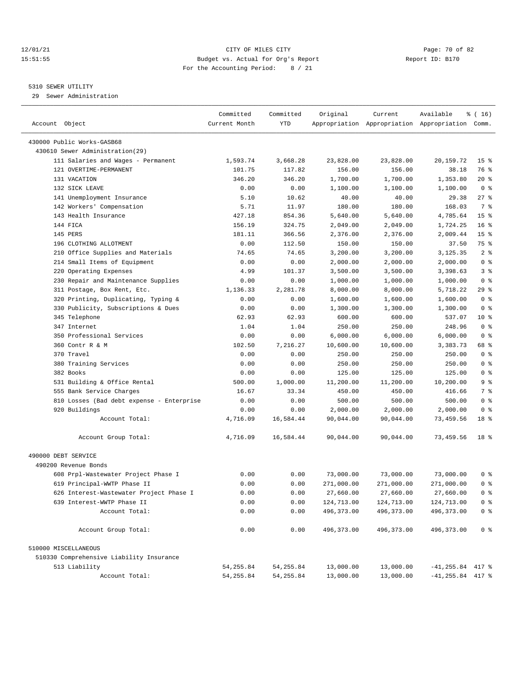#### 12/01/21 Page: 70 of 82 15:51:55 Budget vs. Actual for Org's Report Report ID: B170 For the Accounting Period: 8 / 21

————————————————————————————————————————————————————————————————————————————————————————————————————————————————————————————————————

#### 5310 SEWER UTILITY

29 Sewer Administration

|                                           | Committed     | Committed  | Original    | Current     | Available                                       | ៖ ( 16)         |
|-------------------------------------------|---------------|------------|-------------|-------------|-------------------------------------------------|-----------------|
| Account Object                            | Current Month | <b>YTD</b> |             |             | Appropriation Appropriation Appropriation Comm. |                 |
| 430000 Public Works-GASB68                |               |            |             |             |                                                 |                 |
| 430610 Sewer Administration(29)           |               |            |             |             |                                                 |                 |
| 111 Salaries and Wages - Permanent        | 1,593.74      | 3,668.28   | 23,828.00   | 23,828.00   | 20,159.72                                       | 15 <sup>8</sup> |
| 121 OVERTIME-PERMANENT                    | 101.75        | 117.82     | 156.00      | 156.00      | 38.18                                           | 76 %            |
| 131 VACATION                              | 346.20        | 346.20     | 1,700.00    | 1,700.00    | 1,353.80                                        | 20 %            |
| 132 SICK LEAVE                            | 0.00          | 0.00       | 1,100.00    | 1,100.00    | 1,100.00                                        | 0 <sup>8</sup>  |
| 141 Unemployment Insurance                | 5.10          | 10.62      | 40.00       | 40.00       | 29.38                                           | $27$ %          |
| 142 Workers' Compensation                 | 5.71          | 11.97      | 180.00      | 180.00      | 168.03                                          | 7 %             |
| 143 Health Insurance                      | 427.18        | 854.36     | 5,640.00    | 5,640.00    | 4,785.64                                        | 15 <sup>8</sup> |
| 144 FICA                                  | 156.19        | 324.75     | 2,049.00    | 2,049.00    | 1,724.25                                        | 16 <sup>8</sup> |
| 145 PERS                                  | 181.11        | 366.56     | 2,376.00    | 2,376.00    | 2,009.44                                        | 15 <sup>8</sup> |
| 196 CLOTHING ALLOTMENT                    | 0.00          | 112.50     | 150.00      | 150.00      | 37.50                                           | 75 %            |
| 210 Office Supplies and Materials         | 74.65         | 74.65      | 3,200.00    | 3,200.00    | 3,125.35                                        | 2 <sup>8</sup>  |
| 214 Small Items of Equipment              | 0.00          | 0.00       | 2,000.00    | 2,000.00    | 2,000.00                                        | 0 <sup>8</sup>  |
| 220 Operating Expenses                    | 4.99          | 101.37     | 3,500.00    | 3,500.00    | 3,398.63                                        | 3%              |
| 230 Repair and Maintenance Supplies       | 0.00          | 0.00       | 1,000.00    | 1,000.00    | 1,000.00                                        | 0 <sup>8</sup>  |
| 311 Postage, Box Rent, Etc.               | 1,136.33      | 2,281.78   | 8,000.00    | 8,000.00    | 5,718.22                                        | 29 %            |
| 320 Printing, Duplicating, Typing &       | 0.00          | 0.00       | 1,600.00    | 1,600.00    | 1,600.00                                        | 0 <sup>8</sup>  |
| 330 Publicity, Subscriptions & Dues       | 0.00          | 0.00       | 1,300.00    | 1,300.00    | 1,300.00                                        | 0 <sup>8</sup>  |
| 345 Telephone                             | 62.93         | 62.93      | 600.00      | 600.00      | 537.07                                          | $10*$           |
| 347 Internet                              | 1.04          | 1.04       | 250.00      | 250.00      | 248.96                                          | 0 <sup>8</sup>  |
| 350 Professional Services                 | 0.00          | 0.00       | 6,000.00    | 6,000.00    | 6,000.00                                        | 0 <sup>8</sup>  |
| 360 Contr R & M                           | 102.50        | 7,216.27   | 10,600.00   | 10,600.00   | 3,383.73                                        | 68 %            |
| 370 Travel                                | 0.00          | 0.00       | 250.00      | 250.00      | 250.00                                          | 0 <sup>8</sup>  |
| 380 Training Services                     | 0.00          | 0.00       | 250.00      | 250.00      | 250.00                                          | 0 <sup>8</sup>  |
| 382 Books                                 | 0.00          | 0.00       | 125.00      | 125.00      | 125.00                                          | 0 <sup>8</sup>  |
| 531 Building & Office Rental              | 500.00        | 1,000.00   | 11,200.00   | 11,200.00   | 10,200.00                                       | 9%              |
| 555 Bank Service Charges                  | 16.67         | 33.34      | 450.00      | 450.00      | 416.66                                          | 7 %             |
| 810 Losses (Bad debt expense - Enterprise | 0.00          | 0.00       | 500.00      | 500.00      | 500.00                                          | 0 <sup>8</sup>  |
| 920 Buildings                             | 0.00          | 0.00       | 2,000.00    | 2,000.00    | 2,000.00                                        | 0 <sup>8</sup>  |
| Account Total:                            | 4,716.09      | 16,584.44  | 90,044.00   | 90,044.00   | 73,459.56                                       | 18 %            |
|                                           |               |            |             |             |                                                 |                 |
| Account Group Total:                      | 4,716.09      | 16,584.44  | 90,044.00   | 90,044.00   | 73,459.56                                       | 18 %            |
| 490000 DEBT SERVICE                       |               |            |             |             |                                                 |                 |
| 490200 Revenue Bonds                      |               |            |             |             |                                                 |                 |
| 608 Prpl-Wastewater Project Phase I       | 0.00          | 0.00       | 73,000.00   | 73,000.00   | 73,000.00                                       | 0 %             |
| 619 Principal-WWTP Phase II               | 0.00          | 0.00       | 271,000.00  | 271,000.00  | 271,000.00                                      | 0 <sup>8</sup>  |
| 626 Interest-Wastewater Project Phase I   | 0.00          | 0.00       | 27,660.00   | 27,660.00   | 27,660.00                                       | 0 <sup>8</sup>  |
| 639 Interest-WWTP Phase II                | 0.00          | 0.00       | 124,713.00  | 124,713.00  | 124,713.00                                      | 0 <sup>8</sup>  |
| Account Total:                            | 0.00          | 0.00       | 496, 373.00 | 496, 373.00 | 496, 373.00                                     | 0 <sup>8</sup>  |
| Account Group Total:                      | 0.00          | 0.00       | 496, 373.00 | 496, 373.00 | 496, 373.00                                     | 0 <sup>8</sup>  |
| 510000 MISCELLANEOUS                      |               |            |             |             |                                                 |                 |
| 510330 Comprehensive Liability Insurance  |               |            |             |             |                                                 |                 |
| 513 Liability                             | 54, 255.84    | 54, 255.84 | 13,000.00   | 13,000.00   | $-41, 255.84$ 417 %                             |                 |
| Account Total:                            | 54, 255.84    | 54, 255.84 | 13,000.00   | 13,000.00   | $-41, 255.84$ 417 %                             |                 |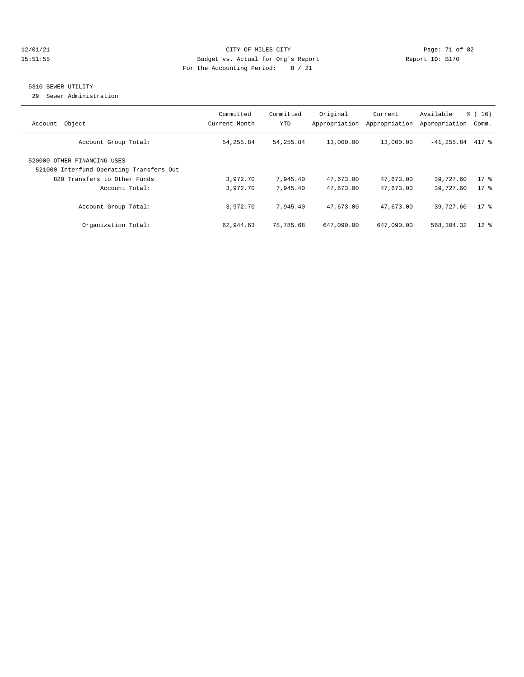#### 12/01/21 Page: 71 of 82 15:51:55 Budget vs. Actual for Org's Report Report ID: B170 For the Accounting Period: 8 / 21

#### 5310 SEWER UTILITY

29 Sewer Administration

| Account Object                                                          | Committed<br>Current Month | Committed<br>YTD | Original<br>Appropriation | Current<br>Appropriation | Available<br>Appropriation | $\frac{16}{3}$ (16)<br>Comm. |
|-------------------------------------------------------------------------|----------------------------|------------------|---------------------------|--------------------------|----------------------------|------------------------------|
| Account Group Total:                                                    | 54,255.84                  | 54, 255.84       | 13,000.00                 | 13,000.00                | $-41, 255.84$ 417 %        |                              |
| 520000 OTHER FINANCING USES<br>521000 Interfund Operating Transfers Out |                            |                  |                           |                          |                            |                              |
| 820 Transfers to Other Funds                                            | 3,972.70                   | 7,945.40         | 47,673.00                 | 47,673.00                | 39,727.60                  | $17*$                        |
| Account Total:                                                          | 3,972.70                   | 7,945.40         | 47,673.00                 | 47,673.00                | 39,727.60                  | $17*$                        |
| Account Group Total:                                                    | 3,972.70                   | 7.945.40         | 47,673.00                 | 47,673.00                | 39,727.60                  | $17*$                        |
| Organization Total:                                                     | 62,944.63                  | 78,785.68        | 647,090.00                | 647,090.00               | 568,304.32                 | $12*$                        |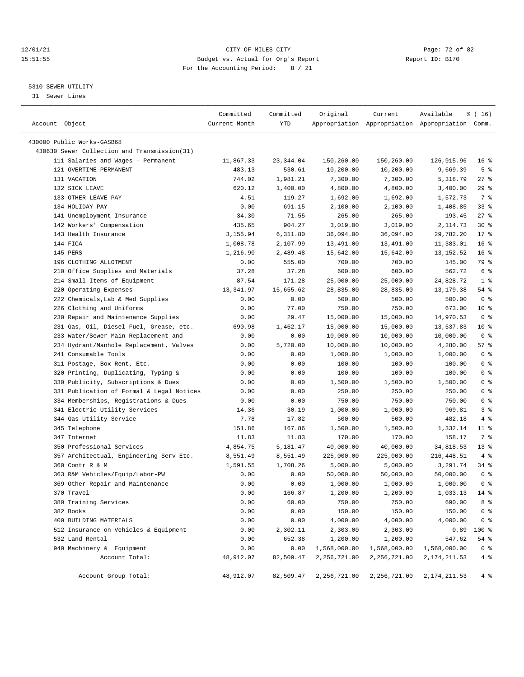#### 12/01/21 Page: 72 of 82<br>
12/01/21 Page: 72 of 82<br>
Budget vs. Actual for Org's Report Physics (Report ID: B170 15:51:55 Budget vs. Actual for Org's Report For the Accounting Period: 8 / 21

————————————————————————————————————————————————————————————————————————————————————————————————————————————————————————————————————

#### 5310 SEWER UTILITY

31 Sewer Lines

|                                                                                 | Committed         | Committed         | Original               | Current             | Available                                       | % (16)          |
|---------------------------------------------------------------------------------|-------------------|-------------------|------------------------|---------------------|-------------------------------------------------|-----------------|
| Account Object                                                                  | Current Month     | YTD               |                        |                     | Appropriation Appropriation Appropriation Comm. |                 |
| 430000 Public Works-GASB68                                                      |                   |                   |                        |                     |                                                 |                 |
| 430630 Sewer Collection and Transmission(31)                                    |                   |                   |                        |                     |                                                 |                 |
| 111 Salaries and Wages - Permanent                                              | 11,867.33         | 23, 344.04        | 150,260.00             | 150,260.00          | 126,915.96                                      | 16 <sup>8</sup> |
| 121 OVERTIME-PERMANENT                                                          | 483.13            | 530.61            | 10,200.00              | 10,200.00           | 9,669.39                                        | 5 <sup>8</sup>  |
| 131 VACATION                                                                    | 744.02            | 1,981.21          | 7,300.00               | 7,300.00            | 5,318.79                                        | 27 %            |
| 132 SICK LEAVE                                                                  | 620.12            | 1,400.00          | 4,800.00               | 4,800.00            | 3,400.00                                        | 29%             |
| 133 OTHER LEAVE PAY                                                             | 4.51              | 119.27            | 1,692.00               | 1,692.00            | 1,572.73                                        | 7 %             |
| 134 HOLIDAY PAY                                                                 | 0.00              | 691.15            | 2,100.00               | 2,100.00            | 1,408.85                                        | 33%             |
| 141 Unemployment Insurance                                                      | 34.30             | 71.55             | 265.00                 | 265.00              | 193.45                                          | $27$ %          |
| 142 Workers' Compensation                                                       | 435.65            | 904.27            | 3,019.00               | 3,019.00            | 2,114.73                                        | $30*$           |
| 143 Health Insurance                                                            | 3,155.94          | 6,311.80          | 36,094.00              | 36,094.00           | 29,782.20                                       | $17*$           |
| 144 FICA                                                                        | 1,008.78          | 2,107.99          | 13,491.00              | 13,491.00           | 11,383.01                                       | $16*$           |
| 145 PERS                                                                        | 1,216.90          | 2,489.48          | 15,642.00              | 15,642.00           | 13, 152.52                                      | 16 <sup>8</sup> |
| 196 CLOTHING ALLOTMENT                                                          | 0.00              | 555.00            | 700.00                 | 700.00              | 145.00                                          | 79 %            |
| 210 Office Supplies and Materials                                               |                   | 37.28             | 600.00                 | 600.00              | 562.72                                          | 6 %             |
| 214 Small Items of Equipment                                                    | 37.28             |                   |                        | 25,000.00           | 24,828.72                                       | 1 <sup>8</sup>  |
| 220 Operating Expenses                                                          | 87.54             | 171.28            | 25,000.00              |                     |                                                 | 54 %            |
| 222 Chemicals, Lab & Med Supplies                                               | 13,341.97<br>0.00 | 15,655.62<br>0.00 | 28,835.00<br>500.00    | 28,835.00<br>500.00 | 13,179.38<br>500.00                             | 0 <sup>8</sup>  |
| 226 Clothing and Uniforms                                                       |                   |                   | 750.00                 |                     |                                                 | $10*$           |
| 230 Repair and Maintenance Supplies                                             | 0.00              | 77.00             | 15,000.00              | 750.00<br>15,000.00 | 673.00<br>14,970.53                             | 0 <sup>8</sup>  |
|                                                                                 | 0.00              | 29.47             |                        | 15,000.00           | 13,537.83                                       | $10*$           |
| 231 Gas, Oil, Diesel Fuel, Grease, etc.<br>233 Water/Sewer Main Replacement and | 690.98<br>0.00    | 1,462.17<br>0.00  | 15,000.00<br>10,000.00 | 10,000.00           | 10,000.00                                       | 0 <sup>8</sup>  |
| 234 Hydrant/Manhole Replacement, Valves                                         | 0.00              | 5,720.00          |                        | 10,000.00           | 4,280.00                                        | 57%             |
| 241 Consumable Tools                                                            |                   |                   | 10,000.00              |                     | 1,000.00                                        | 0 <sup>8</sup>  |
|                                                                                 | 0.00              | 0.00              | 1,000.00               | 1,000.00<br>100.00  | 100.00                                          | 0 <sup>8</sup>  |
| 311 Postage, Box Rent, Etc.                                                     | 0.00              | 0.00              | 100.00                 |                     |                                                 | 0 <sup>8</sup>  |
| 320 Printing, Duplicating, Typing &<br>330 Publicity, Subscriptions & Dues      | 0.00              | 0.00              | 100.00                 | 100.00              | 100.00                                          | 0 <sup>8</sup>  |
| 331 Publication of Formal & Legal Notices                                       | 0.00<br>0.00      | 0.00<br>0.00      | 1,500.00<br>250.00     | 1,500.00<br>250.00  | 1,500.00<br>250.00                              | 0 <sup>8</sup>  |
|                                                                                 |                   |                   |                        |                     | 750.00                                          | 0 <sup>8</sup>  |
| 334 Memberships, Registrations & Dues                                           | 0.00              | 0.00<br>30.19     | 750.00                 | 750.00              | 969.81                                          | 3%              |
| 341 Electric Utility Services                                                   | 14.36             |                   | 1,000.00               | 1,000.00            |                                                 |                 |
| 344 Gas Utility Service                                                         | 7.78              | 17.82<br>167.86   | 500.00                 | 500.00              | 482.18                                          | 4%<br>11 %      |
| 345 Telephone<br>347 Internet                                                   | 151.86<br>11.83   | 11.83             | 1,500.00<br>170.00     | 1,500.00<br>170.00  | 1,332.14<br>158.17                              | 7 %             |
| 350 Professional Services                                                       | 4,854.75          | 5,181.47          | 40,000.00              | 40,000.00           | 34,818.53                                       | $13*$           |
| 357 Architectual, Engineering Serv Etc.                                         | 8,551.49          | 8,551.49          | 225,000.00             | 225,000.00          | 216, 448.51                                     | 4%              |
| 360 Contr R & M                                                                 | 1,591.55          | 1,708.26          | 5,000.00               | 5,000.00            | 3,291.74                                        | 34 %            |
| 363 R&M Vehicles/Equip/Labor-PW                                                 | 0.00              | 0.00              | 50,000.00              | 50,000.00           | 50,000.00                                       | 0 <sup>8</sup>  |
| 369 Other Repair and Maintenance                                                | 0.00              | 0.00              | 1,000.00               | 1,000.00            | 1,000.00                                        | 0 <sup>8</sup>  |
| 370 Travel                                                                      | 0.00              | 166.87            | 1,200.00               | 1,200.00            | $1,033.13$ 14 %                                 |                 |
| 380 Training Services                                                           | 0.00              | 60.00             | 750.00                 | 750.00              | 690.00                                          | 8 %             |
| 382 Books                                                                       | 0.00              | 0.00              | 150.00                 | 150.00              | 150.00                                          | 0 <sup>8</sup>  |
| 400 BUILDING MATERIALS                                                          | 0.00              | 0.00              | 4,000.00               | 4,000.00            | 4,000.00                                        | 0 <sup>8</sup>  |
| 512 Insurance on Vehicles & Equipment                                           | 0.00              | 2,302.11          | 2,303.00               | 2,303.00            | 0.89                                            | 100 %           |
| 532 Land Rental                                                                 | 0.00              | 652.38            | 1,200.00               | 1,200.00            | 547.62                                          | 54 %            |
| 940 Machinery & Equipment                                                       | 0.00              | 0.00              | 1,568,000.00           | 1,568,000.00        | 1,568,000.00                                    | 0 <sup>8</sup>  |
| Account Total:                                                                  | 48,912.07         | 82,509.47         | 2,256,721.00           | 2,256,721.00        | 2, 174, 211.53                                  | $4\degree$      |
|                                                                                 |                   |                   |                        |                     |                                                 |                 |
| Account Group Total:                                                            | 48,912.07         | 82,509.47         | 2,256,721.00           | 2,256,721.00        | 2, 174, 211.53                                  | 4%              |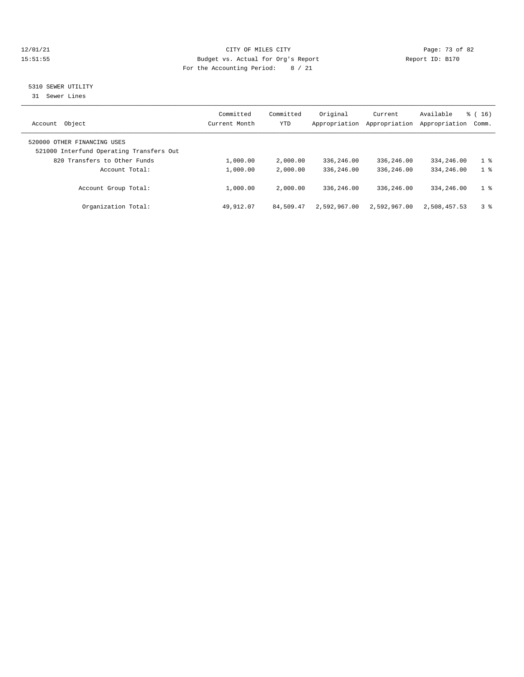# 12/01/21 CITY OF MILES CITY COMPUTER CITY CONSUMING THE PAGE: 73 of 82<br>15:51:55 Budget vs. Actual for Org's Report (1999) Report ID: B170 15:51:55 Budget vs. Actual for Org's Report For the Accounting Period: 8 / 21

# 5310 SEWER UTILITY

31 Sewer Lines

| Object<br>Account                                                       | Committed<br>Current Month | Committed<br>YTD | Original<br>Appropriation | Current<br>Appropriation | Available<br>Appropriation | $\frac{1}{6}$ ( 16 )<br>Comm. |
|-------------------------------------------------------------------------|----------------------------|------------------|---------------------------|--------------------------|----------------------------|-------------------------------|
| 520000 OTHER FINANCING USES<br>521000 Interfund Operating Transfers Out |                            |                  |                           |                          |                            |                               |
| 820 Transfers to Other Funds                                            | 1,000.00                   | 2,000.00         | 336,246.00                | 336,246.00               | 334,246.00                 | 1 <sup>8</sup>                |
| Account Total:                                                          | 1,000.00                   | 2,000.00         | 336,246.00                | 336,246.00               | 334,246.00                 | 1 <sup>8</sup>                |
| Account Group Total:                                                    | 1,000.00                   | 2,000.00         | 336,246.00                | 336,246.00               | 334,246.00                 | 1 <sup>8</sup>                |
| Organization Total:                                                     | 49,912.07                  | 84,509.47        | 2,592,967.00              | 2,592,967.00             | 2,508,457.53               | 3%                            |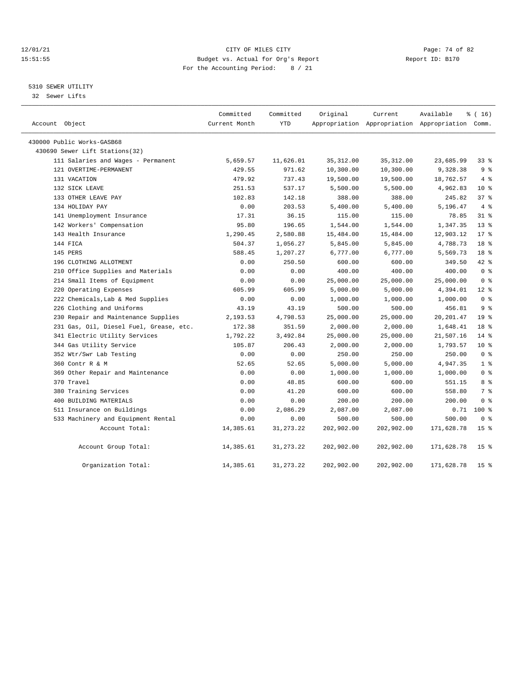# 12/01/21 Page: 74 of 82<br>15:51:55 Pudget vs. Actual for Org's Report Page: 74 of 82<br>15:51:55 Pudget vs. Actual for Org's Report Page: 74 of 82 15:51:55 Budget vs. Actual for Org's Report For the Accounting Period: 8 / 21

# 5310 SEWER UTILITY

32 Sewer Lifts

| Account Object |                                         | Committed<br>Current Month | Committed<br><b>YTD</b> | Original   | Current    | Available<br>Appropriation Appropriation Appropriation Comm. | \$(16)          |
|----------------|-----------------------------------------|----------------------------|-------------------------|------------|------------|--------------------------------------------------------------|-----------------|
|                | 430000 Public Works-GASB68              |                            |                         |            |            |                                                              |                 |
|                | 430690 Sewer Lift Stations(32)          |                            |                         |            |            |                                                              |                 |
|                | 111 Salaries and Wages - Permanent      | 5,659.57                   | 11,626.01               | 35, 312.00 | 35, 312.00 | 23,685.99                                                    | 338             |
|                | 121 OVERTIME-PERMANENT                  | 429.55                     | 971.62                  | 10,300.00  | 10,300.00  | 9,328.38                                                     | 9 <sup>8</sup>  |
|                | 131 VACATION                            | 479.92                     | 737.43                  | 19,500.00  | 19,500.00  | 18,762.57                                                    | 4%              |
|                | 132 SICK LEAVE                          | 251.53                     | 537.17                  | 5,500.00   | 5,500.00   | 4,962.83                                                     | $10*$           |
|                | 133 OTHER LEAVE PAY                     | 102.83                     | 142.18                  | 388.00     | 388.00     | 245.82                                                       | 378             |
|                | 134 HOLIDAY PAY                         | 0.00                       | 203.53                  | 5,400.00   | 5,400.00   | 5,196.47                                                     | 4%              |
|                | 141 Unemployment Insurance              | 17.31                      | 36.15                   | 115.00     | 115.00     | 78.85                                                        | $31$ %          |
|                | 142 Workers' Compensation               | 95.80                      | 196.65                  | 1,544.00   | 1,544.00   | 1,347.35                                                     | $13*$           |
|                | 143 Health Insurance                    | 1,290.45                   | 2,580.88                | 15,484.00  | 15,484.00  | 12,903.12                                                    | $17*$           |
|                | 144 FICA                                | 504.37                     | 1,056.27                | 5,845.00   | 5,845.00   | 4,788.73                                                     | 18 <sup>8</sup> |
|                | 145 PERS                                | 588.45                     | 1,207.27                | 6,777.00   | 6,777.00   | 5,569.73                                                     | 18 %            |
|                | 196 CLOTHING ALLOTMENT                  | 0.00                       | 250.50                  | 600.00     | 600.00     | 349.50                                                       | 42 %            |
|                | 210 Office Supplies and Materials       | 0.00                       | 0.00                    | 400.00     | 400.00     | 400.00                                                       | 0 <sup>8</sup>  |
|                | 214 Small Items of Equipment            | 0.00                       | 0.00                    | 25,000.00  | 25,000.00  | 25,000.00                                                    | 0 <sup>8</sup>  |
|                | 220 Operating Expenses                  | 605.99                     | 605.99                  | 5,000.00   | 5,000.00   | 4,394.01                                                     | $12*$           |
|                | 222 Chemicals, Lab & Med Supplies       | 0.00                       | 0.00                    | 1,000.00   | 1,000.00   | 1,000.00                                                     | 0 <sup>8</sup>  |
|                | 226 Clothing and Uniforms               | 43.19                      | 43.19                   | 500.00     | 500.00     | 456.81                                                       | 9 <sup>8</sup>  |
|                | 230 Repair and Maintenance Supplies     | 2,193.53                   | 4,798.53                | 25,000.00  | 25,000.00  | 20, 201.47                                                   | 19 <sup>8</sup> |
|                | 231 Gas, Oil, Diesel Fuel, Grease, etc. | 172.38                     | 351.59                  | 2,000.00   | 2,000.00   | 1,648.41                                                     | 18 %            |
|                | 341 Electric Utility Services           | 1,792.22                   | 3,492.84                | 25,000.00  | 25,000.00  | 21,507.16                                                    | 14 %            |
|                | 344 Gas Utility Service                 | 105.87                     | 206.43                  | 2,000.00   | 2,000.00   | 1,793.57                                                     | $10*$           |
|                | 352 Wtr/Swr Lab Testing                 | 0.00                       | 0.00                    | 250.00     | 250.00     | 250.00                                                       | 0 <sup>8</sup>  |
|                | 360 Contr R & M                         | 52.65                      | 52.65                   | 5,000.00   | 5,000.00   | 4,947.35                                                     | 1 <sup>8</sup>  |
|                | 369 Other Repair and Maintenance        | 0.00                       | 0.00                    | 1,000.00   | 1,000.00   | 1,000.00                                                     | 0 <sup>8</sup>  |
|                | 370 Travel                              | 0.00                       | 48.85                   | 600.00     | 600.00     | 551.15                                                       | 8 %             |
|                | 380 Training Services                   | 0.00                       | 41.20                   | 600.00     | 600.00     | 558.80                                                       | 7 <sup>°</sup>  |
|                | 400 BUILDING MATERIALS                  | 0.00                       | 0.00                    | 200.00     | 200.00     | 200.00                                                       | 0 <sup>8</sup>  |
|                | 511 Insurance on Buildings              | 0.00                       | 2,086.29                | 2,087.00   | 2,087.00   | 0.71                                                         | $100*$          |
|                | 533 Machinery and Equipment Rental      | 0.00                       | 0.00                    | 500.00     | 500.00     | 500.00                                                       | 0 <sup>8</sup>  |
|                | Account Total:                          | 14,385.61                  | 31, 273. 22             | 202,902.00 | 202,902.00 | 171,628.78                                                   | 15 <sup>8</sup> |
|                | Account Group Total:                    | 14,385.61                  | 31, 273. 22             | 202,902.00 | 202,902.00 | 171,628.78                                                   | 15 <sup>8</sup> |
|                | Organization Total:                     | 14,385.61                  | 31, 273. 22             | 202,902.00 | 202,902.00 | 171,628.78                                                   | 15 <sup>8</sup> |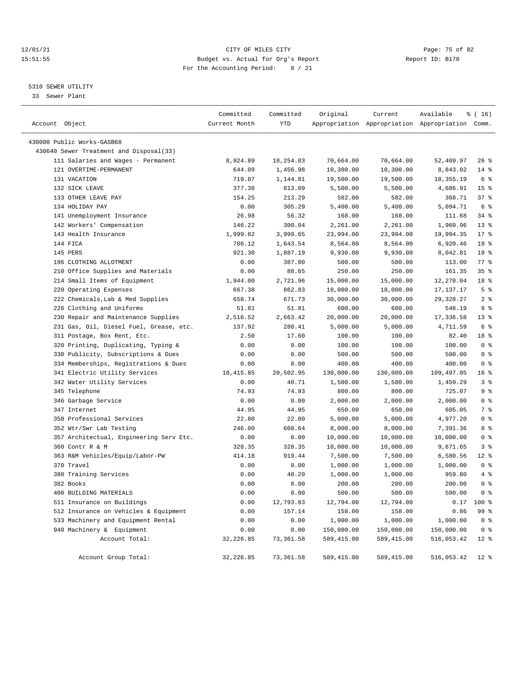# 12/01/21 Page: 75 of 82<br>15:51:55 Pudget vs. Actual for Org's Report Page: 75 of 82<br>15:51:55 Pudget vs. Actual for Org's Report Page: 75 of 82 15:51:55 Budget vs. Actual for Org's Report For the Accounting Period: 8 / 21

————————————————————————————————————————————————————————————————————————————————————————————————————————————————————————————————————

# 5310 SEWER UTILITY

33 Sewer Plant

|                                         | Committed     | Committed  | Original    | Current    | Available                                       | ៖ ( 16)            |
|-----------------------------------------|---------------|------------|-------------|------------|-------------------------------------------------|--------------------|
| Account Object                          | Current Month | <b>YTD</b> |             |            | Appropriation Appropriation Appropriation Comm. |                    |
| 430000 Public Works-GASB68              |               |            |             |            |                                                 |                    |
| 430640 Sewer Treatment and Disposal(33) |               |            |             |            |                                                 |                    |
| 111 Salaries and Wages - Permanent      | 8,924.89      | 18,254.03  | 70,664.00   | 70,664.00  | 52,409.97                                       | $26$ %             |
| 121 OVERTIME-PERMANENT                  | 644.09        | 1,456.98   | 10,300.00   | 10,300.00  | 8,843.02                                        | $14$ %             |
| 131 VACATION                            | 719.87        | 1,144.81   | 19,500.00   | 19,500.00  | 18,355.19                                       | 6 %                |
| 132 SICK LEAVE                          | 377.38        | 813.09     | 5,500.00    | 5,500.00   | 4,686.91                                        | 15 <sup>°</sup>    |
| 133 OTHER LEAVE PAY                     | 154.25        | 213.29     | 582.00      | 582.00     | 368.71                                          | 378                |
| 134 HOLIDAY PAY                         | 0.00          | 305.29     | 5,400.00    | 5,400.00   | 5,094.71                                        | 6 %                |
| 141 Unemployment Insurance              | 26.98         | 56.32      | 168.00      | 168.00     | 111.68                                          | 34%                |
| 142 Workers' Compensation               | 146.22        | 300.04     | 2,261.00    | 2,261.00   | 1,960.96                                        | $13*$              |
| 143 Health Insurance                    | 1,999.82      | 3,999.65   | 23,994.00   | 23,994.00  | 19,994.35                                       | $17*$              |
| 144 FICA                                | 786.12        | 1,643.54   | 8,564.00    | 8,564.00   | 6,920.46                                        | 19 <sup>°</sup>    |
| 145 PERS                                | 921.30        | 1,887.19   | 9,930.00    | 9,930.00   | 8,042.81                                        | 19 <sup>°</sup>    |
| 196 CLOTHING ALLOTMENT                  | 0.00          | 387.00     | 500.00      | 500.00     | 113.00                                          | $77$ $\frac{6}{9}$ |
| 210 Office Supplies and Materials       | 0.00          | 88.65      | 250.00      | 250.00     | 161.35                                          | 35%                |
| 214 Small Items of Equipment            | 1,944.00      | 2,721.96   | 15,000.00   | 15,000.00  | 12,278.04                                       | 18 %               |
| 220 Operating Expenses                  | 667.38        | 862.83     | 18,000.00   | 18,000.00  | 17,137.17                                       | 5 %                |
| 222 Chemicals, Lab & Med Supplies       | 658.74        | 671.73     | 30,000.00   | 30,000.00  | 29,328.27                                       | 2 <sup>8</sup>     |
| 226 Clothing and Uniforms               | 51.81         | 51.81      | 600.00      | 600.00     | 548.19                                          | 9%                 |
| 230 Repair and Maintenance Supplies     | 2,516.52      | 2,663.42   | 20,000.00   | 20,000.00  | 17,336.58                                       | $13*$              |
| 231 Gas, Oil, Diesel Fuel, Grease, etc. | 137.92        | 288.41     | 5,000.00    | 5,000.00   | 4,711.59                                        | 6 %                |
| 311 Postage, Box Rent, Etc.             | 2.50          | 17.60      | 100.00      | 100.00     | 82.40                                           | 18 %               |
| 320 Printing, Duplicating, Typing &     | 0.00          | 0.00       | 100.00      | 100.00     | 100.00                                          | 0 <sup>8</sup>     |
| 330 Publicity, Subscriptions & Dues     | 0.00          | 0.00       | 500.00      | 500.00     | 500.00                                          | 0 <sup>8</sup>     |
| 334 Memberships, Registrations & Dues   | 0.00          | 0.00       | 400.00      | 400.00     | 400.00                                          | 0 <sup>8</sup>     |
| 341 Electric Utility Services           | 10,415.85     | 20,502.95  | 130,000.00  | 130,000.00 | 109,497.05                                      | 16 <sup>8</sup>    |
| 342 Water Utility Services              | 0.00          | 40.71      | 1,500.00    | 1,500.00   | 1,459.29                                        | 3 %                |
| 345 Telephone                           | 74.93         | 74.93      | 800.00      | 800.00     | 725.07                                          | 9%                 |
| 346 Garbage Service                     | 0.00          | 0.00       | 2,000.00    | 2,000.00   | 2,000.00                                        | 0 <sup>8</sup>     |
| 347 Internet                            | 44.95         | 44.95      | 650.00      | 650.00     | 605.05                                          | 7 %                |
| 350 Professional Services               | 22.80         | 22.80      | 5,000.00    | 5,000.00   | 4,977.20                                        | 0 <sup>8</sup>     |
| 352 Wtr/Swr Lab Testing                 | 246.00        | 608.64     | 8,000.00    | 8,000.00   | 7,391.36                                        | 8 %                |
| 357 Architectual, Engineering Serv Etc. | 0.00          | 0.00       | 10,000.00   | 10,000.00  | 10,000.00                                       | 0 <sup>8</sup>     |
| 360 Contr R & M                         | 328.35        | 328.35     | 10,000.00   | 10,000.00  | 9,671.65                                        | 3%                 |
| 363 R&M Vehicles/Equip/Labor-PW         | 414.18        | 919.44     | 7,500.00    | 7,500.00   | 6,580.56                                        | $12$ %             |
| 370 Travel                              | 0.00          | 0.00       | 1,000.00    | 1,000.00   | 1,000.00                                        | 0 <sup>8</sup>     |
| 380 Training Services                   | 0.00          | 40.20      | 1,000.00    | 1,000.00   | 959.80                                          | 4%                 |
| 382 Books                               | 0.00          | 0.00       | 200.00      | 200.00     | 200.00                                          | 0 <sup>8</sup>     |
| 400 BUILDING MATERIALS                  | 0.00          | 0.00       | 500.00      | 500.00     | 500.00                                          | 0 <sup>8</sup>     |
| 511 Insurance on Buildings              | 0.00          | 12,793.83  | 12,794.00   | 12,794.00  |                                                 | $0.17$ 100 %       |
| 512 Insurance on Vehicles & Equipment   | 0.00          | 157.14     | 158.00      | 158.00     | 0.86                                            | 99 %               |
| 533 Machinery and Equipment Rental      | 0.00          | 0.00       | 1,000.00    | 1,000.00   | 1,000.00                                        | 0 <sup>8</sup>     |
| 940 Machinery & Equipment               | 0.00          | 0.00       | 150,000.00  | 150,000.00 | 150,000.00                                      | 0 <sup>8</sup>     |
| Account Total:                          | 32, 226.85    | 73,361.58  | 589, 415.00 | 589,415.00 | 516,053.42                                      | $12*$              |
| Account Group Total:                    | 32,226.85     | 73,361.58  | 589,415.00  | 589,415.00 | 516,053.42                                      | $12*$              |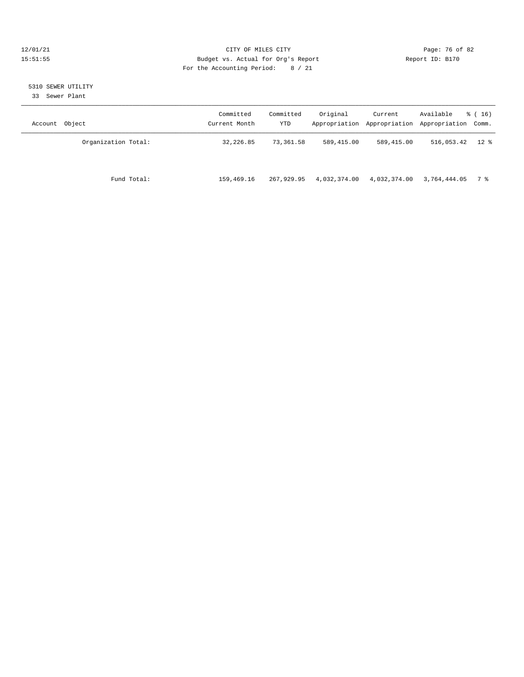# 12/01/21 Page: 76 of 82<br>15:51:55 Pudget vs. Actual for Org's Report Page: 76 of 82<br>15:51:55 Pudget vs. Actual for Org's Report Page: 76 of 82 15:51:55 Budget vs. Actual for Org's Report For the Accounting Period: 8 / 21

# 5310 SEWER UTILITY

33 Sewer Plant

| Account Object      | Committed<br>Current Month | Committed<br>YTD | Original     | Current      | Available<br>Appropriation Appropriation Appropriation Comm. | $\frac{1}{6}$ ( 16 ) |
|---------------------|----------------------------|------------------|--------------|--------------|--------------------------------------------------------------|----------------------|
| Organization Total: | 32,226.85                  | 73,361.58        | 589,415.00   | 589,415.00   | 516,053.42                                                   | $12$ %               |
| Fund Total:         | 159,469.16                 | 267,929.95       | 4,032,374.00 | 4,032,374.00 | 3,764,444.05                                                 | 7 %                  |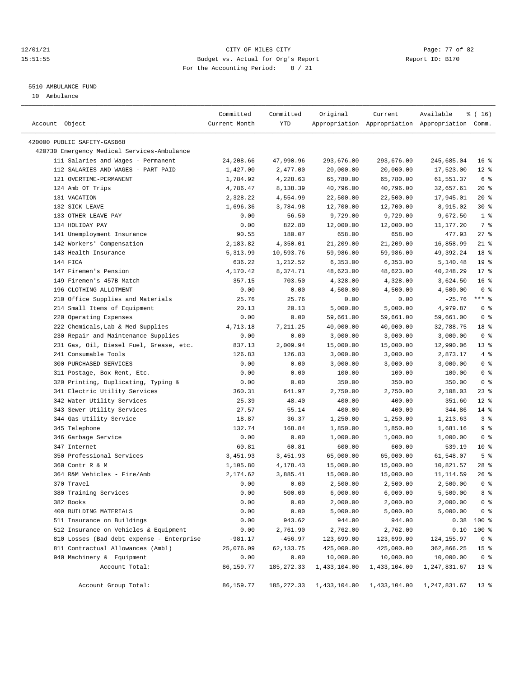# 12/01/21 Page: 77 of 82 15:51:55 Budget vs. Actual for Org's Report Report ID: B170 For the Accounting Period: 8 / 21

————————————————————————————————————————————————————————————————————————————————————————————————————————————————————————————————————

#### 5510 AMBULANCE FUND

10 Ambulance

|                                             | Committed     | Committed   | Original           | Current            | Available                                       | ៖ ( 16 )                       |
|---------------------------------------------|---------------|-------------|--------------------|--------------------|-------------------------------------------------|--------------------------------|
| Account Object                              | Current Month | YTD         |                    |                    | Appropriation Appropriation Appropriation Comm. |                                |
|                                             |               |             |                    |                    |                                                 |                                |
| 420000 PUBLIC SAFETY-GASB68                 |               |             |                    |                    |                                                 |                                |
| 420730 Emergency Medical Services-Ambulance |               |             |                    |                    |                                                 |                                |
| 111 Salaries and Wages - Permanent          | 24,208.66     | 47,990.96   | 293,676.00         | 293,676.00         | 245,685.04                                      | 16 <sup>8</sup>                |
| 112 SALARIES AND WAGES - PART PAID          | 1,427.00      | 2,477.00    | 20,000.00          | 20,000.00          | 17,523.00                                       | $12$ %                         |
| 121 OVERTIME-PERMANENT                      | 1,784.92      | 4,228.63    | 65,780.00          | 65,780.00          | 61,551.37                                       | 6 %                            |
| 124 Amb OT Trips                            | 4,786.47      | 8,138.39    | 40,796.00          | 40,796.00          | 32,657.61                                       | $20*$                          |
| 131 VACATION                                | 2,328.22      | 4,554.99    | 22,500.00          | 22,500.00          | 17,945.01                                       | $20*$                          |
| 132 SICK LEAVE                              | 1,696.36      | 3,784.98    | 12,700.00          | 12,700.00          | 8,915.02                                        | $30*$                          |
| 133 OTHER LEAVE PAY                         | 0.00          | 56.50       | 9,729.00           | 9,729.00           | 9,672.50                                        | 1 <sup>8</sup>                 |
| 134 HOLIDAY PAY                             | 0.00          | 822.80      | 12,000.00          | 12,000.00          | 11,177.20                                       | 7 %                            |
| 141 Unemployment Insurance                  | 90.55         | 180.07      | 658.00             | 658.00             | 477.93                                          | $27$ %                         |
| 142 Workers' Compensation                   | 2,183.82      | 4,350.01    | 21,209.00          | 21,209.00          | 16,858.99                                       | $21$ %                         |
| 143 Health Insurance                        | 5,313.99      | 10,593.76   | 59,986.00          | 59,986.00          | 49,392.24                                       | 18 <sup>8</sup>                |
| 144 FICA                                    | 636.22        | 1,212.52    | 6,353.00           | 6,353.00           | 5,140.48                                        | 19 <sup>°</sup>                |
| 147 Firemen's Pension                       | 4,170.42      | 8,374.71    | 48,623.00          | 48,623.00          | 40,248.29                                       | $17*$                          |
| 149 Firemen's 457B Match                    | 357.15        | 703.50      | 4,328.00           | 4,328.00           | 3,624.50                                        | 16 <sup>8</sup>                |
| 196 CLOTHING ALLOTMENT                      | 0.00          | 0.00        | 4,500.00           | 4,500.00           | 4,500.00                                        | 0 <sup>8</sup>                 |
| 210 Office Supplies and Materials           | 25.76         | 25.76       | 0.00               | 0.00               | $-25.76$                                        | $***$ $_{8}$                   |
| 214 Small Items of Equipment                | 20.13         | 20.13       | 5,000.00           | 5,000.00           | 4,979.87                                        | 0 <sup>8</sup>                 |
| 220 Operating Expenses                      | 0.00          | 0.00        | 59,661.00          | 59,661.00          | 59,661.00                                       | 0 <sup>8</sup>                 |
| 222 Chemicals, Lab & Med Supplies           | 4,713.18      | 7,211.25    | 40,000.00          | 40,000.00          | 32,788.75                                       | 18 %                           |
| 230 Repair and Maintenance Supplies         | 0.00          | 0.00        | 3,000.00           | 3,000.00           | 3,000.00                                        | 0 <sup>8</sup>                 |
| 231 Gas, Oil, Diesel Fuel, Grease, etc.     | 837.13        | 2,009.94    | 15,000.00          | 15,000.00          | 12,990.06                                       | $13*$                          |
| 241 Consumable Tools                        | 126.83        | 126.83      | 3,000.00           | 3,000.00           | 2,873.17                                        | 4%                             |
| 300 PURCHASED SERVICES                      | 0.00          | 0.00        | 3,000.00           | 3,000.00           | 3,000.00                                        | 0 <sup>8</sup>                 |
| 311 Postage, Box Rent, Etc.                 | 0.00          | 0.00        | 100.00             | 100.00             | 100.00                                          | 0 <sup>8</sup>                 |
| 320 Printing, Duplicating, Typing &         | 0.00          | 0.00        | 350.00             | 350.00             | 350.00                                          | 0 <sup>8</sup>                 |
| 341 Electric Utility Services               | 360.31        | 641.97      | 2,750.00           | 2,750.00           | 2,108.03                                        | $23$ %                         |
| 342 Water Utility Services                  | 25.39         | 48.40       | 400.00             | 400.00             | 351.60                                          | $12*$                          |
| 343 Sewer Utility Services                  | 27.57         | 55.14       | 400.00             | 400.00             | 344.86                                          | $14$ %                         |
| 344 Gas Utility Service                     | 18.87         | 36.37       | 1,250.00           | 1,250.00           | 1,213.63                                        | 3%                             |
| 345 Telephone                               | 132.74        | 168.84      | 1,850.00           | 1,850.00           | 1,681.16                                        | 9 <sup>8</sup>                 |
| 346 Garbage Service                         | 0.00          | 0.00        | 1,000.00           | 1,000.00           | 1,000.00                                        | 0 <sup>8</sup>                 |
| 347 Internet                                | 60.81         | 60.81       | 600.00             | 600.00             | 539.19                                          | 10 <sup>°</sup>                |
| 350 Professional Services                   | 3,451.93      | 3,451.93    | 65,000.00          | 65,000.00          | 61,548.07                                       | 5 <sup>8</sup>                 |
| 360 Contr R & M                             | 1,105.80      | 4,178.43    | 15,000.00          | 15,000.00          | 10,821.57                                       | $28$ %                         |
| 364 R&M Vehicles - Fire/Amb                 | 2,174.62      | 3,885.41    | 15,000.00          | 15,000.00          | 11,114.59                                       | $26$ %                         |
| 370 Travel                                  | 0.00          | 0.00        | 2,500.00           | 2,500.00           | 2,500.00                                        | 0 <sup>8</sup>                 |
| 380 Training Services                       | 0.00          | 500.00      | 6,000.00           | 6,000.00           | 5,500.00                                        | 8 %                            |
| 382 Books                                   | 0.00          | 0.00        | 2,000.00           | 2,000.00           | 2,000.00                                        | 0 <sup>8</sup>                 |
| 400 BUILDING MATERIALS                      | 0.00          | 0.00        |                    |                    |                                                 |                                |
| 511 Insurance on Buildings                  | 0.00          | 943.62      | 5,000.00<br>944.00 | 5,000.00<br>944.00 | 5,000.00                                        | 0 <sup>8</sup><br>$0.38$ 100 % |
| 512 Insurance on Vehicles & Equipment       |               |             |                    |                    |                                                 |                                |
|                                             | 0.00          | 2,761.90    | 2,762.00           | 2,762.00           | 0.10                                            | 100 %                          |
| 810 Losses (Bad debt expense - Enterprise   | $-981.17$     | $-456.97$   | 123,699.00         | 123,699.00         | 124, 155.97                                     | 0 <sub>8</sub>                 |
| 811 Contractual Allowances (Ambl)           | 25,076.09     | 62, 133. 75 | 425,000.00         | 425,000.00         | 362,866.25                                      | 15 <sup>°</sup>                |
| 940 Machinery & Equipment                   | 0.00          | 0.00        | 10,000.00          | 10,000.00          | 10,000.00                                       | 0 <sup>8</sup>                 |
| Account Total:                              | 86,159.77     | 185, 272.33 | 1,433,104.00       | 1,433,104.00       | 1,247,831.67                                    | $13*$                          |
| Account Group Total:                        | 86,159.77     | 185,272.33  | 1,433,104.00       | 1,433,104.00       | 1,247,831.67                                    | 13 <sup>8</sup>                |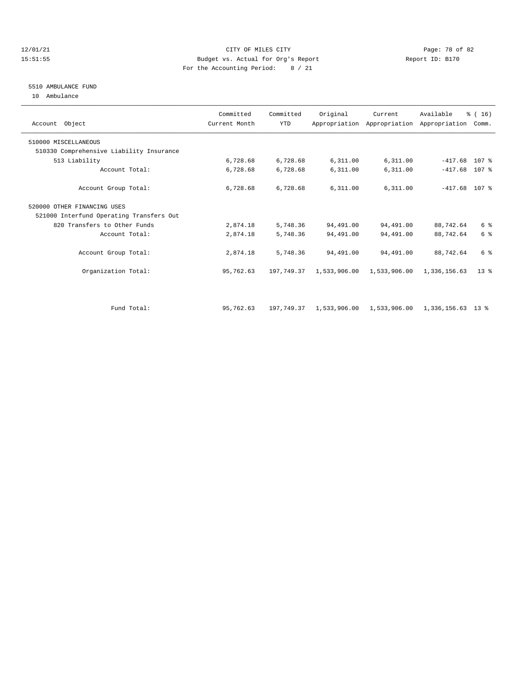# 12/01/21 Page: 78 of 82 15:51:55 Budget vs. Actual for Org's Report Report ID: B170 For the Accounting Period: 8 / 21

# 5510 AMBULANCE FUND

10 Ambulance

| Account Object                           | Committed<br>Current Month | Committed<br><b>YTD</b> | Original     | Current      | Available<br>Appropriation Appropriation Appropriation Comm. | % (16) |  |
|------------------------------------------|----------------------------|-------------------------|--------------|--------------|--------------------------------------------------------------|--------|--|
| 510000 MISCELLANEOUS                     |                            |                         |              |              |                                                              |        |  |
| 510330 Comprehensive Liability Insurance |                            |                         |              |              |                                                              |        |  |
| 513 Liability                            | 6,728.68                   | 6,728.68                | 6,311.00     | 6,311.00     | $-417.68$                                                    | 107 %  |  |
| Account Total:                           | 6,728.68                   | 6,728.68                | 6,311.00     | 6,311.00     | $-417.68$                                                    | 107 %  |  |
| Account Group Total:                     | 6,728.68                   | 6,728.68                | 6,311.00     | 6,311.00     | $-417.68$ 107 %                                              |        |  |
| 520000 OTHER FINANCING USES              |                            |                         |              |              |                                                              |        |  |
| 521000 Interfund Operating Transfers Out |                            |                         |              |              |                                                              |        |  |
| 820 Transfers to Other Funds             | 2,874.18                   | 5,748.36                | 94,491.00    | 94,491.00    | 88,742.64                                                    | 6 %    |  |
| Account Total:                           | 2,874.18                   | 5,748.36                | 94,491.00    | 94,491.00    | 88,742.64                                                    | 6 %    |  |
| Account Group Total:                     | 2,874.18                   | 5,748.36                | 94,491.00    | 94,491.00    | 88,742.64                                                    | 6 %    |  |
| Organization Total:                      | 95,762.63                  | 197,749.37              | 1,533,906.00 | 1,533,906.00 | 1,336,156.63                                                 | $13*$  |  |
|                                          |                            |                         |              |              |                                                              |        |  |
| Fund Total:                              | 95,762.63                  | 197,749.37              | 1,533,906.00 | 1,533,906.00 | 1,336,156.63 13 %                                            |        |  |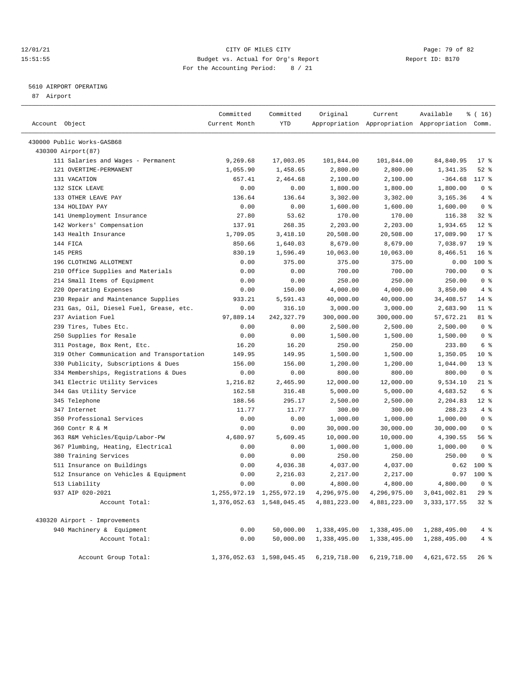# 12/01/21 Page: 79 of 82<br>
12/01/21 Page: 79 of 82<br>
Budget vs. Actual for Org's Report Physics (Report ID: B170 15:51:55 Budget vs. Actual for Org's Report For the Accounting Period: 8 / 21

————————————————————————————————————————————————————————————————————————————————————————————————————————————————————————————————————

# 5610 AIRPORT OPERATING

87 Airport

|                                            | Committed     | Committed                     | Original     | Current      | Available                                       | ៖ ( 16)         |
|--------------------------------------------|---------------|-------------------------------|--------------|--------------|-------------------------------------------------|-----------------|
| Account Object                             | Current Month | YTD                           |              |              | Appropriation Appropriation Appropriation Comm. |                 |
| 430000 Public Works-GASB68                 |               |                               |              |              |                                                 |                 |
| 430300 Airport (87)                        |               |                               |              |              |                                                 |                 |
| 111 Salaries and Wages - Permanent         | 9,269.68      | 17,003.05                     | 101,844.00   | 101,844.00   | 84,840.95                                       | $17$ %          |
| 121 OVERTIME-PERMANENT                     | 1,055.90      | 1,458.65                      | 2,800.00     | 2,800.00     | 1,341.35                                        | $52$ $%$        |
| 131 VACATION                               | 657.41        | 2,464.68                      | 2,100.00     | 2,100.00     | $-364.68$                                       | 117 %           |
| 132 SICK LEAVE                             | 0.00          | 0.00                          | 1,800.00     | 1,800.00     | 1,800.00                                        | 0 <sup>8</sup>  |
| 133 OTHER LEAVE PAY                        | 136.64        | 136.64                        | 3,302.00     | 3,302.00     | 3,165.36                                        | 4%              |
| 134 HOLIDAY PAY                            | 0.00          | 0.00                          | 1,600.00     | 1,600.00     | 1,600.00                                        | 0 <sup>8</sup>  |
| 141 Unemployment Insurance                 | 27.80         | 53.62                         | 170.00       | 170.00       | 116.38                                          | $32$ $%$        |
| 142 Workers' Compensation                  | 137.91        | 268.35                        | 2,203.00     | 2,203.00     | 1,934.65                                        | $12*$           |
| 143 Health Insurance                       | 1,709.05      | 3,418.10                      | 20,508.00    | 20,508.00    | 17,089.90                                       | $17*$           |
| 144 FICA                                   | 850.66        | 1,640.03                      | 8,679.00     | 8,679.00     | 7,038.97                                        | 19 <sup>°</sup> |
| 145 PERS                                   | 830.19        | 1,596.49                      | 10,063.00    | 10,063.00    | 8,466.51                                        | 16 <sup>8</sup> |
| 196 CLOTHING ALLOTMENT                     | 0.00          | 375.00                        | 375.00       | 375.00       | 0.00                                            | $100$ %         |
| 210 Office Supplies and Materials          | 0.00          | 0.00                          | 700.00       | 700.00       | 700.00                                          | 0 <sup>8</sup>  |
| 214 Small Items of Equipment               | 0.00          | 0.00                          | 250.00       | 250.00       | 250.00                                          | 0 <sup>8</sup>  |
| 220 Operating Expenses                     | 0.00          | 150.00                        | 4,000.00     | 4,000.00     | 3,850.00                                        | 4%              |
| 230 Repair and Maintenance Supplies        | 933.21        | 5,591.43                      | 40,000.00    | 40,000.00    | 34,408.57                                       | $14$ %          |
| 231 Gas, Oil, Diesel Fuel, Grease, etc.    | 0.00          | 316.10                        | 3,000.00     | 3,000.00     | 2,683.90                                        | $11$ %          |
| 237 Aviation Fuel                          | 97,889.14     | 242,327.79                    | 300,000.00   | 300,000.00   | 57,672.21                                       | 81 %            |
| 239 Tires, Tubes Etc.                      | 0.00          | 0.00                          | 2,500.00     | 2,500.00     | 2,500.00                                        | 0 <sup>8</sup>  |
| 250 Supplies for Resale                    | 0.00          | 0.00                          | 1,500.00     | 1,500.00     | 1,500.00                                        | 0 <sup>8</sup>  |
| 311 Postage, Box Rent, Etc.                | 16.20         | 16.20                         | 250.00       | 250.00       | 233.80                                          | 6 %             |
| 319 Other Communication and Transportation | 149.95        | 149.95                        | 1,500.00     | 1,500.00     | 1,350.05                                        | $10*$           |
| 330 Publicity, Subscriptions & Dues        | 156.00        | 156.00                        | 1,200.00     | 1,200.00     | 1,044.00                                        | $13*$           |
| 334 Memberships, Registrations & Dues      | 0.00          | 0.00                          | 800.00       | 800.00       | 800.00                                          | 0 <sup>8</sup>  |
| 341 Electric Utility Services              | 1,216.82      | 2,465.90                      | 12,000.00    | 12,000.00    | 9,534.10                                        | 21 %            |
| 344 Gas Utility Service                    | 162.58        | 316.48                        | 5,000.00     | 5,000.00     | 4,683.52                                        | 6 %             |
| 345 Telephone                              | 188.56        | 295.17                        | 2,500.00     | 2,500.00     | 2,204.83                                        | $12*$           |
| 347 Internet                               | 11.77         | 11.77                         | 300.00       | 300.00       | 288.23                                          | 4%              |
| 350 Professional Services                  | 0.00          | 0.00                          | 1,000.00     | 1,000.00     | 1,000.00                                        | 0 <sup>8</sup>  |
| 360 Contr R & M                            | 0.00          | 0.00                          | 30,000.00    | 30,000.00    | 30,000.00                                       | 0 <sup>8</sup>  |
| 363 R&M Vehicles/Equip/Labor-PW            | 4,680.97      | 5,609.45                      | 10,000.00    | 10,000.00    | 4,390.55                                        | 56%             |
| 367 Plumbing, Heating, Electrical          | 0.00          | 0.00                          | 1,000.00     | 1,000.00     | 1,000.00                                        | 0 <sup>8</sup>  |
| 380 Training Services                      | 0.00          | 0.00                          | 250.00       | 250.00       | 250.00                                          | 0 <sup>8</sup>  |
| 511 Insurance on Buildings                 | 0.00          | 4,036.38                      | 4,037.00     | 4,037.00     | 0.62                                            | $100*$          |
| 512 Insurance on Vehicles & Equipment      | 0.00          | 2,216.03                      | 2,217.00     | 2,217.00     | 0.97                                            | $100*$          |
| 513 Liability                              | 0.00          | 0.00                          | 4,800.00     | 4,800.00     | 4,800.00                                        | 0 <sup>8</sup>  |
| 937 AIP 020-2021                           |               | 1, 255, 972.19 1, 255, 972.19 | 4,296,975.00 |              | 4, 296, 975.00 3, 041, 002.81                   | 29%             |
| Account Total:                             |               | 1,376,052.63 1,548,045.45     | 4,881,223.00 | 4,881,223.00 | 3, 333, 177.55                                  | $32*$           |
| 430320 Airport - Improvements              |               |                               |              |              |                                                 |                 |
| 940 Machinery & Equipment                  | 0.00          | 50,000.00                     | 1,338,495.00 | 1,338,495.00 | 1,288,495.00                                    | $4\degree$      |
| Account Total:                             | 0.00          | 50,000.00                     | 1,338,495.00 | 1,338,495.00 | 1,288,495.00                                    | 4%              |
| Account Group Total:                       |               | 1,376,052.63 1,598,045.45     | 6,219,718.00 | 6,219,718.00 | 4,621,672.55                                    | $26$ %          |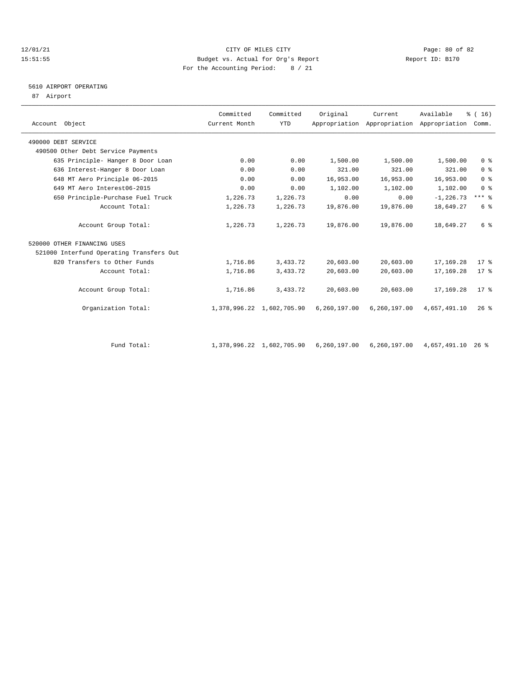# $12/01/21$  Page: 80 of 82<br>15:51:55 Budget vs. Actual for Org's Report  $\frac{P}{Q}$  Report ID: B170 15:51:55 Budget vs. Actual for Org's Report For the Accounting Period: 8 / 21

# 5610 AIRPORT OPERATING

87 Airport

| Account Object                           | Committed<br>Current Month | Committed<br>YTD          | Original     | Current      | Available<br>Appropriation Appropriation Appropriation | % (16)<br>Comm. |
|------------------------------------------|----------------------------|---------------------------|--------------|--------------|--------------------------------------------------------|-----------------|
| 490000 DEBT SERVICE                      |                            |                           |              |              |                                                        |                 |
| 490500 Other Debt Service Payments       |                            |                           |              |              |                                                        |                 |
| 635 Principle- Hanger 8 Door Loan        | 0.00                       | 0.00                      | 1,500.00     | 1,500.00     | 1,500.00                                               | 0 <sup>8</sup>  |
| 636 Interest-Hanger 8 Door Loan          | 0.00                       | 0.00                      | 321.00       | 321.00       | 321.00                                                 | 0 <sup>8</sup>  |
| 648 MT Aero Principle 06-2015            | 0.00                       | 0.00                      | 16,953.00    | 16,953.00    | 16,953.00                                              | 0 <sup>8</sup>  |
| 649 MT Aero Interest06-2015              | 0.00                       | 0.00                      | 1,102.00     | 1,102.00     | 1,102.00                                               | 0 <sup>8</sup>  |
| 650 Principle-Purchase Fuel Truck        | 1,226.73                   | 1,226.73                  | 0.00         | 0.00         | $-1, 226.73$                                           | $***$ $%$       |
| Account Total:                           | 1,226.73                   | 1,226.73                  | 19,876.00    | 19,876.00    | 18,649.27                                              | 6 %             |
| Account Group Total:                     | 1,226.73                   | 1,226.73                  | 19,876.00    | 19,876.00    | 18,649.27                                              | 6 %             |
| 520000 OTHER FINANCING USES              |                            |                           |              |              |                                                        |                 |
| 521000 Interfund Operating Transfers Out |                            |                           |              |              |                                                        |                 |
| 820 Transfers to Other Funds             | 1,716.86                   | 3,433.72                  | 20,603.00    | 20,603.00    | 17,169.28                                              | $17*$           |
| Account Total:                           | 1,716.86                   | 3,433.72                  | 20,603.00    | 20,603.00    | 17,169.28                                              | $17*$           |
| Account Group Total:                     | 1,716.86                   | 3,433.72                  | 20,603.00    | 20,603.00    | 17,169.28                                              | $17*$           |
| Organization Total:                      |                            | 1,378,996.22 1,602,705.90 | 6,260,197.00 | 6,260,197.00 | 4,657,491.10                                           | $26$ %          |
|                                          |                            |                           |              |              |                                                        |                 |

Fund Total: 1,378,996.22 1,602,705.90 6,260,197.00 6,260,197.00 4,657,491.10 26 %